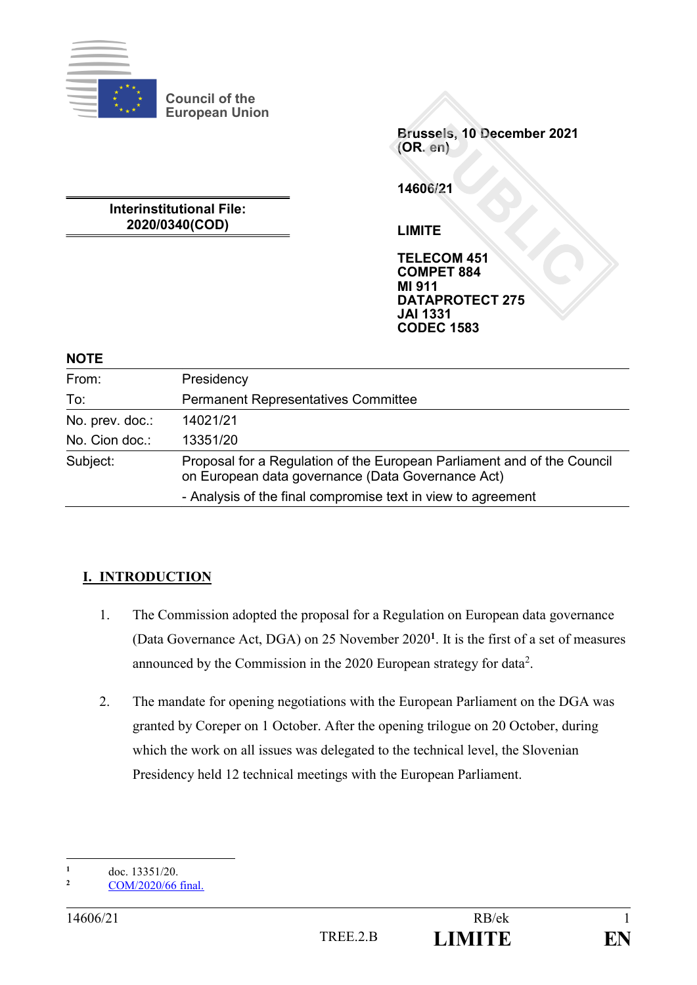

**Council of the European Union**

> **Brussels, 10 December 2021 (OR. en)**

**14606/21**

**LIMITE**

**TELECOM 451 COMPET 884 MI 911 DATAPROTECT 275 JAI 1331 CODEC 1583**

**Interinstitutional File: 2020/0340(COD)**

**NOTE**

| From:                                             | Presidency                                                                                                                   |  |
|---------------------------------------------------|------------------------------------------------------------------------------------------------------------------------------|--|
| <b>Permanent Representatives Committee</b><br>To: |                                                                                                                              |  |
| No. prev. doc.:                                   | 14021/21                                                                                                                     |  |
| No. Cion doc.:                                    | 13351/20                                                                                                                     |  |
| Subject:                                          | Proposal for a Regulation of the European Parliament and of the Council<br>on European data governance (Data Governance Act) |  |
|                                                   | - Analysis of the final compromise text in view to agreement                                                                 |  |

# **I. INTRODUCTION**

- 1. The Commission adopted the proposal for a Regulation on European data governance (Data Governance Act, DGA) on 25 November 2020**<sup>1</sup>** . It is the first of a set of measures announced by the Commission in the 2020 European strategy for data<sup>2</sup>.
- 2. The mandate for opening negotiations with the European Parliament on the DGA was granted by Coreper on 1 October. After the opening trilogue on 20 October, during which the work on all issues was delegated to the technical level, the Slovenian Presidency held 12 technical meetings with the European Parliament.

 $\mathbf{1}$  $\frac{1}{2}$  doc. 13351/20.

**<sup>2</sup>** [COM/2020/66 final.](https://ec.europa.eu/info/sites/info/files/communication-european-strategy-data-19feb2020_en.pdf)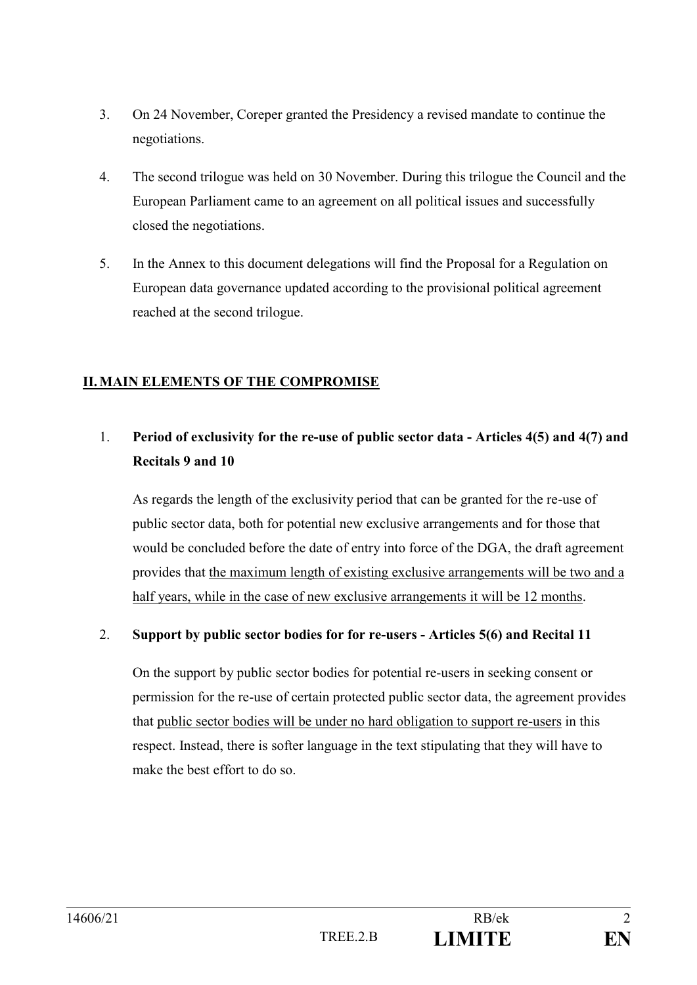- 3. On 24 November, Coreper granted the Presidency a revised mandate to continue the negotiations.
- 4. The second trilogue was held on 30 November. During this trilogue the Council and the European Parliament came to an agreement on all political issues and successfully closed the negotiations.
- 5. In the Annex to this document delegations will find the Proposal for a Regulation on European data governance updated according to the provisional political agreement reached at the second trilogue.

# **II.MAIN ELEMENTS OF THE COMPROMISE**

# 1. **Period of exclusivity for the re-use of public sector data - Articles 4(5) and 4(7) and Recitals 9 and 10**

As regards the length of the exclusivity period that can be granted for the re-use of public sector data, both for potential new exclusive arrangements and for those that would be concluded before the date of entry into force of the DGA, the draft agreement provides that the maximum length of existing exclusive arrangements will be two and a half years, while in the case of new exclusive arrangements it will be 12 months.

# 2. **Support by public sector bodies for for re-users - Articles 5(6) and Recital 11**

On the support by public sector bodies for potential re-users in seeking consent or permission for the re-use of certain protected public sector data, the agreement provides that public sector bodies will be under no hard obligation to support re-users in this respect. Instead, there is softer language in the text stipulating that they will have to make the best effort to do so.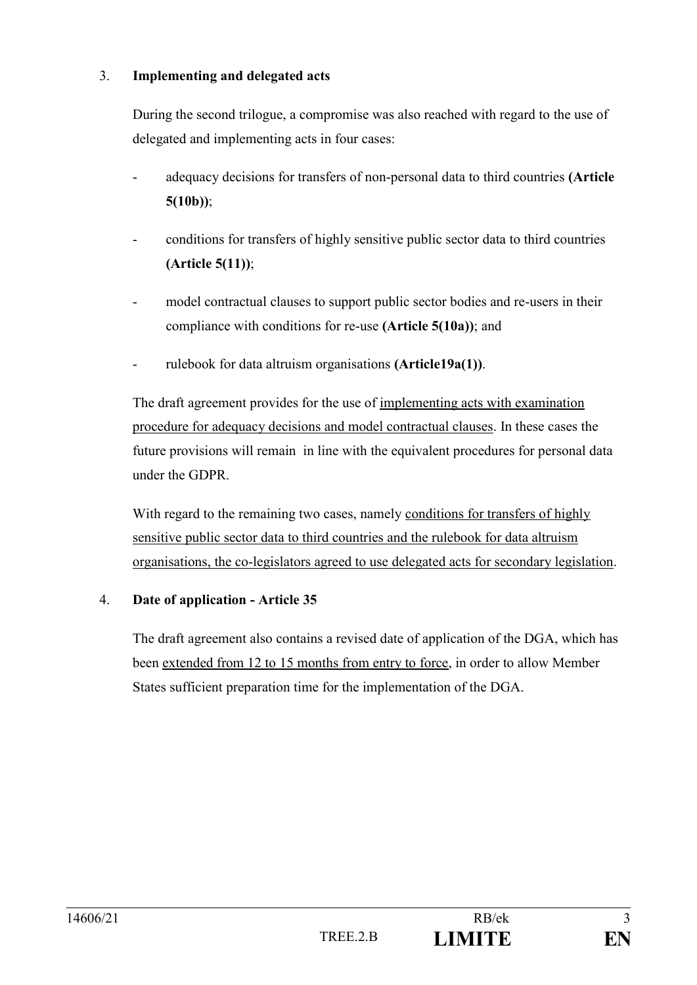# 3. **Implementing and delegated acts**

During the second trilogue, a compromise was also reached with regard to the use of delegated and implementing acts in four cases:

- adequacy decisions for transfers of non-personal data to third countries **(Article 5(10b))**;
- conditions for transfers of highly sensitive public sector data to third countries **(Article 5(11))**;
- model contractual clauses to support public sector bodies and re-users in their compliance with conditions for re-use **(Article 5(10a))**; and
- rulebook for data altruism organisations (Article19a(1)).

The draft agreement provides for the use of implementing acts with examination procedure for adequacy decisions and model contractual clauses. In these cases the future provisions will remain in line with the equivalent procedures for personal data under the GDPR.

With regard to the remaining two cases, namely conditions for transfers of highly sensitive public sector data to third countries and the rulebook for data altruism organisations, the co-legislators agreed to use delegated acts for secondary legislation.

# 4. **Date of application - Article 35**

The draft agreement also contains a revised date of application of the DGA, which has been extended from 12 to 15 months from entry to force, in order to allow Member States sufficient preparation time for the implementation of the DGA.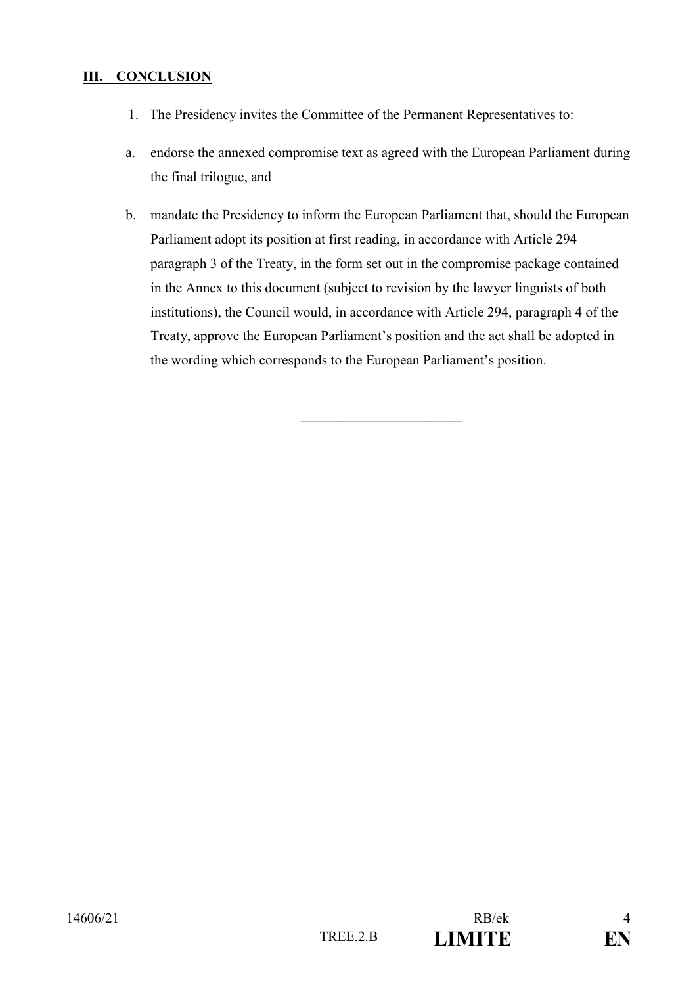# **III. CONCLUSION**

- 1. The Presidency invites the Committee of the Permanent Representatives to:
- a. endorse the annexed compromise text as agreed with the European Parliament during the final trilogue, and
- b. mandate the Presidency to inform the European Parliament that, should the European Parliament adopt its position at first reading, in accordance with Article 294 paragraph 3 of the Treaty, in the form set out in the compromise package contained in the Annex to this document (subject to revision by the lawyer linguists of both institutions), the Council would, in accordance with Article 294, paragraph 4 of the Treaty, approve the European Parliament's position and the act shall be adopted in the wording which corresponds to the European Parliament's position.

 $\overline{\phantom{a}}$  , where  $\overline{\phantom{a}}$  , where  $\overline{\phantom{a}}$  , where  $\overline{\phantom{a}}$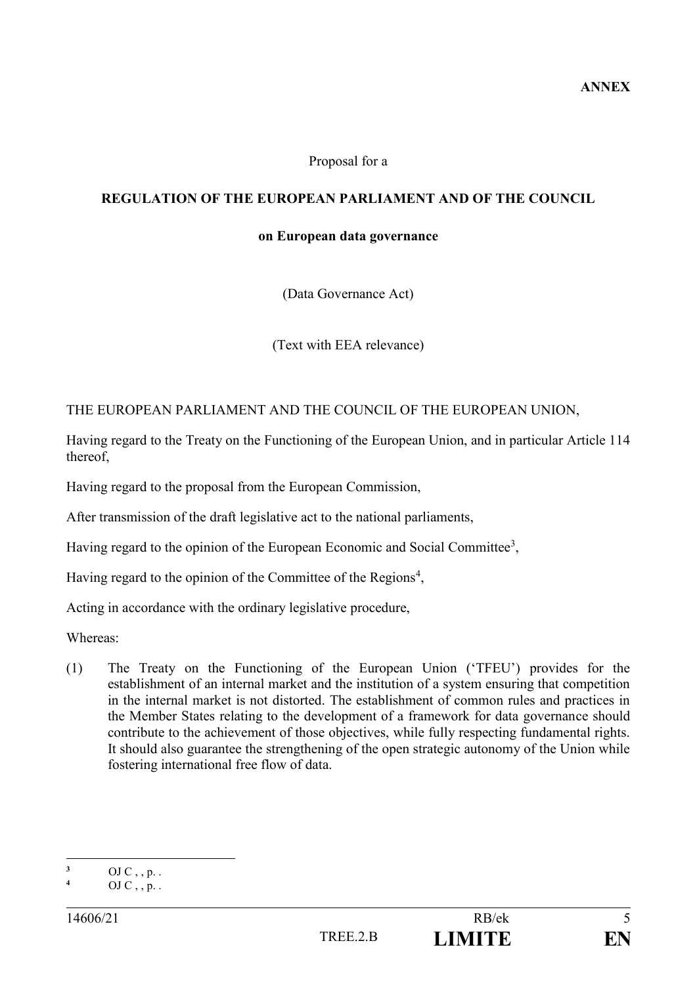#### Proposal for a

# **REGULATION OF THE EUROPEAN PARLIAMENT AND OF THE COUNCIL**

#### **on European data governance**

(Data Governance Act)

(Text with EEA relevance)

THE EUROPEAN PARLIAMENT AND THE COUNCIL OF THE EUROPEAN UNION,

Having regard to the Treaty on the Functioning of the European Union, and in particular Article 114 thereof,

Having regard to the proposal from the European Commission,

After transmission of the draft legislative act to the national parliaments,

Having regard to the opinion of the European Economic and Social Committee<sup>3</sup>,

Having regard to the opinion of the Committee of the Regions<sup>4</sup>,

Acting in accordance with the ordinary legislative procedure,

Whereas:

(1) The Treaty on the Functioning of the European Union ('TFEU') provides for the establishment of an internal market and the institution of a system ensuring that competition in the internal market is not distorted. The establishment of common rules and practices in the Member States relating to the development of a framework for data governance should contribute to the achievement of those objectives, while fully respecting fundamental rights. It should also guarantee the strengthening of the open strategic autonomy of the Union while fostering international free flow of data.

<sup>1</sup>  $\frac{3}{4}$  OJ C, , p. .

**<sup>4</sup>** OJ C , , p. .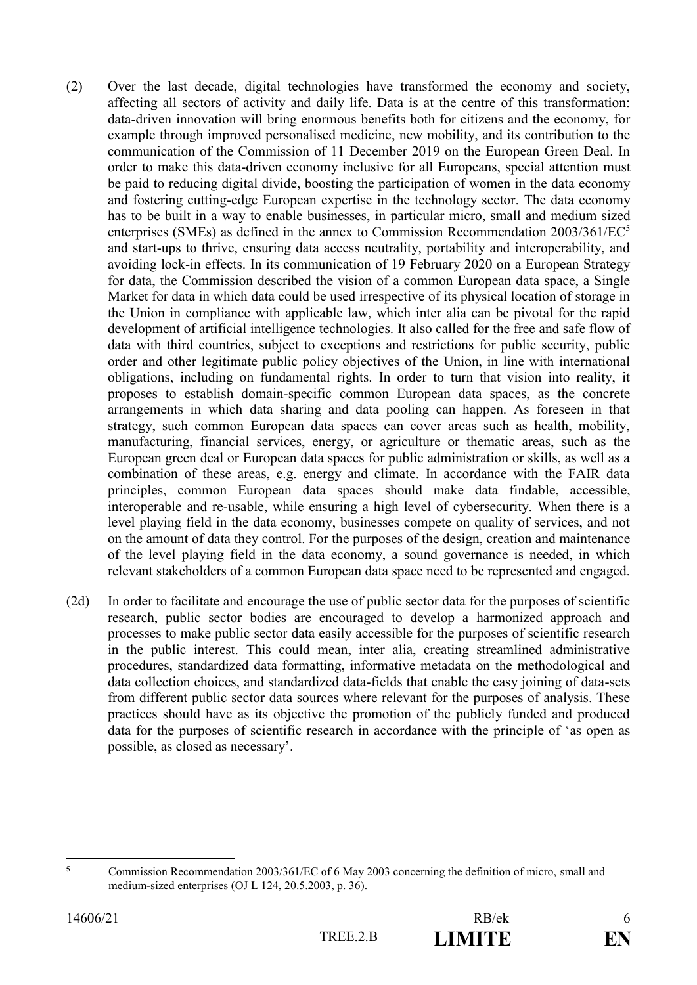- (2) Over the last decade, digital technologies have transformed the economy and society, affecting all sectors of activity and daily life. Data is at the centre of this transformation: data-driven innovation will bring enormous benefits both for citizens and the economy, for example through improved personalised medicine, new mobility, and its contribution to the communication of the Commission of 11 December 2019 on the European Green Deal. In order to make this data-driven economy inclusive for all Europeans, special attention must be paid to reducing digital divide, boosting the participation of women in the data economy and fostering cutting-edge European expertise in the technology sector. The data economy has to be built in a way to enable businesses, in particular micro, small and medium sized enterprises (SMEs) as defined in the annex to Commission Recommendation 2003/361/EC<sup>5</sup> and start-ups to thrive, ensuring data access neutrality, portability and interoperability, and avoiding lock-in effects. In its communication of 19 February 2020 on a European Strategy for data, the Commission described the vision of a common European data space, a Single Market for data in which data could be used irrespective of its physical location of storage in the Union in compliance with applicable law, which inter alia can be pivotal for the rapid development of artificial intelligence technologies. It also called for the free and safe flow of data with third countries, subject to exceptions and restrictions for public security, public order and other legitimate public policy objectives of the Union, in line with international obligations, including on fundamental rights. In order to turn that vision into reality, it proposes to establish domain-specific common European data spaces, as the concrete arrangements in which data sharing and data pooling can happen. As foreseen in that strategy, such common European data spaces can cover areas such as health, mobility, manufacturing, financial services, energy, or agriculture or thematic areas, such as the European green deal or European data spaces for public administration or skills, as well as a combination of these areas, e.g. energy and climate. In accordance with the FAIR data principles, common European data spaces should make data findable, accessible, interoperable and re-usable, while ensuring a high level of cybersecurity. When there is a level playing field in the data economy, businesses compete on quality of services, and not on the amount of data they control. For the purposes of the design, creation and maintenance of the level playing field in the data economy, a sound governance is needed, in which relevant stakeholders of a common European data space need to be represented and engaged.
- (2d) In order to facilitate and encourage the use of public sector data for the purposes of scientific research, public sector bodies are encouraged to develop a harmonized approach and processes to make public sector data easily accessible for the purposes of scientific research in the public interest. This could mean, inter alia, creating streamlined administrative procedures, standardized data formatting, informative metadata on the methodological and data collection choices, and standardized data-fields that enable the easy joining of data-sets from different public sector data sources where relevant for the purposes of analysis. These practices should have as its objective the promotion of the publicly funded and produced data for the purposes of scientific research in accordance with the principle of 'as open as possible, as closed as necessary'.

 $\overline{\phantom{a}}$ **<sup>5</sup>** Commission Recommendation 2003/361/EC of 6 May 2003 concerning the definition of micro, small and medium-sized enterprises (OJ L 124, 20.5.2003, p. 36).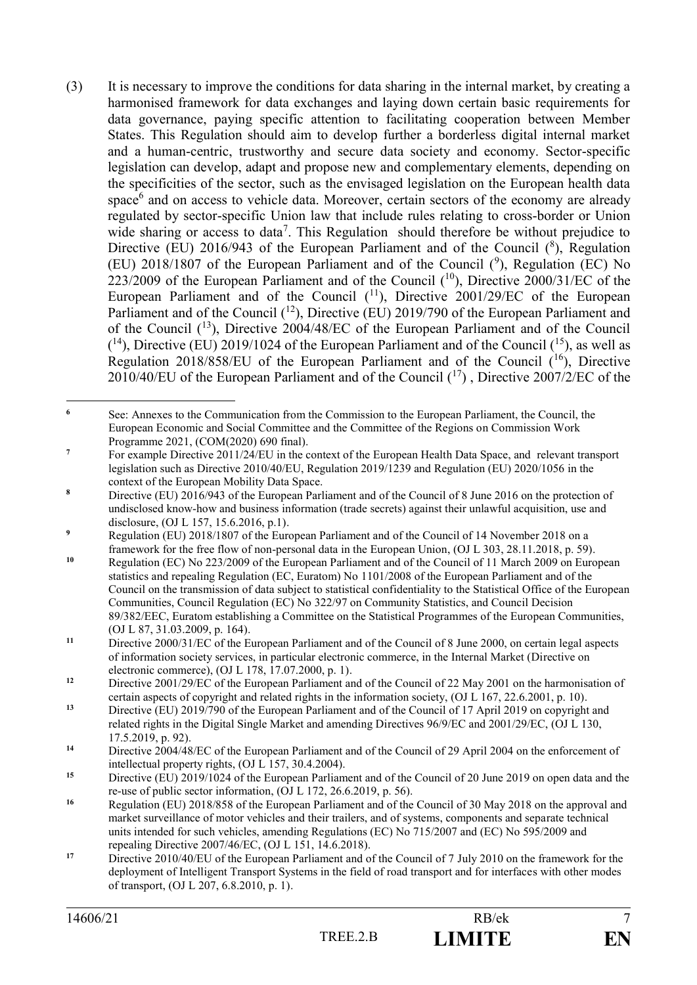(3) It is necessary to improve the conditions for data sharing in the internal market, by creating a harmonised framework for data exchanges and laying down certain basic requirements for data governance, paying specific attention to facilitating cooperation between Member States. This Regulation should aim to develop further a borderless digital internal market and a human-centric, trustworthy and secure data society and economy. Sector-specific legislation can develop, adapt and propose new and complementary elements, depending on the specificities of the sector, such as the envisaged legislation on the European health data space<sup>6</sup> and on access to vehicle data. Moreover, certain sectors of the economy are already regulated by sector-specific Union law that include rules relating to cross-border or Union wide sharing or access to data<sup>7</sup>. This Regulation should therefore be without prejudice to Directive (EU) 2016/943 of the European Parliament and of the Council  $(^8)$ , Regulation (EU) 2018/1807 of the European Parliament and of the Council  $(9)$ , Regulation (EC) No 223/2009 of the European Parliament and of the Council  $(^{10})$ , Directive 2000/31/EC of the European Parliament and of the Council  $(^{11})$ , Directive 2001/29/EC of the European Parliament and of the Council  $(1^2)$ , Directive (EU) 2019/790 of the European Parliament and of the Council  $(13)$ , Directive 2004/48/EC of the European Parliament and of the Council  $(14)$ , Directive (EU) 2019/1024 of the European Parliament and of the Council  $(15)$ , as well as Regulation 2018/858/EU of the European Parliament and of the Council  $(16)$ , Directive 2010/40/EU of the European Parliament and of the Council  $(^{17})$ , Directive 2007/2/EC of the

 $\epsilon$ **<sup>6</sup>** See: Annexes to the Communication from the Commission to the European Parliament, the Council, the European Economic and Social Committee and the Committee of the Regions on Commission Work Programme 2021, (COM(2020) 690 final).

<sup>&</sup>lt;sup>7</sup> For example Directive 2011/24/EU in the context of the European Health Data Space, and relevant transport legislation such as Directive 2010/40/EU, Regulation 2019/1239 and Regulation (EU) 2020/1056 in the context of the European Mobility Data Space.

**<sup>8</sup>** Directive (EU) 2016/943 of the European Parliament and of the Council of 8 June 2016 on the protection of undisclosed know-how and business information (trade secrets) against their unlawful acquisition, use and disclosure, (OJ L 157, 15.6.2016, p.1).

<sup>&</sup>lt;sup>9</sup> Regulation (EU) 2018/1807 of the European Parliament and of the Council of 14 November 2018 on a framework for the free flow of non-personal data in the European Union, (OJ L 303, 28.11.2018, p. 59).

**<sup>10</sup>** Regulation (EC) No 223/2009 of the European Parliament and of the Council of 11 March 2009 on European statistics and repealing Regulation (EC, Euratom) No 1101/2008 of the European Parliament and of the Council on the transmission of data subject to statistical confidentiality to the Statistical Office of the European Communities, Council Regulation (EC) No 322/97 on Community Statistics, and Council Decision 89/382/EEC, Euratom establishing a Committee on the Statistical Programmes of the European Communities, (OJ L 87, 31.03.2009, p. 164).

**<sup>11</sup>** Directive 2000/31/EC of the European Parliament and of the Council of 8 June 2000, on certain legal aspects of information society services, in particular electronic commerce, in the Internal Market (Directive on electronic commerce), (OJ L 178, 17.07.2000, p. 1).

<sup>&</sup>lt;sup>12</sup> Directive 2001/29/EC of the European Parliament and of the Council of 22 May 2001 on the harmonisation of certain aspects of copyright and related rights in the information society, (OJ L 167, 22.6.2001, p. 10).

**<sup>13</sup>** Directive (EU) 2019/790 of the European Parliament and of the Council of 17 April 2019 on copyright and related rights in the Digital Single Market and amending Directives 96/9/EC and 2001/29/EC, (OJ L 130, 17.5.2019, p. 92).

<sup>&</sup>lt;sup>14</sup> Directive 2004/48/EC of the European Parliament and of the Council of 29 April 2004 on the enforcement of intellectual property rights, (OJ L 157, 30.4.2004).

**<sup>15</sup>** Directive (EU) 2019/1024 of the European Parliament and of the Council of 20 June 2019 on open data and the re-use of public sector information, (OJ L 172, 26.6.2019, p. 56).

<sup>&</sup>lt;sup>16</sup> Regulation (EU) 2018/858 of the European Parliament and of the Council of 30 May 2018 on the approval and market surveillance of motor vehicles and their trailers, and of systems, components and separate technical units intended for such vehicles, amending Regulations (EC) No 715/2007 and (EC) No 595/2009 and repealing Directive 2007/46/EC, (OJ L 151, 14.6.2018).

**<sup>17</sup>** Directive 2010/40/EU of the European Parliament and of the Council of 7 July 2010 on the framework for the deployment of Intelligent Transport Systems in the field of road transport and for interfaces with other modes of transport, (OJ L 207, 6.8.2010, p. 1).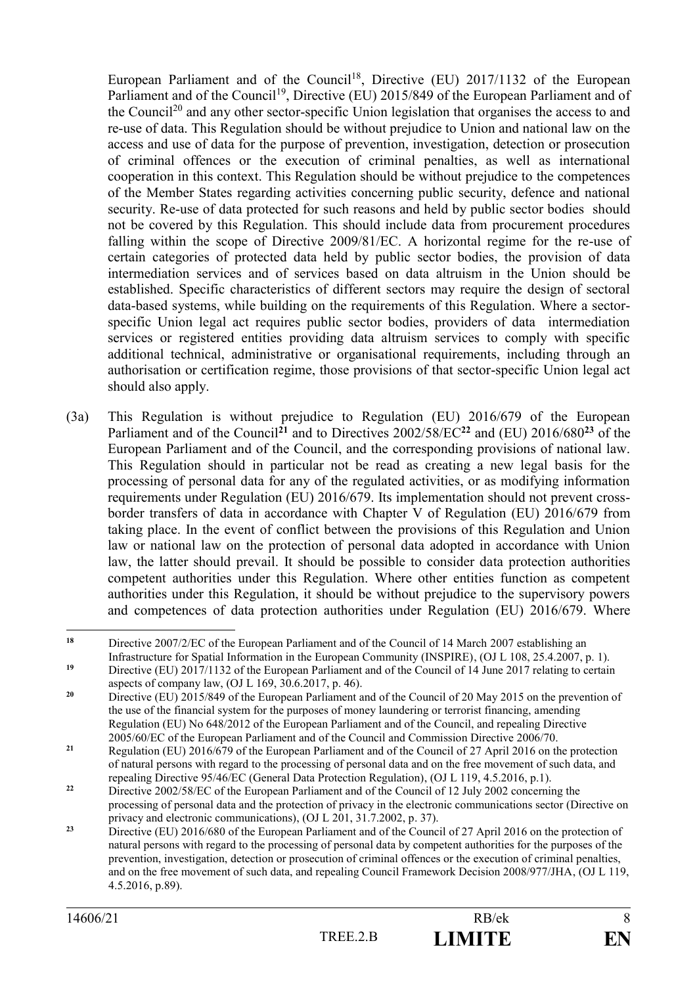European Parliament and of the Council<sup>18</sup>, Directive (EU) 2017/1132 of the European Parliament and of the Council<sup>19</sup>, Directive (EU) 2015/849 of the European Parliament and of the Council<sup>20</sup> and any other sector-specific Union legislation that organises the access to and re-use of data. This Regulation should be without prejudice to Union and national law on the access and use of data for the purpose of prevention, investigation, detection or prosecution of criminal offences or the execution of criminal penalties, as well as international cooperation in this context. This Regulation should be without prejudice to the competences of the Member States regarding activities concerning public security, defence and national security. Re-use of data protected for such reasons and held by public sector bodies should not be covered by this Regulation. This should include data from procurement procedures falling within the scope of Directive 2009/81/EC. A horizontal regime for the re-use of certain categories of protected data held by public sector bodies, the provision of data intermediation services and of services based on data altruism in the Union should be established. Specific characteristics of different sectors may require the design of sectoral data-based systems, while building on the requirements of this Regulation. Where a sectorspecific Union legal act requires public sector bodies, providers of data intermediation services or registered entities providing data altruism services to comply with specific additional technical, administrative or organisational requirements, including through an authorisation or certification regime, those provisions of that sector-specific Union legal act should also apply.

(3a) This Regulation is without prejudice to Regulation (EU) 2016/679 of the European Parliament and of the Council**<sup>21</sup>** and to Directives 2002/58/EC**<sup>22</sup>** and (EU) 2016/680**<sup>23</sup>** of the European Parliament and of the Council, and the corresponding provisions of national law. This Regulation should in particular not be read as creating a new legal basis for the processing of personal data for any of the regulated activities, or as modifying information requirements under Regulation (EU) 2016/679. Its implementation should not prevent crossborder transfers of data in accordance with Chapter V of Regulation (EU) 2016/679 from taking place. In the event of conflict between the provisions of this Regulation and Union law or national law on the protection of personal data adopted in accordance with Union law, the latter should prevail. It should be possible to consider data protection authorities competent authorities under this Regulation. Where other entities function as competent authorities under this Regulation, it should be without prejudice to the supervisory powers and competences of data protection authorities under Regulation (EU) 2016/679. Where

<sup>18</sup> **<sup>18</sup>** Directive 2007/2/EC of the European Parliament and of the Council of 14 March 2007 establishing an Infrastructure for Spatial Information in the European Community (INSPIRE), (OJ L 108, 25.4.2007, p. 1).

<sup>&</sup>lt;sup>19</sup> Directive (EU) 2017/1132 of the European Parliament and of the Council of 14 June 2017 relating to certain aspects of company law, (OJ L 169, 30.6.2017, p. 46).

<sup>&</sup>lt;sup>20</sup> Directive (EU) 2015/849 of the European Parliament and of the Council of 20 May 2015 on the prevention of the use of the financial system for the purposes of money laundering or terrorist financing, amending Regulation (EU) No 648/2012 of the European Parliament and of the Council, and repealing Directive 2005/60/EC of the European Parliament and of the Council and Commission Directive 2006/70.

**<sup>21</sup>** Regulation (EU) 2016/679 of the European Parliament and of the Council of 27 April 2016 on the protection of natural persons with regard to the processing of personal data and on the free movement of such data, and repealing Directive 95/46/EC (General Data Protection Regulation), (OJ L 119, 4.5.2016, p.1).

<sup>&</sup>lt;sup>22</sup> Directive 2002/58/EC of the European Parliament and of the Council of 12 July 2002 concerning the processing of personal data and the protection of privacy in the electronic communications sector (Directive on privacy and electronic communications), (OJ L 201, 31.7.2002, p. 37).

<sup>&</sup>lt;sup>23</sup> Directive (EU) 2016/680 of the European Parliament and of the Council of 27 April 2016 on the protection of natural persons with regard to the processing of personal data by competent authorities for the purposes of the prevention, investigation, detection or prosecution of criminal offences or the execution of criminal penalties, and on the free movement of such data, and repealing Council Framework Decision 2008/977/JHA, (OJ L 119, 4.5.2016, p.89).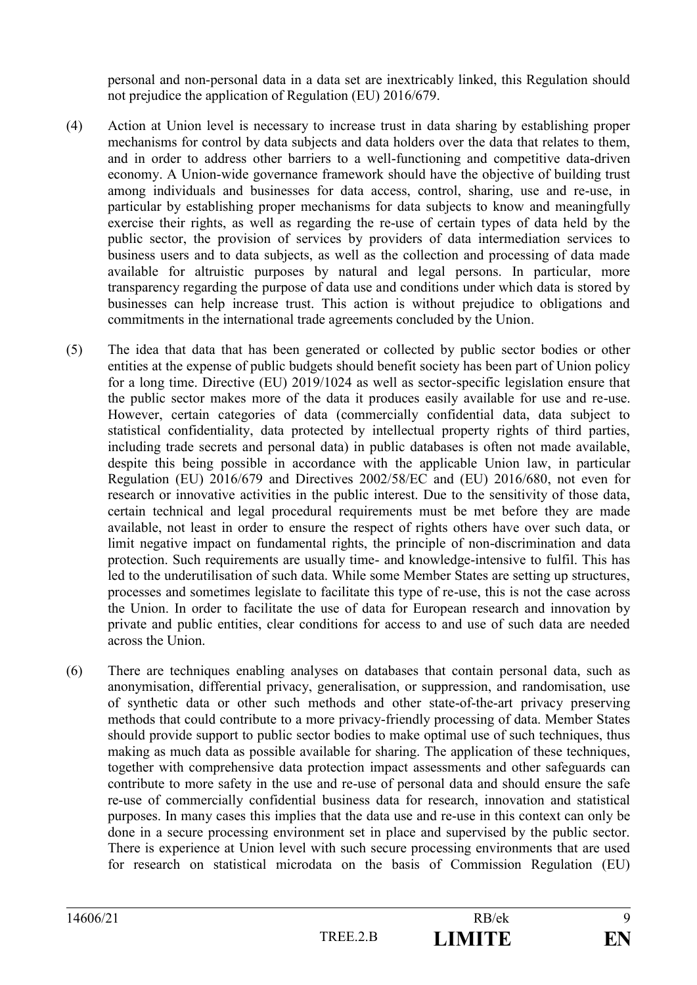personal and non-personal data in a data set are inextricably linked, this Regulation should not prejudice the application of Regulation (EU) 2016/679.

- (4) Action at Union level is necessary to increase trust in data sharing by establishing proper mechanisms for control by data subjects and data holders over the data that relates to them, and in order to address other barriers to a well-functioning and competitive data-driven economy. A Union-wide governance framework should have the objective of building trust among individuals and businesses for data access, control, sharing, use and re-use, in particular by establishing proper mechanisms for data subjects to know and meaningfully exercise their rights, as well as regarding the re-use of certain types of data held by the public sector, the provision of services by providers of data intermediation services to business users and to data subjects, as well as the collection and processing of data made available for altruistic purposes by natural and legal persons. In particular, more transparency regarding the purpose of data use and conditions under which data is stored by businesses can help increase trust. This action is without prejudice to obligations and commitments in the international trade agreements concluded by the Union.
- (5) The idea that data that has been generated or collected by public sector bodies or other entities at the expense of public budgets should benefit society has been part of Union policy for a long time. Directive (EU) 2019/1024 as well as sector-specific legislation ensure that the public sector makes more of the data it produces easily available for use and re-use. However, certain categories of data (commercially confidential data, data subject to statistical confidentiality, data protected by intellectual property rights of third parties, including trade secrets and personal data) in public databases is often not made available, despite this being possible in accordance with the applicable Union law, in particular Regulation (EU) 2016/679 and Directives 2002/58/EC and (EU) 2016/680, not even for research or innovative activities in the public interest. Due to the sensitivity of those data, certain technical and legal procedural requirements must be met before they are made available, not least in order to ensure the respect of rights others have over such data, or limit negative impact on fundamental rights, the principle of non-discrimination and data protection. Such requirements are usually time- and knowledge-intensive to fulfil. This has led to the underutilisation of such data. While some Member States are setting up structures, processes and sometimes legislate to facilitate this type of re-use, this is not the case across the Union. In order to facilitate the use of data for European research and innovation by private and public entities, clear conditions for access to and use of such data are needed across the Union.
- (6) There are techniques enabling analyses on databases that contain personal data, such as anonymisation, differential privacy, generalisation, or suppression, and randomisation, use of synthetic data or other such methods and other state-of-the-art privacy preserving methods that could contribute to a more privacy-friendly processing of data. Member States should provide support to public sector bodies to make optimal use of such techniques, thus making as much data as possible available for sharing. The application of these techniques, together with comprehensive data protection impact assessments and other safeguards can contribute to more safety in the use and re-use of personal data and should ensure the safe re-use of commercially confidential business data for research, innovation and statistical purposes. In many cases this implies that the data use and re-use in this context can only be done in a secure processing environment set in place and supervised by the public sector. There is experience at Union level with such secure processing environments that are used for research on statistical microdata on the basis of Commission Regulation (EU)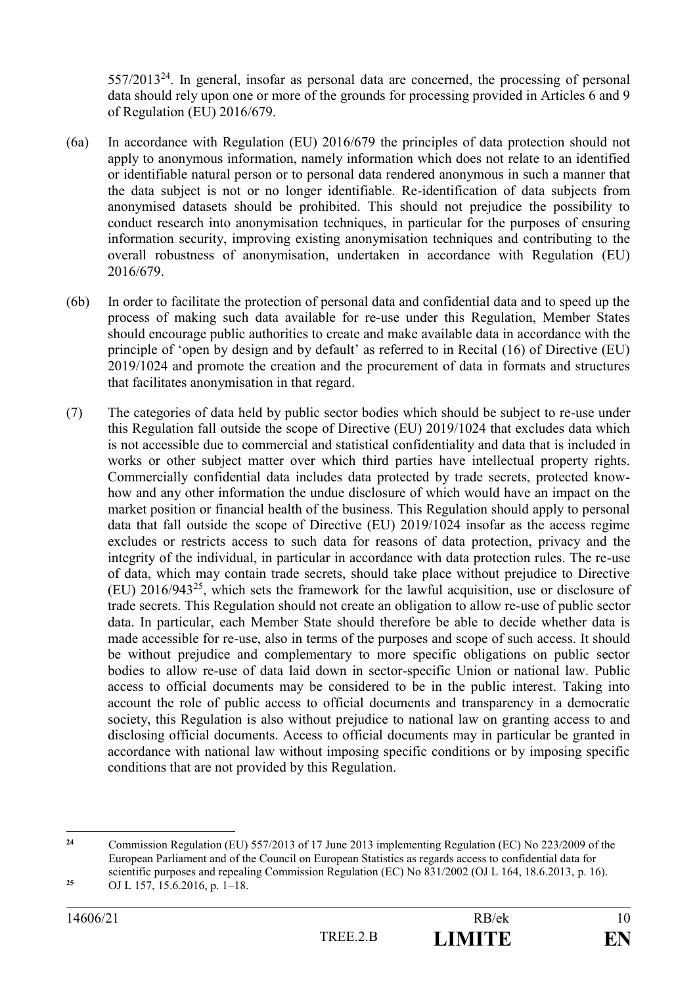$557/2013<sup>24</sup>$ . In general, insofar as personal data are concerned, the processing of personal data should rely upon one or more of the grounds for processing provided in Articles 6 and 9 of Regulation (EU) 2016/679.

- (6a) In accordance with Regulation (EU) 2016/679 the principles of data protection should not apply to anonymous information, namely information which does not relate to an identified or identifiable natural person or to personal data rendered anonymous in such a manner that the data subject is not or no longer identifiable. Re-identification of data subjects from anonymised datasets should be prohibited. This should not prejudice the possibility to conduct research into anonymisation techniques, in particular for the purposes of ensuring information security, improving existing anonymisation techniques and contributing to the overall robustness of anonymisation, undertaken in accordance with Regulation (EU) 2016/679.
- (6b) In order to facilitate the protection of personal data and confidential data and to speed up the process of making such data available for re-use under this Regulation, Member States should encourage public authorities to create and make available data in accordance with the principle of 'open by design and by default' as referred to in Recital (16) of Directive (EU) 2019/1024 and promote the creation and the procurement of data in formats and structures that facilitates anonymisation in that regard.
- (7) The categories of data held by public sector bodies which should be subject to re-use under this Regulation fall outside the scope of Directive (EU) 2019/1024 that excludes data which is not accessible due to commercial and statistical confidentiality and data that is included in works or other subject matter over which third parties have intellectual property rights. Commercially confidential data includes data protected by trade secrets, protected knowhow and any other information the undue disclosure of which would have an impact on the market position or financial health of the business. This Regulation should apply to personal data that fall outside the scope of Directive (EU) 2019/1024 insofar as the access regime excludes or restricts access to such data for reasons of data protection, privacy and the integrity of the individual, in particular in accordance with data protection rules. The re-use of data, which may contain trade secrets, should take place without prejudice to Directive  $(EU)$  2016/943<sup>25</sup>, which sets the framework for the lawful acquisition, use or disclosure of trade secrets. This Regulation should not create an obligation to allow re-use of public sector data. In particular, each Member State should therefore be able to decide whether data is made accessible for re-use, also in terms of the purposes and scope of such access. It should be without prejudice and complementary to more specific obligations on public sector bodies to allow re-use of data laid down in sector-specific Union or national law. Public access to official documents may be considered to be in the public interest. Taking into account the role of public access to official documents and transparency in a democratic society, this Regulation is also without prejudice to national law on granting access to and disclosing official documents. Access to official documents may in particular be granted in accordance with national law without imposing specific conditions or by imposing specific conditions that are not provided by this Regulation.

 $24$ **<sup>24</sup>** Commission Regulation (EU) 557/2013 of 17 June 2013 implementing Regulation (EC) No 223/2009 of the European Parliament and of the Council on European Statistics as regards access to confidential data for scientific purposes and repealing Commission Regulation (EC) No 831/2002 (OJ L 164, 18.6.2013, p. 16).

**<sup>25</sup>** OJ L 157, 15.6.2016, p. 1–18.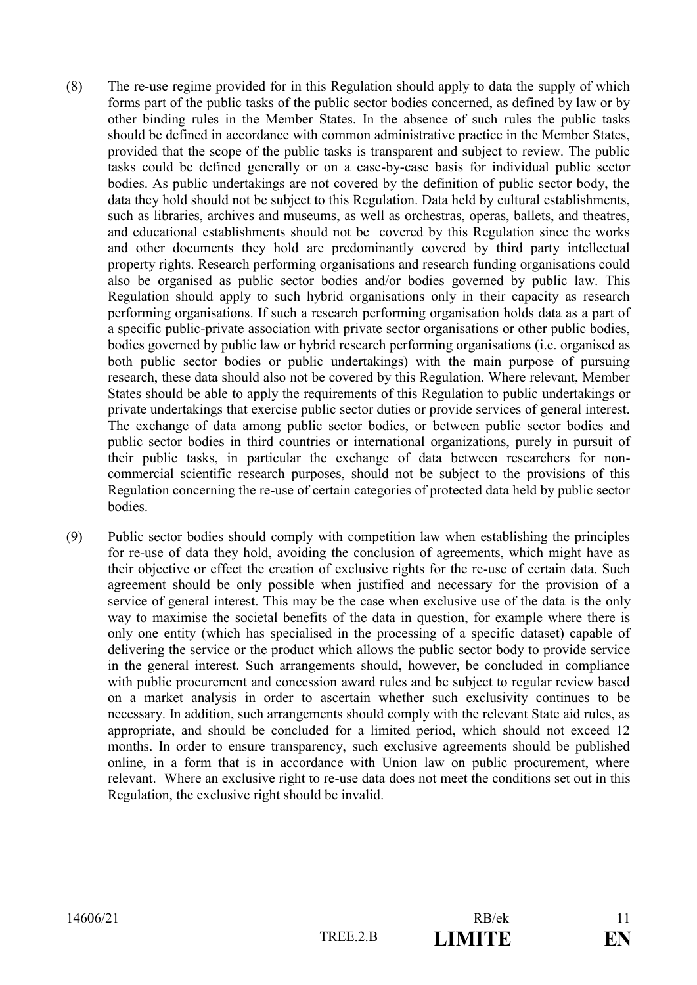- (8) The re-use regime provided for in this Regulation should apply to data the supply of which forms part of the public tasks of the public sector bodies concerned, as defined by law or by other binding rules in the Member States. In the absence of such rules the public tasks should be defined in accordance with common administrative practice in the Member States, provided that the scope of the public tasks is transparent and subject to review. The public tasks could be defined generally or on a case-by-case basis for individual public sector bodies. As public undertakings are not covered by the definition of public sector body, the data they hold should not be subject to this Regulation. Data held by cultural establishments, such as libraries, archives and museums, as well as orchestras, operas, ballets, and theatres, and educational establishments should not be covered by this Regulation since the works and other documents they hold are predominantly covered by third party intellectual property rights. Research performing organisations and research funding organisations could also be organised as public sector bodies and/or bodies governed by public law. This Regulation should apply to such hybrid organisations only in their capacity as research performing organisations. If such a research performing organisation holds data as a part of a specific public-private association with private sector organisations or other public bodies, bodies governed by public law or hybrid research performing organisations (i.e. organised as both public sector bodies or public undertakings) with the main purpose of pursuing research, these data should also not be covered by this Regulation. Where relevant, Member States should be able to apply the requirements of this Regulation to public undertakings or private undertakings that exercise public sector duties or provide services of general interest. The exchange of data among public sector bodies, or between public sector bodies and public sector bodies in third countries or international organizations, purely in pursuit of their public tasks, in particular the exchange of data between researchers for noncommercial scientific research purposes, should not be subject to the provisions of this Regulation concerning the re-use of certain categories of protected data held by public sector bodies.
- (9) Public sector bodies should comply with competition law when establishing the principles for re-use of data they hold, avoiding the conclusion of agreements, which might have as their objective or effect the creation of exclusive rights for the re-use of certain data. Such agreement should be only possible when justified and necessary for the provision of a service of general interest. This may be the case when exclusive use of the data is the only way to maximise the societal benefits of the data in question, for example where there is only one entity (which has specialised in the processing of a specific dataset) capable of delivering the service or the product which allows the public sector body to provide service in the general interest. Such arrangements should, however, be concluded in compliance with public procurement and concession award rules and be subject to regular review based on a market analysis in order to ascertain whether such exclusivity continues to be necessary. In addition, such arrangements should comply with the relevant State aid rules, as appropriate, and should be concluded for a limited period, which should not exceed 12 months. In order to ensure transparency, such exclusive agreements should be published online, in a form that is in accordance with Union law on public procurement, where relevant. Where an exclusive right to re-use data does not meet the conditions set out in this Regulation, the exclusive right should be invalid.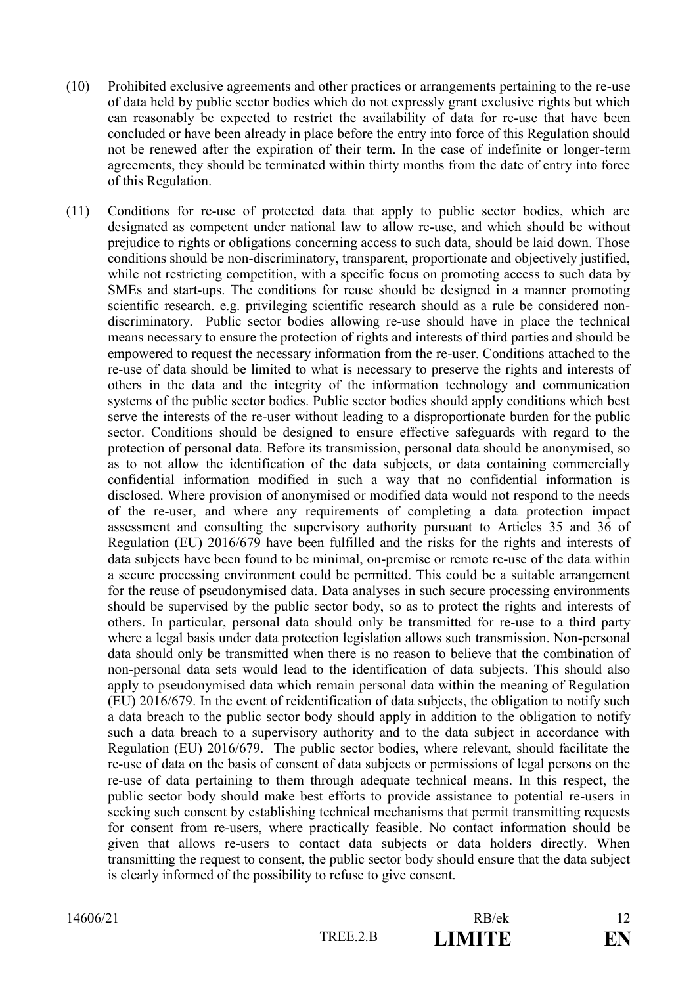- (10) Prohibited exclusive agreements and other practices or arrangements pertaining to the re-use of data held by public sector bodies which do not expressly grant exclusive rights but which can reasonably be expected to restrict the availability of data for re-use that have been concluded or have been already in place before the entry into force of this Regulation should not be renewed after the expiration of their term. In the case of indefinite or longer-term agreements, they should be terminated within thirty months from the date of entry into force of this Regulation.
- (11) Conditions for re-use of protected data that apply to public sector bodies, which are designated as competent under national law to allow re-use, and which should be without prejudice to rights or obligations concerning access to such data, should be laid down. Those conditions should be non-discriminatory, transparent, proportionate and objectively justified, while not restricting competition, with a specific focus on promoting access to such data by SMEs and start-ups. The conditions for reuse should be designed in a manner promoting scientific research. e.g. privileging scientific research should as a rule be considered nondiscriminatory. Public sector bodies allowing re-use should have in place the technical means necessary to ensure the protection of rights and interests of third parties and should be empowered to request the necessary information from the re-user. Conditions attached to the re-use of data should be limited to what is necessary to preserve the rights and interests of others in the data and the integrity of the information technology and communication systems of the public sector bodies. Public sector bodies should apply conditions which best serve the interests of the re-user without leading to a disproportionate burden for the public sector. Conditions should be designed to ensure effective safeguards with regard to the protection of personal data. Before its transmission, personal data should be anonymised, so as to not allow the identification of the data subjects, or data containing commercially confidential information modified in such a way that no confidential information is disclosed. Where provision of anonymised or modified data would not respond to the needs of the re-user, and where any requirements of completing a data protection impact assessment and consulting the supervisory authority pursuant to Articles 35 and 36 of Regulation (EU) 2016/679 have been fulfilled and the risks for the rights and interests of data subjects have been found to be minimal, on-premise or remote re-use of the data within a secure processing environment could be permitted. This could be a suitable arrangement for the reuse of pseudonymised data. Data analyses in such secure processing environments should be supervised by the public sector body, so as to protect the rights and interests of others. In particular, personal data should only be transmitted for re-use to a third party where a legal basis under data protection legislation allows such transmission. Non-personal data should only be transmitted when there is no reason to believe that the combination of non-personal data sets would lead to the identification of data subjects. This should also apply to pseudonymised data which remain personal data within the meaning of Regulation (EU) 2016/679. In the event of reidentification of data subjects, the obligation to notify such a data breach to the public sector body should apply in addition to the obligation to notify such a data breach to a supervisory authority and to the data subject in accordance with Regulation (EU) 2016/679. The public sector bodies, where relevant, should facilitate the re-use of data on the basis of consent of data subjects or permissions of legal persons on the re-use of data pertaining to them through adequate technical means. In this respect, the public sector body should make best efforts to provide assistance to potential re-users in seeking such consent by establishing technical mechanisms that permit transmitting requests for consent from re-users, where practically feasible. No contact information should be given that allows re-users to contact data subjects or data holders directly. When transmitting the request to consent, the public sector body should ensure that the data subject is clearly informed of the possibility to refuse to give consent.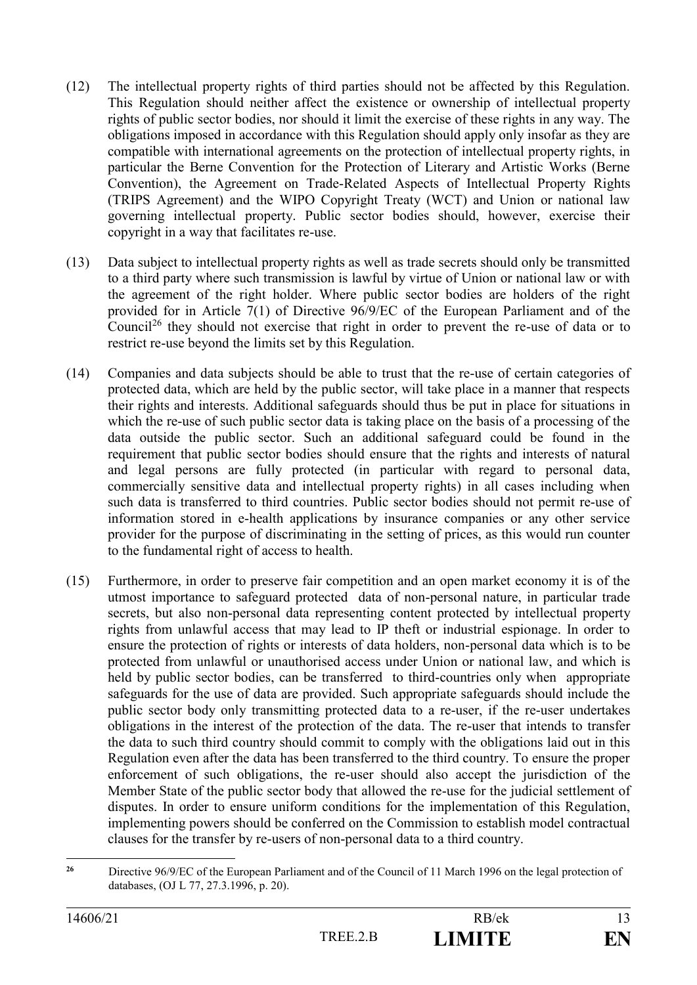- (12) The intellectual property rights of third parties should not be affected by this Regulation. This Regulation should neither affect the existence or ownership of intellectual property rights of public sector bodies, nor should it limit the exercise of these rights in any way. The obligations imposed in accordance with this Regulation should apply only insofar as they are compatible with international agreements on the protection of intellectual property rights, in particular the Berne Convention for the Protection of Literary and Artistic Works (Berne Convention), the Agreement on Trade-Related Aspects of Intellectual Property Rights (TRIPS Agreement) and the WIPO Copyright Treaty (WCT) and Union or national law governing intellectual property. Public sector bodies should, however, exercise their copyright in a way that facilitates re-use.
- (13) Data subject to intellectual property rights as well as trade secrets should only be transmitted to a third party where such transmission is lawful by virtue of Union or national law or with the agreement of the right holder. Where public sector bodies are holders of the right provided for in Article 7(1) of Directive 96/9/EC of the European Parliament and of the Council<sup>26</sup> they should not exercise that right in order to prevent the re-use of data or to restrict re-use beyond the limits set by this Regulation.
- (14) Companies and data subjects should be able to trust that the re-use of certain categories of protected data, which are held by the public sector, will take place in a manner that respects their rights and interests. Additional safeguards should thus be put in place for situations in which the re-use of such public sector data is taking place on the basis of a processing of the data outside the public sector. Such an additional safeguard could be found in the requirement that public sector bodies should ensure that the rights and interests of natural and legal persons are fully protected (in particular with regard to personal data, commercially sensitive data and intellectual property rights) in all cases including when such data is transferred to third countries. Public sector bodies should not permit re-use of information stored in e-health applications by insurance companies or any other service provider for the purpose of discriminating in the setting of prices, as this would run counter to the fundamental right of access to health.
- (15) Furthermore, in order to preserve fair competition and an open market economy it is of the utmost importance to safeguard protected data of non-personal nature, in particular trade secrets, but also non-personal data representing content protected by intellectual property rights from unlawful access that may lead to IP theft or industrial espionage. In order to ensure the protection of rights or interests of data holders, non-personal data which is to be protected from unlawful or unauthorised access under Union or national law, and which is held by public sector bodies, can be transferred to third-countries only when appropriate safeguards for the use of data are provided. Such appropriate safeguards should include the public sector body only transmitting protected data to a re-user, if the re-user undertakes obligations in the interest of the protection of the data. The re-user that intends to transfer the data to such third country should commit to comply with the obligations laid out in this Regulation even after the data has been transferred to the third country. To ensure the proper enforcement of such obligations, the re-user should also accept the jurisdiction of the Member State of the public sector body that allowed the re-use for the judicial settlement of disputes. In order to ensure uniform conditions for the implementation of this Regulation, implementing powers should be conferred on the Commission to establish model contractual clauses for the transfer by re-users of non-personal data to a third country.

<sup>1</sup> <sup>26</sup> Directive 96/9/EC of the European Parliament and of the Council of 11 March 1996 on the legal protection of databases, (OJ L 77, 27.3.1996, p. 20).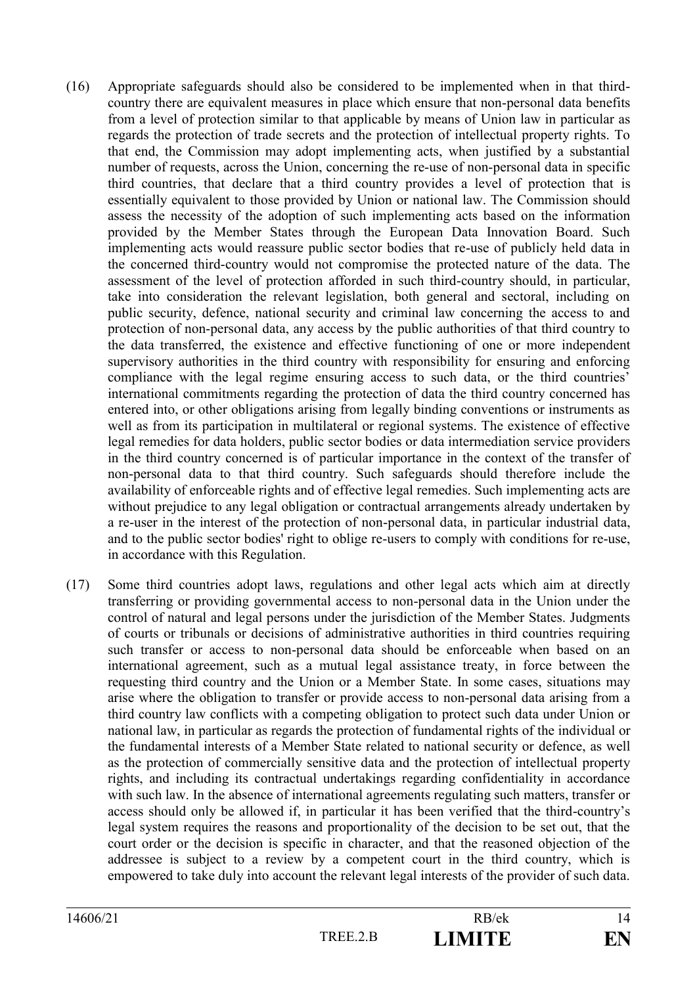- (16) Appropriate safeguards should also be considered to be implemented when in that thirdcountry there are equivalent measures in place which ensure that non-personal data benefits from a level of protection similar to that applicable by means of Union law in particular as regards the protection of trade secrets and the protection of intellectual property rights. To that end, the Commission may adopt implementing acts, when justified by a substantial number of requests, across the Union, concerning the re-use of non-personal data in specific third countries, that declare that a third country provides a level of protection that is essentially equivalent to those provided by Union or national law. The Commission should assess the necessity of the adoption of such implementing acts based on the information provided by the Member States through the European Data Innovation Board. Such implementing acts would reassure public sector bodies that re-use of publicly held data in the concerned third-country would not compromise the protected nature of the data. The assessment of the level of protection afforded in such third-country should, in particular, take into consideration the relevant legislation, both general and sectoral, including on public security, defence, national security and criminal law concerning the access to and protection of non-personal data, any access by the public authorities of that third country to the data transferred, the existence and effective functioning of one or more independent supervisory authorities in the third country with responsibility for ensuring and enforcing compliance with the legal regime ensuring access to such data, or the third countries' international commitments regarding the protection of data the third country concerned has entered into, or other obligations arising from legally binding conventions or instruments as well as from its participation in multilateral or regional systems. The existence of effective legal remedies for data holders, public sector bodies or data intermediation service providers in the third country concerned is of particular importance in the context of the transfer of non-personal data to that third country. Such safeguards should therefore include the availability of enforceable rights and of effective legal remedies. Such implementing acts are without prejudice to any legal obligation or contractual arrangements already undertaken by a re-user in the interest of the protection of non-personal data, in particular industrial data, and to the public sector bodies' right to oblige re-users to comply with conditions for re-use, in accordance with this Regulation.
- (17) Some third countries adopt laws, regulations and other legal acts which aim at directly transferring or providing governmental access to non-personal data in the Union under the control of natural and legal persons under the jurisdiction of the Member States. Judgments of courts or tribunals or decisions of administrative authorities in third countries requiring such transfer or access to non-personal data should be enforceable when based on an international agreement, such as a mutual legal assistance treaty, in force between the requesting third country and the Union or a Member State. In some cases, situations may arise where the obligation to transfer or provide access to non-personal data arising from a third country law conflicts with a competing obligation to protect such data under Union or national law, in particular as regards the protection of fundamental rights of the individual or the fundamental interests of a Member State related to national security or defence, as well as the protection of commercially sensitive data and the protection of intellectual property rights, and including its contractual undertakings regarding confidentiality in accordance with such law. In the absence of international agreements regulating such matters, transfer or access should only be allowed if, in particular it has been verified that the third-country's legal system requires the reasons and proportionality of the decision to be set out, that the court order or the decision is specific in character, and that the reasoned objection of the addressee is subject to a review by a competent court in the third country, which is empowered to take duly into account the relevant legal interests of the provider of such data.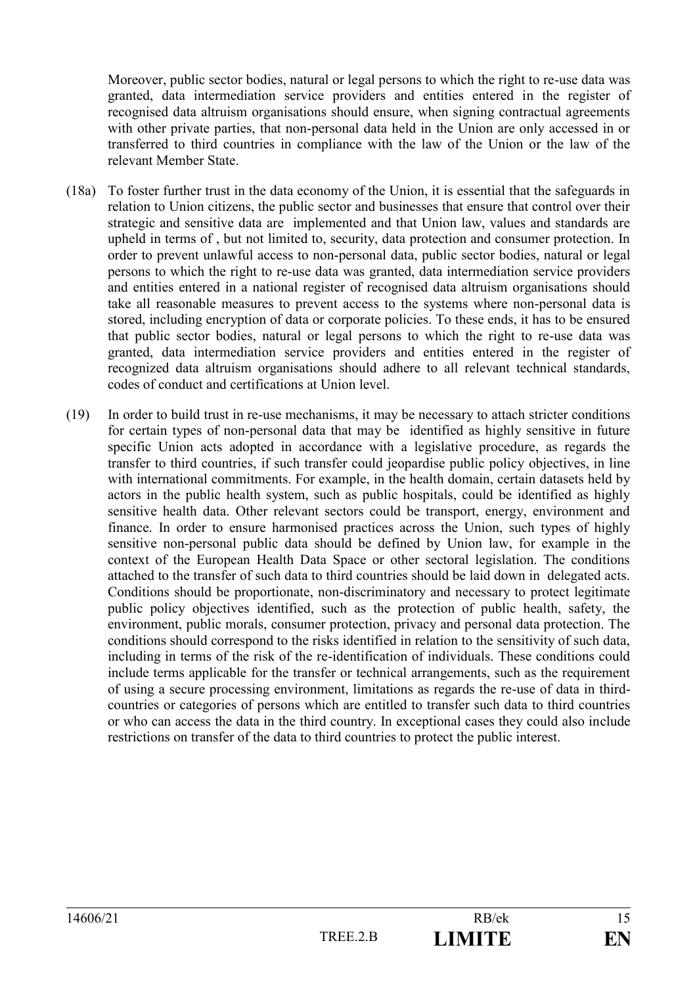Moreover, public sector bodies, natural or legal persons to which the right to re-use data was granted, data intermediation service providers and entities entered in the register of recognised data altruism organisations should ensure, when signing contractual agreements with other private parties, that non-personal data held in the Union are only accessed in or transferred to third countries in compliance with the law of the Union or the law of the relevant Member State.

- (18a) To foster further trust in the data economy of the Union, it is essential that the safeguards in relation to Union citizens, the public sector and businesses that ensure that control over their strategic and sensitive data are implemented and that Union law, values and standards are upheld in terms of , but not limited to, security, data protection and consumer protection. In order to prevent unlawful access to non-personal data, public sector bodies, natural or legal persons to which the right to re-use data was granted, data intermediation service providers and entities entered in a national register of recognised data altruism organisations should take all reasonable measures to prevent access to the systems where non-personal data is stored, including encryption of data or corporate policies. To these ends, it has to be ensured that public sector bodies, natural or legal persons to which the right to re-use data was granted, data intermediation service providers and entities entered in the register of recognized data altruism organisations should adhere to all relevant technical standards, codes of conduct and certifications at Union level.
- (19) In order to build trust in re-use mechanisms, it may be necessary to attach stricter conditions for certain types of non-personal data that may be identified as highly sensitive in future specific Union acts adopted in accordance with a legislative procedure, as regards the transfer to third countries, if such transfer could jeopardise public policy objectives, in line with international commitments. For example, in the health domain, certain datasets held by actors in the public health system, such as public hospitals, could be identified as highly sensitive health data. Other relevant sectors could be transport, energy, environment and finance. In order to ensure harmonised practices across the Union, such types of highly sensitive non-personal public data should be defined by Union law, for example in the context of the European Health Data Space or other sectoral legislation. The conditions attached to the transfer of such data to third countries should be laid down in delegated acts. Conditions should be proportionate, non-discriminatory and necessary to protect legitimate public policy objectives identified, such as the protection of public health, safety, the environment, public morals, consumer protection, privacy and personal data protection. The conditions should correspond to the risks identified in relation to the sensitivity of such data, including in terms of the risk of the re-identification of individuals. These conditions could include terms applicable for the transfer or technical arrangements, such as the requirement of using a secure processing environment, limitations as regards the re-use of data in thirdcountries or categories of persons which are entitled to transfer such data to third countries or who can access the data in the third country. In exceptional cases they could also include restrictions on transfer of the data to third countries to protect the public interest.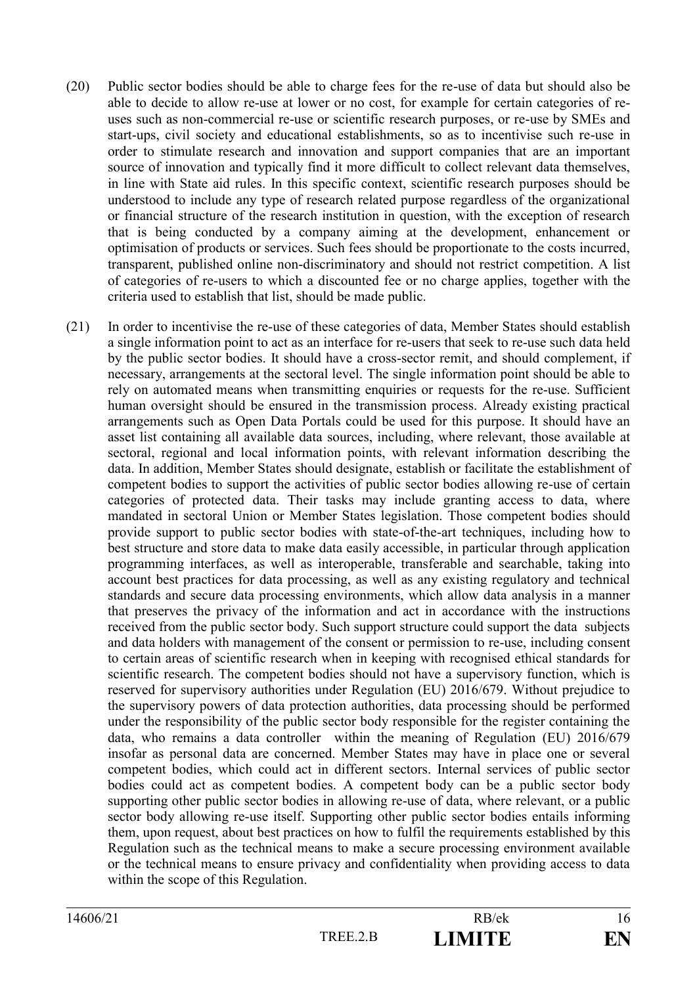- (20) Public sector bodies should be able to charge fees for the re-use of data but should also be able to decide to allow re-use at lower or no cost, for example for certain categories of reuses such as non-commercial re-use or scientific research purposes, or re-use by SMEs and start-ups, civil society and educational establishments, so as to incentivise such re-use in order to stimulate research and innovation and support companies that are an important source of innovation and typically find it more difficult to collect relevant data themselves, in line with State aid rules. In this specific context, scientific research purposes should be understood to include any type of research related purpose regardless of the organizational or financial structure of the research institution in question, with the exception of research that is being conducted by a company aiming at the development, enhancement or optimisation of products or services. Such fees should be proportionate to the costs incurred, transparent, published online non-discriminatory and should not restrict competition. A list of categories of re-users to which a discounted fee or no charge applies, together with the criteria used to establish that list, should be made public.
- (21) In order to incentivise the re-use of these categories of data, Member States should establish a single information point to act as an interface for re-users that seek to re-use such data held by the public sector bodies. It should have a cross-sector remit, and should complement, if necessary, arrangements at the sectoral level. The single information point should be able to rely on automated means when transmitting enquiries or requests for the re-use. Sufficient human oversight should be ensured in the transmission process. Already existing practical arrangements such as Open Data Portals could be used for this purpose. It should have an asset list containing all available data sources, including, where relevant, those available at sectoral, regional and local information points, with relevant information describing the data. In addition, Member States should designate, establish or facilitate the establishment of competent bodies to support the activities of public sector bodies allowing re-use of certain categories of protected data. Their tasks may include granting access to data, where mandated in sectoral Union or Member States legislation. Those competent bodies should provide support to public sector bodies with state-of-the-art techniques, including how to best structure and store data to make data easily accessible, in particular through application programming interfaces, as well as interoperable, transferable and searchable, taking into account best practices for data processing, as well as any existing regulatory and technical standards and secure data processing environments, which allow data analysis in a manner that preserves the privacy of the information and act in accordance with the instructions received from the public sector body. Such support structure could support the data subjects and data holders with management of the consent or permission to re-use, including consent to certain areas of scientific research when in keeping with recognised ethical standards for scientific research. The competent bodies should not have a supervisory function, which is reserved for supervisory authorities under Regulation (EU) 2016/679. Without prejudice to the supervisory powers of data protection authorities, data processing should be performed under the responsibility of the public sector body responsible for the register containing the data, who remains a data controller within the meaning of Regulation (EU) 2016/679 insofar as personal data are concerned. Member States may have in place one or several competent bodies, which could act in different sectors. Internal services of public sector bodies could act as competent bodies. A competent body can be a public sector body supporting other public sector bodies in allowing re-use of data, where relevant, or a public sector body allowing re-use itself. Supporting other public sector bodies entails informing them, upon request, about best practices on how to fulfil the requirements established by this Regulation such as the technical means to make a secure processing environment available or the technical means to ensure privacy and confidentiality when providing access to data within the scope of this Regulation.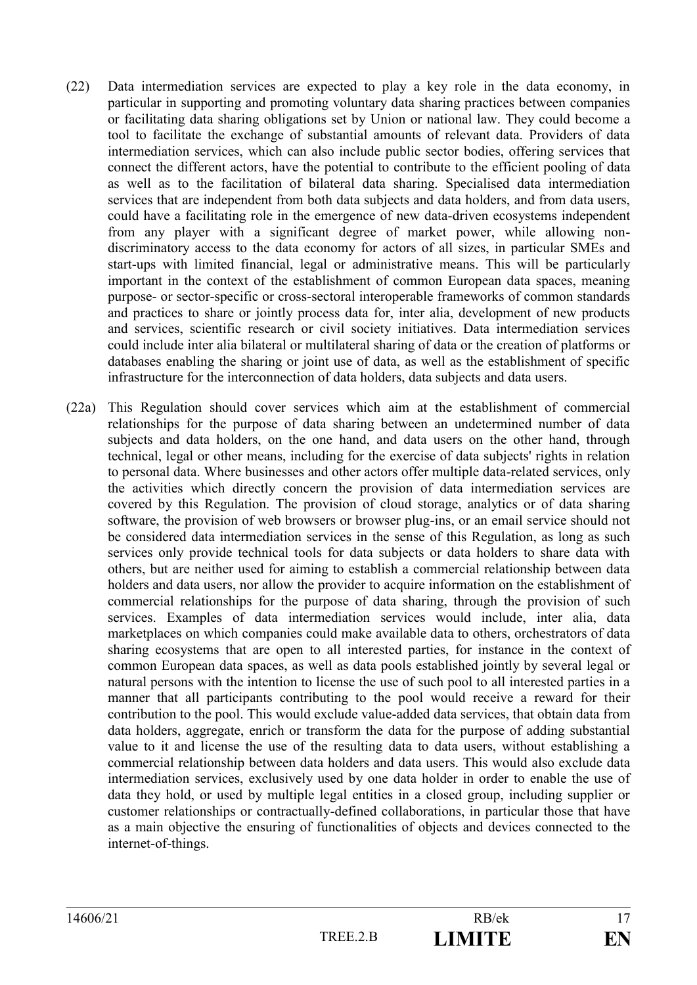- (22) Data intermediation services are expected to play a key role in the data economy, in particular in supporting and promoting voluntary data sharing practices between companies or facilitating data sharing obligations set by Union or national law. They could become a tool to facilitate the exchange of substantial amounts of relevant data. Providers of data intermediation services, which can also include public sector bodies, offering services that connect the different actors, have the potential to contribute to the efficient pooling of data as well as to the facilitation of bilateral data sharing. Specialised data intermediation services that are independent from both data subjects and data holders, and from data users, could have a facilitating role in the emergence of new data-driven ecosystems independent from any player with a significant degree of market power, while allowing nondiscriminatory access to the data economy for actors of all sizes, in particular SMEs and start-ups with limited financial, legal or administrative means. This will be particularly important in the context of the establishment of common European data spaces, meaning purpose- or sector-specific or cross-sectoral interoperable frameworks of common standards and practices to share or jointly process data for, inter alia, development of new products and services, scientific research or civil society initiatives. Data intermediation services could include inter alia bilateral or multilateral sharing of data or the creation of platforms or databases enabling the sharing or joint use of data, as well as the establishment of specific infrastructure for the interconnection of data holders, data subjects and data users.
- (22a) This Regulation should cover services which aim at the establishment of commercial relationships for the purpose of data sharing between an undetermined number of data subjects and data holders, on the one hand, and data users on the other hand, through technical, legal or other means, including for the exercise of data subjects' rights in relation to personal data. Where businesses and other actors offer multiple data-related services, only the activities which directly concern the provision of data intermediation services are covered by this Regulation. The provision of cloud storage, analytics or of data sharing software, the provision of web browsers or browser plug-ins, or an email service should not be considered data intermediation services in the sense of this Regulation, as long as such services only provide technical tools for data subjects or data holders to share data with others, but are neither used for aiming to establish a commercial relationship between data holders and data users, nor allow the provider to acquire information on the establishment of commercial relationships for the purpose of data sharing, through the provision of such services. Examples of data intermediation services would include, inter alia, data marketplaces on which companies could make available data to others, orchestrators of data sharing ecosystems that are open to all interested parties, for instance in the context of common European data spaces, as well as data pools established jointly by several legal or natural persons with the intention to license the use of such pool to all interested parties in a manner that all participants contributing to the pool would receive a reward for their contribution to the pool. This would exclude value-added data services, that obtain data from data holders, aggregate, enrich or transform the data for the purpose of adding substantial value to it and license the use of the resulting data to data users, without establishing a commercial relationship between data holders and data users. This would also exclude data intermediation services, exclusively used by one data holder in order to enable the use of data they hold, or used by multiple legal entities in a closed group, including supplier or customer relationships or contractually-defined collaborations, in particular those that have as a main objective the ensuring of functionalities of objects and devices connected to the internet-of-things.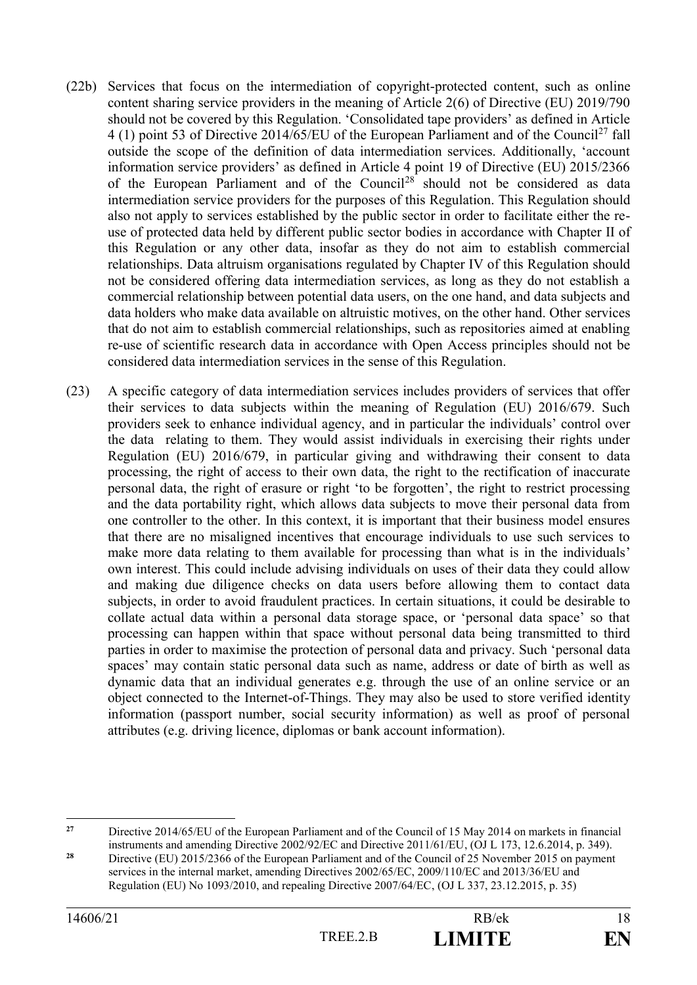- (22b) Services that focus on the intermediation of copyright-protected content, such as online content sharing service providers in the meaning of Article 2(6) of Directive (EU) 2019/790 should not be covered by this Regulation. 'Consolidated tape providers' as defined in Article 4 (1) point 53 of Directive 2014/65/EU of the European Parliament and of the Council<sup>27</sup> fall outside the scope of the definition of data intermediation services. Additionally, 'account information service providers' as defined in Article 4 point 19 of Directive (EU) 2015/2366 of the European Parliament and of the Council<sup>28</sup> should not be considered as data intermediation service providers for the purposes of this Regulation. This Regulation should also not apply to services established by the public sector in order to facilitate either the reuse of protected data held by different public sector bodies in accordance with Chapter II of this Regulation or any other data, insofar as they do not aim to establish commercial relationships. Data altruism organisations regulated by Chapter IV of this Regulation should not be considered offering data intermediation services, as long as they do not establish a commercial relationship between potential data users, on the one hand, and data subjects and data holders who make data available on altruistic motives, on the other hand. Other services that do not aim to establish commercial relationships, such as repositories aimed at enabling re-use of scientific research data in accordance with Open Access principles should not be considered data intermediation services in the sense of this Regulation.
- (23) A specific category of data intermediation services includes providers of services that offer their services to data subjects within the meaning of Regulation (EU) 2016/679. Such providers seek to enhance individual agency, and in particular the individuals' control over the data relating to them. They would assist individuals in exercising their rights under Regulation (EU) 2016/679, in particular giving and withdrawing their consent to data processing, the right of access to their own data, the right to the rectification of inaccurate personal data, the right of erasure or right 'to be forgotten', the right to restrict processing and the data portability right, which allows data subjects to move their personal data from one controller to the other. In this context, it is important that their business model ensures that there are no misaligned incentives that encourage individuals to use such services to make more data relating to them available for processing than what is in the individuals' own interest. This could include advising individuals on uses of their data they could allow and making due diligence checks on data users before allowing them to contact data subjects, in order to avoid fraudulent practices. In certain situations, it could be desirable to collate actual data within a personal data storage space, or 'personal data space' so that processing can happen within that space without personal data being transmitted to third parties in order to maximise the protection of personal data and privacy. Such 'personal data spaces' may contain static personal data such as name, address or date of birth as well as dynamic data that an individual generates e.g. through the use of an online service or an object connected to the Internet-of-Things. They may also be used to store verified identity information (passport number, social security information) as well as proof of personal attributes (e.g. driving licence, diplomas or bank account information).

 $27$ **<sup>27</sup>** Directive 2014/65/EU of the European Parliament and of the Council of 15 May 2014 on markets in financial instruments and amending Directive 2002/92/EC and Directive 2011/61/EU, (OJ L 173, 12.6.2014, p. 349).

<sup>&</sup>lt;sup>28</sup> Directive (EU) 2015/2366 of the European Parliament and of the Council of 25 November 2015 on payment services in the internal market, amending Directives 2002/65/EC, 2009/110/EC and 2013/36/EU and Regulation (EU) No 1093/2010, and repealing Directive 2007/64/EC, (OJ L 337, 23.12.2015, p. 35)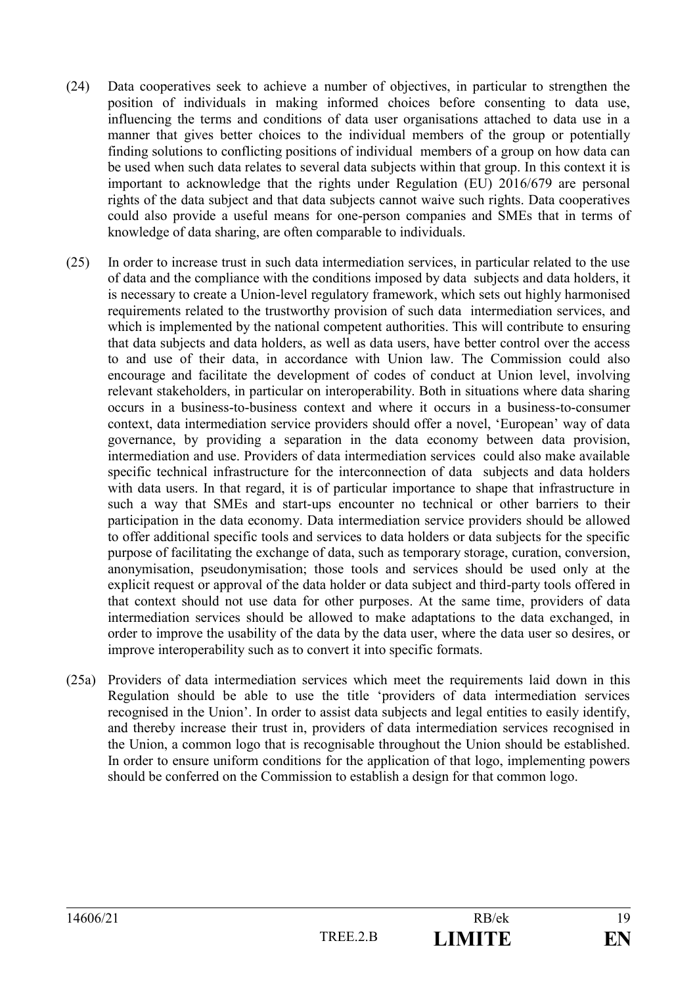- (24) Data cooperatives seek to achieve a number of objectives, in particular to strengthen the position of individuals in making informed choices before consenting to data use, influencing the terms and conditions of data user organisations attached to data use in a manner that gives better choices to the individual members of the group or potentially finding solutions to conflicting positions of individual members of a group on how data can be used when such data relates to several data subjects within that group. In this context it is important to acknowledge that the rights under Regulation (EU) 2016/679 are personal rights of the data subject and that data subjects cannot waive such rights. Data cooperatives could also provide a useful means for one-person companies and SMEs that in terms of knowledge of data sharing, are often comparable to individuals.
- (25) In order to increase trust in such data intermediation services, in particular related to the use of data and the compliance with the conditions imposed by data subjects and data holders, it is necessary to create a Union-level regulatory framework, which sets out highly harmonised requirements related to the trustworthy provision of such data intermediation services, and which is implemented by the national competent authorities. This will contribute to ensuring that data subjects and data holders, as well as data users, have better control over the access to and use of their data, in accordance with Union law. The Commission could also encourage and facilitate the development of codes of conduct at Union level, involving relevant stakeholders, in particular on interoperability. Both in situations where data sharing occurs in a business-to-business context and where it occurs in a business-to-consumer context, data intermediation service providers should offer a novel, 'European' way of data governance, by providing a separation in the data economy between data provision, intermediation and use. Providers of data intermediation services could also make available specific technical infrastructure for the interconnection of data subjects and data holders with data users. In that regard, it is of particular importance to shape that infrastructure in such a way that SMEs and start-ups encounter no technical or other barriers to their participation in the data economy. Data intermediation service providers should be allowed to offer additional specific tools and services to data holders or data subjects for the specific purpose of facilitating the exchange of data, such as temporary storage, curation, conversion, anonymisation, pseudonymisation; those tools and services should be used only at the explicit request or approval of the data holder or data subject and third-party tools offered in that context should not use data for other purposes. At the same time, providers of data intermediation services should be allowed to make adaptations to the data exchanged, in order to improve the usability of the data by the data user, where the data user so desires, or improve interoperability such as to convert it into specific formats.
- (25a) Providers of data intermediation services which meet the requirements laid down in this Regulation should be able to use the title 'providers of data intermediation services recognised in the Union'. In order to assist data subjects and legal entities to easily identify, and thereby increase their trust in, providers of data intermediation services recognised in the Union, a common logo that is recognisable throughout the Union should be established. In order to ensure uniform conditions for the application of that logo, implementing powers should be conferred on the Commission to establish a design for that common logo.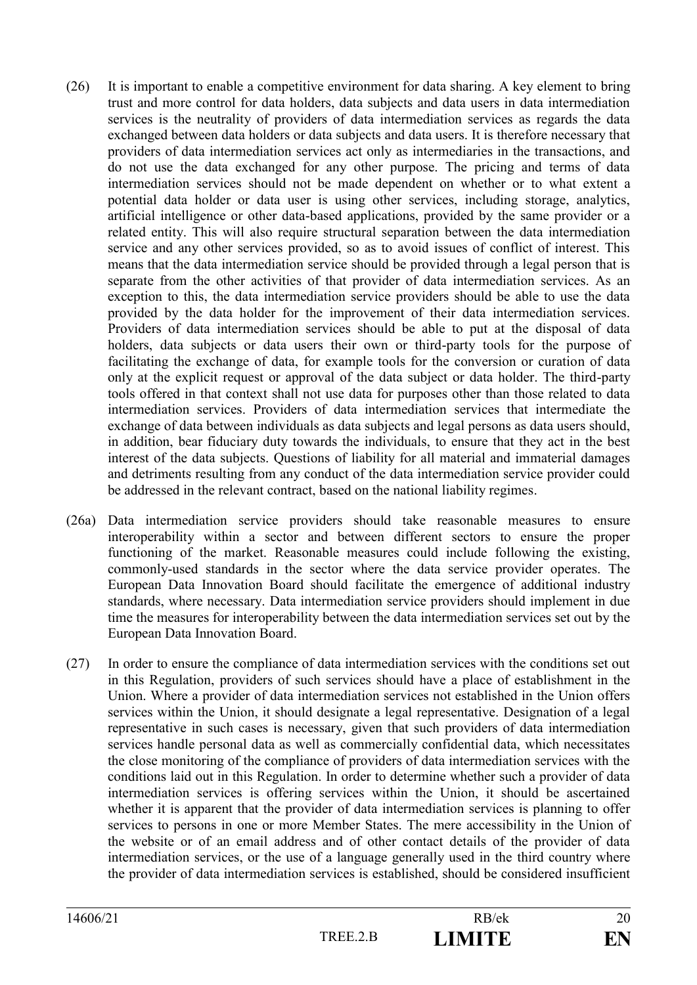- (26) It is important to enable a competitive environment for data sharing. A key element to bring trust and more control for data holders, data subjects and data users in data intermediation services is the neutrality of providers of data intermediation services as regards the data exchanged between data holders or data subjects and data users. It is therefore necessary that providers of data intermediation services act only as intermediaries in the transactions, and do not use the data exchanged for any other purpose. The pricing and terms of data intermediation services should not be made dependent on whether or to what extent a potential data holder or data user is using other services, including storage, analytics, artificial intelligence or other data-based applications, provided by the same provider or a related entity. This will also require structural separation between the data intermediation service and any other services provided, so as to avoid issues of conflict of interest. This means that the data intermediation service should be provided through a legal person that is separate from the other activities of that provider of data intermediation services. As an exception to this, the data intermediation service providers should be able to use the data provided by the data holder for the improvement of their data intermediation services. Providers of data intermediation services should be able to put at the disposal of data holders, data subjects or data users their own or third-party tools for the purpose of facilitating the exchange of data, for example tools for the conversion or curation of data only at the explicit request or approval of the data subject or data holder. The third-party tools offered in that context shall not use data for purposes other than those related to data intermediation services. Providers of data intermediation services that intermediate the exchange of data between individuals as data subjects and legal persons as data users should, in addition, bear fiduciary duty towards the individuals, to ensure that they act in the best interest of the data subjects. Questions of liability for all material and immaterial damages and detriments resulting from any conduct of the data intermediation service provider could be addressed in the relevant contract, based on the national liability regimes.
- (26a) Data intermediation service providers should take reasonable measures to ensure interoperability within a sector and between different sectors to ensure the proper functioning of the market. Reasonable measures could include following the existing, commonly-used standards in the sector where the data service provider operates. The European Data Innovation Board should facilitate the emergence of additional industry standards, where necessary. Data intermediation service providers should implement in due time the measures for interoperability between the data intermediation services set out by the European Data Innovation Board.
- (27) In order to ensure the compliance of data intermediation services with the conditions set out in this Regulation, providers of such services should have a place of establishment in the Union. Where a provider of data intermediation services not established in the Union offers services within the Union, it should designate a legal representative. Designation of a legal representative in such cases is necessary, given that such providers of data intermediation services handle personal data as well as commercially confidential data, which necessitates the close monitoring of the compliance of providers of data intermediation services with the conditions laid out in this Regulation. In order to determine whether such a provider of data intermediation services is offering services within the Union, it should be ascertained whether it is apparent that the provider of data intermediation services is planning to offer services to persons in one or more Member States. The mere accessibility in the Union of the website or of an email address and of other contact details of the provider of data intermediation services, or the use of a language generally used in the third country where the provider of data intermediation services is established, should be considered insufficient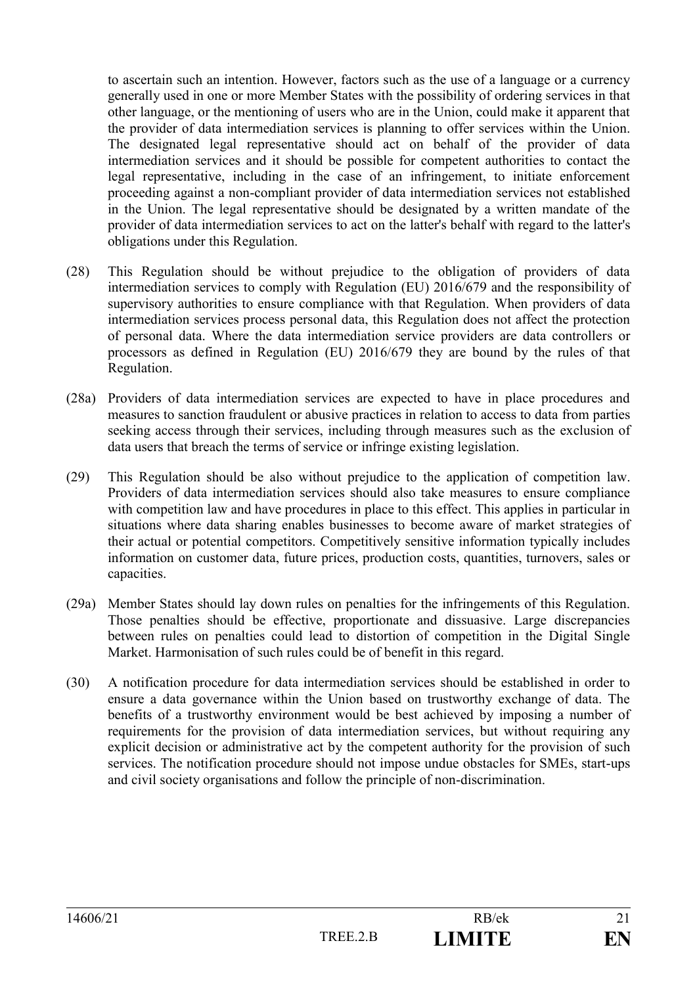to ascertain such an intention. However, factors such as the use of a language or a currency generally used in one or more Member States with the possibility of ordering services in that other language, or the mentioning of users who are in the Union, could make it apparent that the provider of data intermediation services is planning to offer services within the Union. The designated legal representative should act on behalf of the provider of data intermediation services and it should be possible for competent authorities to contact the legal representative, including in the case of an infringement, to initiate enforcement proceeding against a non-compliant provider of data intermediation services not established in the Union. The legal representative should be designated by a written mandate of the provider of data intermediation services to act on the latter's behalf with regard to the latter's obligations under this Regulation.

- (28) This Regulation should be without prejudice to the obligation of providers of data intermediation services to comply with Regulation (EU) 2016/679 and the responsibility of supervisory authorities to ensure compliance with that Regulation. When providers of data intermediation services process personal data, this Regulation does not affect the protection of personal data. Where the data intermediation service providers are data controllers or processors as defined in Regulation (EU) 2016/679 they are bound by the rules of that Regulation.
- (28a) Providers of data intermediation services are expected to have in place procedures and measures to sanction fraudulent or abusive practices in relation to access to data from parties seeking access through their services, including through measures such as the exclusion of data users that breach the terms of service or infringe existing legislation.
- (29) This Regulation should be also without prejudice to the application of competition law. Providers of data intermediation services should also take measures to ensure compliance with competition law and have procedures in place to this effect. This applies in particular in situations where data sharing enables businesses to become aware of market strategies of their actual or potential competitors. Competitively sensitive information typically includes information on customer data, future prices, production costs, quantities, turnovers, sales or capacities.
- (29a) Member States should lay down rules on penalties for the infringements of this Regulation. Those penalties should be effective, proportionate and dissuasive. Large discrepancies between rules on penalties could lead to distortion of competition in the Digital Single Market. Harmonisation of such rules could be of benefit in this regard.
- (30) A notification procedure for data intermediation services should be established in order to ensure a data governance within the Union based on trustworthy exchange of data. The benefits of a trustworthy environment would be best achieved by imposing a number of requirements for the provision of data intermediation services, but without requiring any explicit decision or administrative act by the competent authority for the provision of such services. The notification procedure should not impose undue obstacles for SMEs, start-ups and civil society organisations and follow the principle of non-discrimination.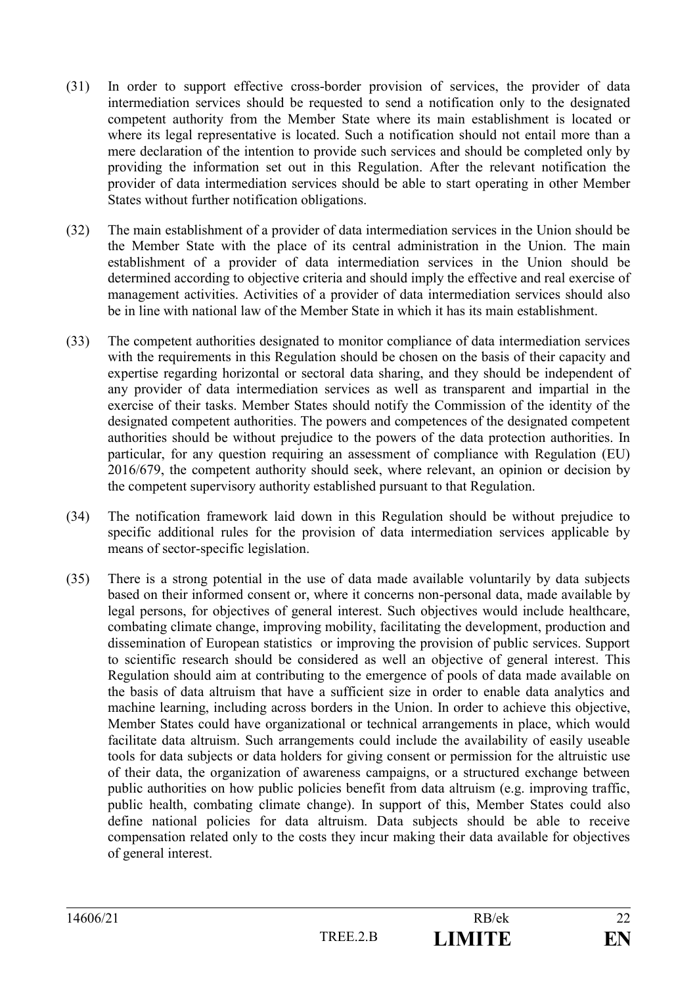- (31) In order to support effective cross-border provision of services, the provider of data intermediation services should be requested to send a notification only to the designated competent authority from the Member State where its main establishment is located or where its legal representative is located. Such a notification should not entail more than a mere declaration of the intention to provide such services and should be completed only by providing the information set out in this Regulation. After the relevant notification the provider of data intermediation services should be able to start operating in other Member States without further notification obligations.
- (32) The main establishment of a provider of data intermediation services in the Union should be the Member State with the place of its central administration in the Union. The main establishment of a provider of data intermediation services in the Union should be determined according to objective criteria and should imply the effective and real exercise of management activities. Activities of a provider of data intermediation services should also be in line with national law of the Member State in which it has its main establishment.
- (33) The competent authorities designated to monitor compliance of data intermediation services with the requirements in this Regulation should be chosen on the basis of their capacity and expertise regarding horizontal or sectoral data sharing, and they should be independent of any provider of data intermediation services as well as transparent and impartial in the exercise of their tasks. Member States should notify the Commission of the identity of the designated competent authorities. The powers and competences of the designated competent authorities should be without prejudice to the powers of the data protection authorities. In particular, for any question requiring an assessment of compliance with Regulation (EU) 2016/679, the competent authority should seek, where relevant, an opinion or decision by the competent supervisory authority established pursuant to that Regulation.
- (34) The notification framework laid down in this Regulation should be without prejudice to specific additional rules for the provision of data intermediation services applicable by means of sector-specific legislation.
- (35) There is a strong potential in the use of data made available voluntarily by data subjects based on their informed consent or, where it concerns non-personal data, made available by legal persons, for objectives of general interest. Such objectives would include healthcare, combating climate change, improving mobility, facilitating the development, production and dissemination of European statistics or improving the provision of public services. Support to scientific research should be considered as well an objective of general interest. This Regulation should aim at contributing to the emergence of pools of data made available on the basis of data altruism that have a sufficient size in order to enable data analytics and machine learning, including across borders in the Union. In order to achieve this objective, Member States could have organizational or technical arrangements in place, which would facilitate data altruism. Such arrangements could include the availability of easily useable tools for data subjects or data holders for giving consent or permission for the altruistic use of their data, the organization of awareness campaigns, or a structured exchange between public authorities on how public policies benefit from data altruism (e.g. improving traffic, public health, combating climate change). In support of this, Member States could also define national policies for data altruism. Data subjects should be able to receive compensation related only to the costs they incur making their data available for objectives of general interest.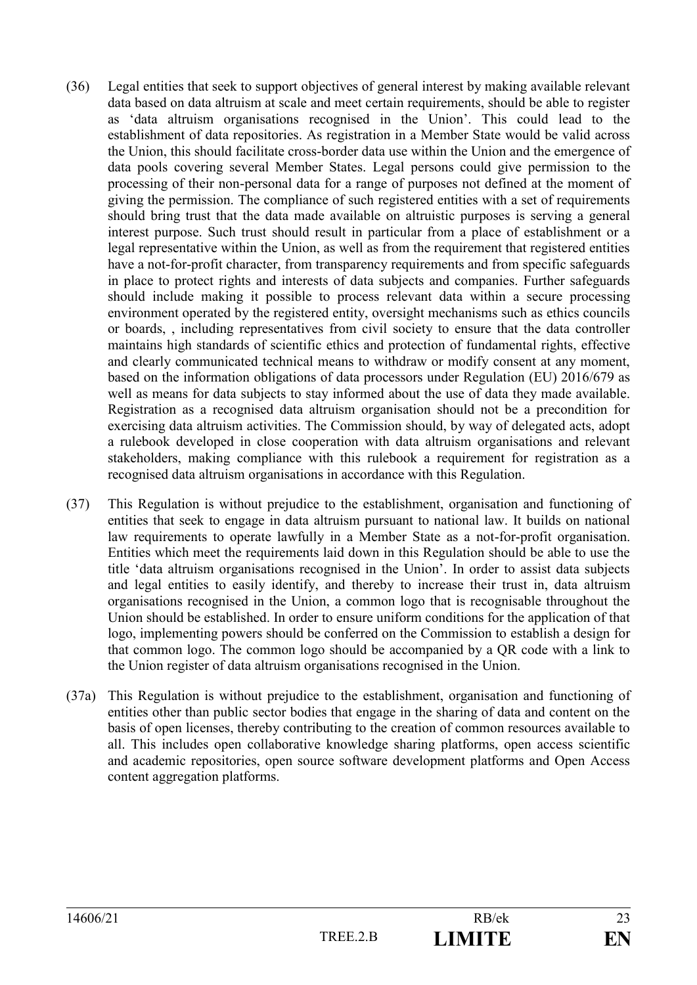- (36) Legal entities that seek to support objectives of general interest by making available relevant data based on data altruism at scale and meet certain requirements, should be able to register as 'data altruism organisations recognised in the Union'. This could lead to the establishment of data repositories. As registration in a Member State would be valid across the Union, this should facilitate cross-border data use within the Union and the emergence of data pools covering several Member States. Legal persons could give permission to the processing of their non-personal data for a range of purposes not defined at the moment of giving the permission. The compliance of such registered entities with a set of requirements should bring trust that the data made available on altruistic purposes is serving a general interest purpose. Such trust should result in particular from a place of establishment or a legal representative within the Union, as well as from the requirement that registered entities have a not-for-profit character, from transparency requirements and from specific safeguards in place to protect rights and interests of data subjects and companies. Further safeguards should include making it possible to process relevant data within a secure processing environment operated by the registered entity, oversight mechanisms such as ethics councils or boards, , including representatives from civil society to ensure that the data controller maintains high standards of scientific ethics and protection of fundamental rights, effective and clearly communicated technical means to withdraw or modify consent at any moment, based on the information obligations of data processors under Regulation (EU) 2016/679 as well as means for data subjects to stay informed about the use of data they made available. Registration as a recognised data altruism organisation should not be a precondition for exercising data altruism activities. The Commission should, by way of delegated acts, adopt a rulebook developed in close cooperation with data altruism organisations and relevant stakeholders, making compliance with this rulebook a requirement for registration as a recognised data altruism organisations in accordance with this Regulation.
- (37) This Regulation is without prejudice to the establishment, organisation and functioning of entities that seek to engage in data altruism pursuant to national law. It builds on national law requirements to operate lawfully in a Member State as a not-for-profit organisation. Entities which meet the requirements laid down in this Regulation should be able to use the title 'data altruism organisations recognised in the Union'. In order to assist data subjects and legal entities to easily identify, and thereby to increase their trust in, data altruism organisations recognised in the Union, a common logo that is recognisable throughout the Union should be established. In order to ensure uniform conditions for the application of that logo, implementing powers should be conferred on the Commission to establish a design for that common logo. The common logo should be accompanied by a QR code with a link to the Union register of data altruism organisations recognised in the Union.
- (37a) This Regulation is without prejudice to the establishment, organisation and functioning of entities other than public sector bodies that engage in the sharing of data and content on the basis of open licenses, thereby contributing to the creation of common resources available to all. This includes open collaborative knowledge sharing platforms, open access scientific and academic repositories, open source software development platforms and Open Access content aggregation platforms.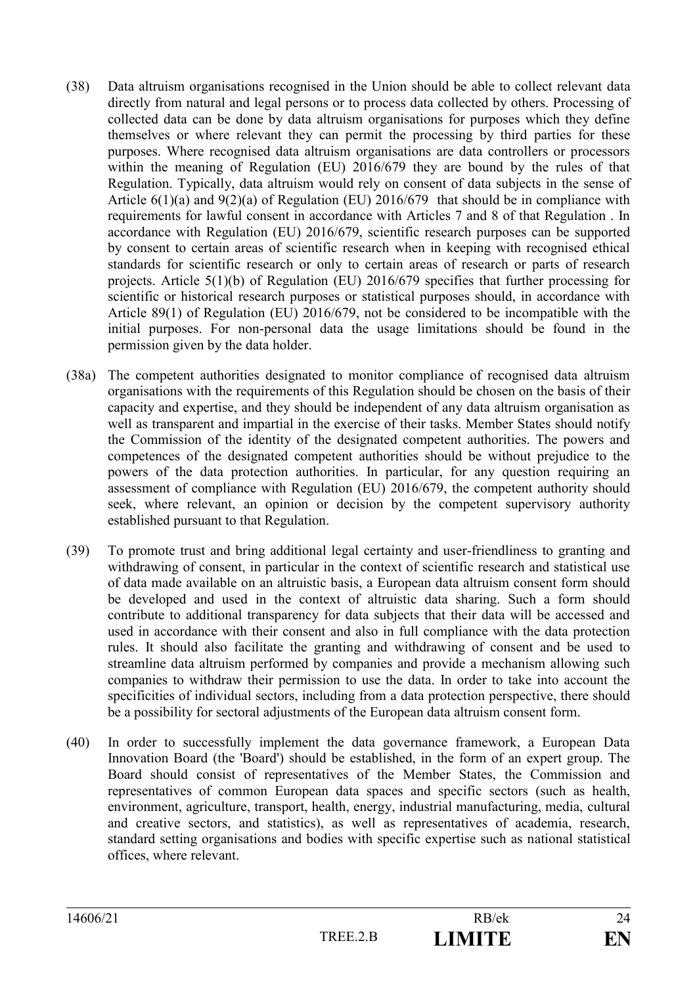- (38) Data altruism organisations recognised in the Union should be able to collect relevant data directly from natural and legal persons or to process data collected by others. Processing of collected data can be done by data altruism organisations for purposes which they define themselves or where relevant they can permit the processing by third parties for these purposes. Where recognised data altruism organisations are data controllers or processors within the meaning of Regulation (EU) 2016/679 they are bound by the rules of that Regulation. Typically, data altruism would rely on consent of data subjects in the sense of Article 6(1)(a) and 9(2)(a) of Regulation (EU) 2016/679 that should be in compliance with requirements for lawful consent in accordance with Articles 7 and 8 of that Regulation . In accordance with Regulation (EU) 2016/679, scientific research purposes can be supported by consent to certain areas of scientific research when in keeping with recognised ethical standards for scientific research or only to certain areas of research or parts of research projects. Article 5(1)(b) of Regulation (EU) 2016/679 specifies that further processing for scientific or historical research purposes or statistical purposes should, in accordance with Article 89(1) of Regulation (EU) 2016/679, not be considered to be incompatible with the initial purposes. For non-personal data the usage limitations should be found in the permission given by the data holder.
- (38a) The competent authorities designated to monitor compliance of recognised data altruism organisations with the requirements of this Regulation should be chosen on the basis of their capacity and expertise, and they should be independent of any data altruism organisation as well as transparent and impartial in the exercise of their tasks. Member States should notify the Commission of the identity of the designated competent authorities. The powers and competences of the designated competent authorities should be without prejudice to the powers of the data protection authorities. In particular, for any question requiring an assessment of compliance with Regulation (EU) 2016/679, the competent authority should seek, where relevant, an opinion or decision by the competent supervisory authority established pursuant to that Regulation.
- (39) To promote trust and bring additional legal certainty and user-friendliness to granting and withdrawing of consent, in particular in the context of scientific research and statistical use of data made available on an altruistic basis, a European data altruism consent form should be developed and used in the context of altruistic data sharing. Such a form should contribute to additional transparency for data subjects that their data will be accessed and used in accordance with their consent and also in full compliance with the data protection rules. It should also facilitate the granting and withdrawing of consent and be used to streamline data altruism performed by companies and provide a mechanism allowing such companies to withdraw their permission to use the data. In order to take into account the specificities of individual sectors, including from a data protection perspective, there should be a possibility for sectoral adjustments of the European data altruism consent form.
- (40) In order to successfully implement the data governance framework, a European Data Innovation Board (the 'Board') should be established, in the form of an expert group. The Board should consist of representatives of the Member States, the Commission and representatives of common European data spaces and specific sectors (such as health, environment, agriculture, transport, health, energy, industrial manufacturing, media, cultural and creative sectors, and statistics), as well as representatives of academia, research, standard setting organisations and bodies with specific expertise such as national statistical offices, where relevant.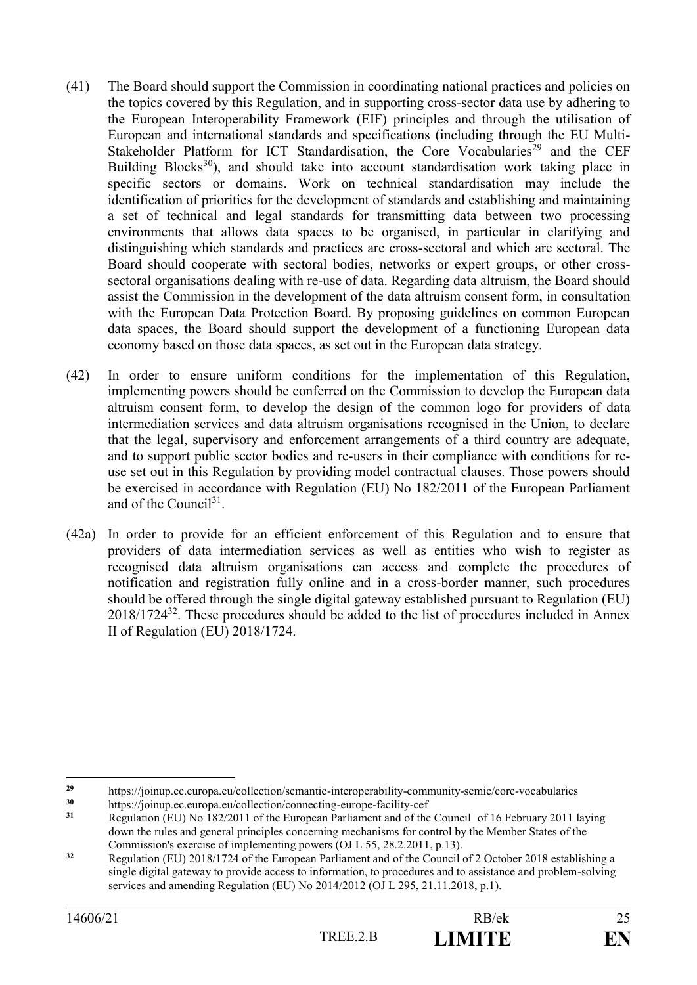- (41) The Board should support the Commission in coordinating national practices and policies on the topics covered by this Regulation, and in supporting cross-sector data use by adhering to the European Interoperability Framework (EIF) principles and through the utilisation of European and international standards and specifications (including through the EU Multi-Stakeholder Platform for ICT Standardisation, the Core Vocabularies<sup>29</sup> and the CEF Building Blocks<sup>30</sup>), and should take into account standardisation work taking place in specific sectors or domains. Work on technical standardisation may include the identification of priorities for the development of standards and establishing and maintaining a set of technical and legal standards for transmitting data between two processing environments that allows data spaces to be organised, in particular in clarifying and distinguishing which standards and practices are cross-sectoral and which are sectoral. The Board should cooperate with sectoral bodies, networks or expert groups, or other crosssectoral organisations dealing with re-use of data. Regarding data altruism, the Board should assist the Commission in the development of the data altruism consent form, in consultation with the European Data Protection Board. By proposing guidelines on common European data spaces, the Board should support the development of a functioning European data economy based on those data spaces, as set out in the European data strategy.
- (42) In order to ensure uniform conditions for the implementation of this Regulation, implementing powers should be conferred on the Commission to develop the European data altruism consent form, to develop the design of the common logo for providers of data intermediation services and data altruism organisations recognised in the Union, to declare that the legal, supervisory and enforcement arrangements of a third country are adequate, and to support public sector bodies and re-users in their compliance with conditions for reuse set out in this Regulation by providing model contractual clauses. Those powers should be exercised in accordance with Regulation (EU) No 182/2011 of the European Parliament and of the Council<sup>31</sup>.
- (42a) In order to provide for an efficient enforcement of this Regulation and to ensure that providers of data intermediation services as well as entities who wish to register as recognised data altruism organisations can access and complete the procedures of notification and registration fully online and in a cross-border manner, such procedures should be offered through the single digital gateway established pursuant to Regulation (EU)  $2018/1724^{32}$ . These procedures should be added to the list of procedures included in Annex II of Regulation (EU) 2018/1724.

 $29$ <sup>29</sup> https://joinup.ec.europa.eu/collection/semantic-interoperability-community-semic/core-vocabularies<br><sup>30</sup> https://joinup.ec.europa.eu/collection/semantics\_europe\_fosility\_eef

**<sup>30</sup>** https://joinup.ec.europa.eu/collection/connecting-europe-facility-cef

**<sup>31</sup>** Regulation (EU) No 182/2011 of the European Parliament and of the Council of 16 February 2011 laying down the rules and general principles concerning mechanisms for control by the Member States of the Commission's exercise of implementing powers (OJ L 55, 28.2.2011, p.13).

**<sup>32</sup>** Regulation (EU) 2018/1724 of the European Parliament and of the Council of 2 October 2018 establishing a single digital gateway to provide access to information, to procedures and to assistance and problem-solving services and amending Regulation (EU) No 2014/2012 (OJ L 295, 21.11.2018, p.1).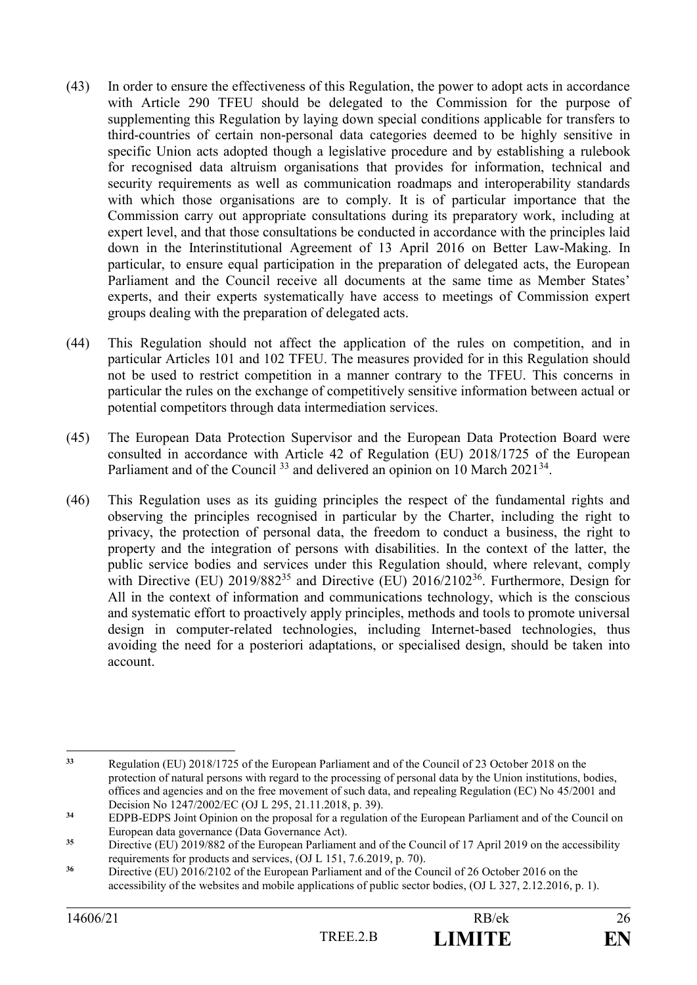- (43) In order to ensure the effectiveness of this Regulation, the power to adopt acts in accordance with Article 290 TFEU should be delegated to the Commission for the purpose of supplementing this Regulation by laying down special conditions applicable for transfers to third-countries of certain non-personal data categories deemed to be highly sensitive in specific Union acts adopted though a legislative procedure and by establishing a rulebook for recognised data altruism organisations that provides for information, technical and security requirements as well as communication roadmaps and interoperability standards with which those organisations are to comply. It is of particular importance that the Commission carry out appropriate consultations during its preparatory work, including at expert level, and that those consultations be conducted in accordance with the principles laid down in the Interinstitutional Agreement of 13 April 2016 on Better Law-Making. In particular, to ensure equal participation in the preparation of delegated acts, the European Parliament and the Council receive all documents at the same time as Member States' experts, and their experts systematically have access to meetings of Commission expert groups dealing with the preparation of delegated acts.
- (44) This Regulation should not affect the application of the rules on competition, and in particular Articles 101 and 102 TFEU. The measures provided for in this Regulation should not be used to restrict competition in a manner contrary to the TFEU. This concerns in particular the rules on the exchange of competitively sensitive information between actual or potential competitors through data intermediation services.
- (45) The European Data Protection Supervisor and the European Data Protection Board were consulted in accordance with Article 42 of Regulation (EU) 2018/1725 of the European Parliament and of the Council<sup>33</sup> and delivered an opinion on 10 March  $2021^{34}$ .
- (46) This Regulation uses as its guiding principles the respect of the fundamental rights and observing the principles recognised in particular by the Charter, including the right to privacy, the protection of personal data, the freedom to conduct a business, the right to property and the integration of persons with disabilities. In the context of the latter, the public service bodies and services under this Regulation should, where relevant, comply with Directive (EU)  $2019/882^{35}$  and Directive (EU)  $2016/2102^{36}$ . Furthermore, Design for All in the context of information and communications technology, which is the conscious and systematic effort to proactively apply principles, methods and tools to promote universal design in computer-related technologies, including Internet-based technologies, thus avoiding the need for a posteriori adaptations, or specialised design, should be taken into account.

 $33$ **<sup>33</sup>** Regulation (EU) 2018/1725 of the European Parliament and of the Council of 23 October 2018 on the protection of natural persons with regard to the processing of personal data by the Union institutions, bodies, offices and agencies and on the free movement of such data, and repealing Regulation (EC) No 45/2001 and Decision No 1247/2002/EC (OJ L 295, 21.11.2018, p. 39).

<sup>&</sup>lt;sup>34</sup> EDPB-EDPS Joint Opinion on the proposal for a regulation of the European Parliament and of the Council on European data governance (Data Governance Act).

<sup>&</sup>lt;sup>35</sup> Directive (EU) 2019/882 of the European Parliament and of the Council of 17 April 2019 on the accessibility requirements for products and services, (OJ L 151, 7.6.2019, p. 70).

<sup>&</sup>lt;sup>36</sup> Directive (EU) 2016/2102 of the European Parliament and of the Council of 26 October 2016 on the accessibility of the websites and mobile applications of public sector bodies, (OJ L 327, 2.12.2016, p. 1).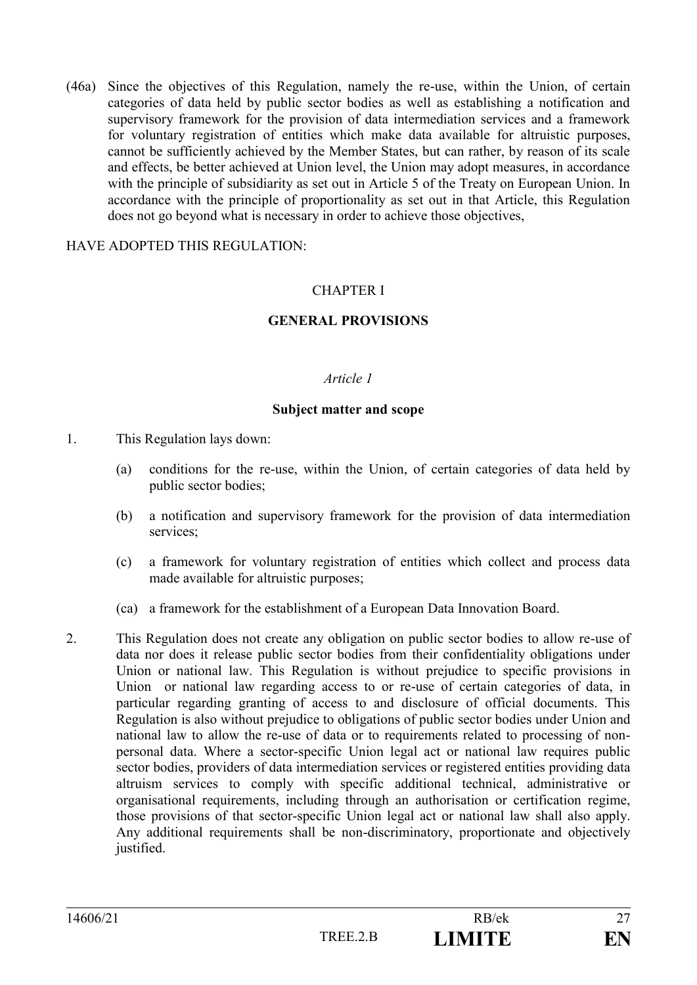(46a) Since the objectives of this Regulation, namely the re-use, within the Union, of certain categories of data held by public sector bodies as well as establishing a notification and supervisory framework for the provision of data intermediation services and a framework for voluntary registration of entities which make data available for altruistic purposes, cannot be sufficiently achieved by the Member States, but can rather, by reason of its scale and effects, be better achieved at Union level, the Union may adopt measures, in accordance with the principle of subsidiarity as set out in Article 5 of the Treaty on European Union. In accordance with the principle of proportionality as set out in that Article, this Regulation does not go beyond what is necessary in order to achieve those objectives,

### HAVE ADOPTED THIS REGULATION:

# CHAPTER I

# **GENERAL PROVISIONS**

#### *Article 1*

#### **Subject matter and scope**

- 1. This Regulation lays down:
	- (a) conditions for the re-use, within the Union, of certain categories of data held by public sector bodies;
	- (b) a notification and supervisory framework for the provision of data intermediation services;
	- (c) a framework for voluntary registration of entities which collect and process data made available for altruistic purposes;
	- (ca) a framework for the establishment of a European Data Innovation Board.
- 2. This Regulation does not create any obligation on public sector bodies to allow re-use of data nor does it release public sector bodies from their confidentiality obligations under Union or national law. This Regulation is without prejudice to specific provisions in Union or national law regarding access to or re-use of certain categories of data, in particular regarding granting of access to and disclosure of official documents. This Regulation is also without prejudice to obligations of public sector bodies under Union and national law to allow the re-use of data or to requirements related to processing of nonpersonal data. Where a sector-specific Union legal act or national law requires public sector bodies, providers of data intermediation services or registered entities providing data altruism services to comply with specific additional technical, administrative or organisational requirements, including through an authorisation or certification regime, those provisions of that sector-specific Union legal act or national law shall also apply. Any additional requirements shall be non-discriminatory, proportionate and objectively justified.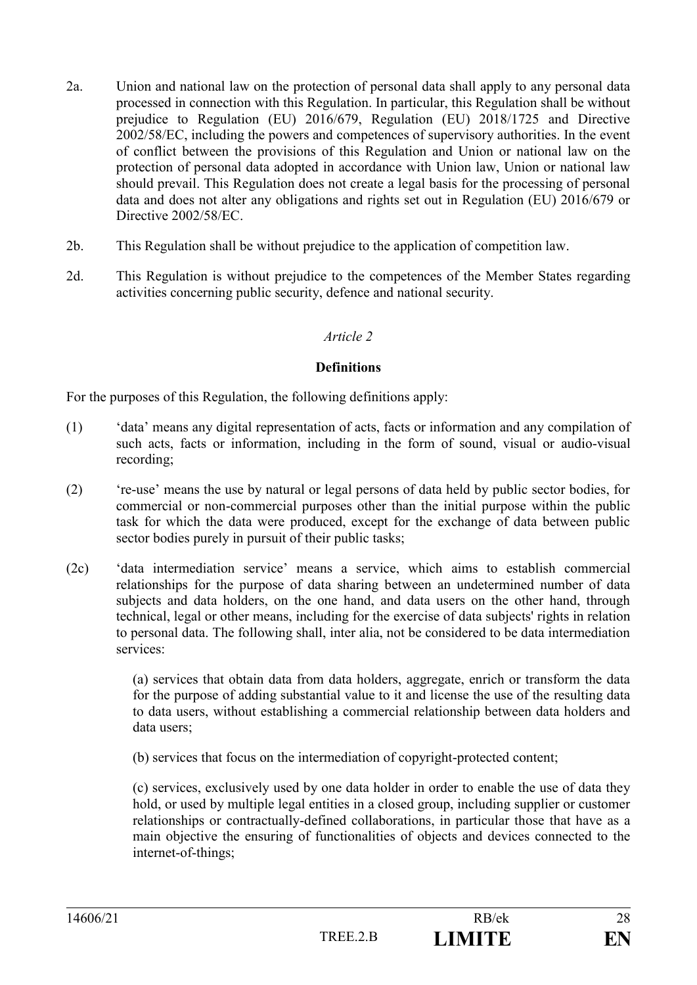- 2a. Union and national law on the protection of personal data shall apply to any personal data processed in connection with this Regulation. In particular, this Regulation shall be without prejudice to Regulation (EU) 2016/679, Regulation (EU) 2018/1725 and Directive 2002/58/EC, including the powers and competences of supervisory authorities. In the event of conflict between the provisions of this Regulation and Union or national law on the protection of personal data adopted in accordance with Union law, Union or national law should prevail. This Regulation does not create a legal basis for the processing of personal data and does not alter any obligations and rights set out in Regulation (EU) 2016/679 or Directive 2002/58/EC
- 2b. This Regulation shall be without prejudice to the application of competition law.
- 2d. This Regulation is without prejudice to the competences of the Member States regarding activities concerning public security, defence and national security.

#### **Definitions**

For the purposes of this Regulation, the following definitions apply:

- (1) 'data' means any digital representation of acts, facts or information and any compilation of such acts, facts or information, including in the form of sound, visual or audio-visual recording;
- (2) 're-use' means the use by natural or legal persons of data held by public sector bodies, for commercial or non-commercial purposes other than the initial purpose within the public task for which the data were produced, except for the exchange of data between public sector bodies purely in pursuit of their public tasks;
- (2c) 'data intermediation service' means a service, which aims to establish commercial relationships for the purpose of data sharing between an undetermined number of data subjects and data holders, on the one hand, and data users on the other hand, through technical, legal or other means, including for the exercise of data subjects' rights in relation to personal data. The following shall, inter alia, not be considered to be data intermediation services:

(a) services that obtain data from data holders, aggregate, enrich or transform the data for the purpose of adding substantial value to it and license the use of the resulting data to data users, without establishing a commercial relationship between data holders and data users;

(b) services that focus on the intermediation of copyright-protected content;

(c) services, exclusively used by one data holder in order to enable the use of data they hold, or used by multiple legal entities in a closed group, including supplier or customer relationships or contractually-defined collaborations, in particular those that have as a main objective the ensuring of functionalities of objects and devices connected to the internet-of-things;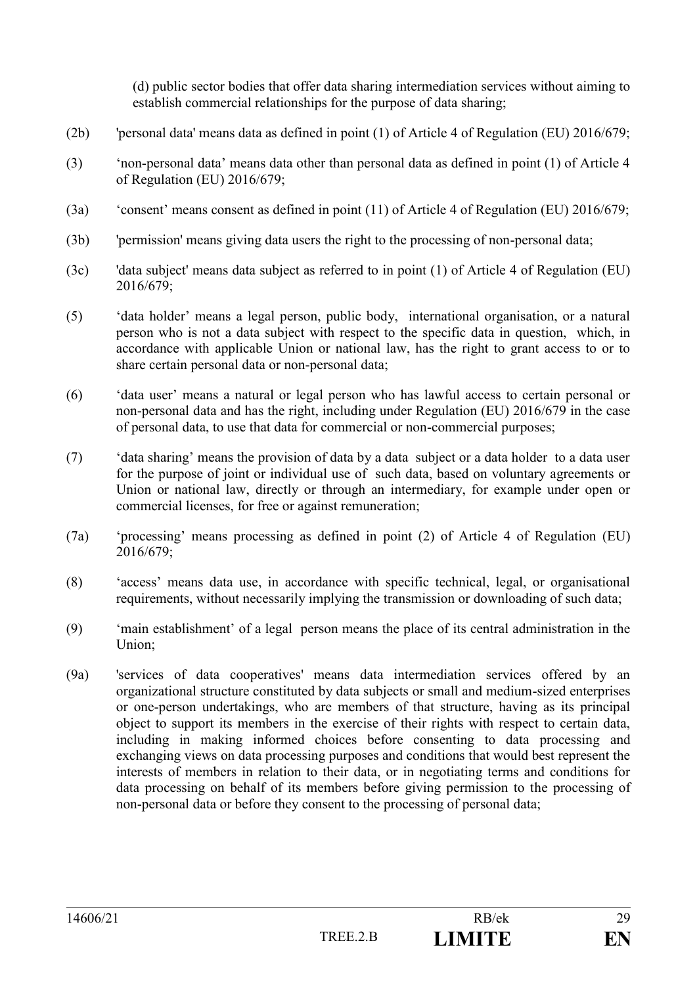(d) public sector bodies that offer data sharing intermediation services without aiming to establish commercial relationships for the purpose of data sharing;

- (2b) 'personal data' means data as defined in point (1) of Article 4 of Regulation (EU) 2016/679;
- (3) 'non-personal data' means data other than personal data as defined in point (1) of Article 4 of Regulation (EU) 2016/679;
- (3a) 'consent' means consent as defined in point (11) of Article 4 of Regulation (EU) 2016/679;
- (3b) 'permission' means giving data users the right to the processing of non-personal data;
- (3c) 'data subject' means data subject as referred to in point (1) of Article 4 of Regulation (EU) 2016/679;
- (5) 'data holder' means a legal person, public body, international organisation, or a natural person who is not a data subject with respect to the specific data in question, which, in accordance with applicable Union or national law, has the right to grant access to or to share certain personal data or non-personal data;
- (6) 'data user' means a natural or legal person who has lawful access to certain personal or non-personal data and has the right, including under Regulation (EU) 2016/679 in the case of personal data, to use that data for commercial or non-commercial purposes;
- (7) 'data sharing' means the provision of data by a data subject or a data holder to a data user for the purpose of joint or individual use of such data, based on voluntary agreements or Union or national law, directly or through an intermediary, for example under open or commercial licenses, for free or against remuneration;
- (7a) 'processing' means processing as defined in point (2) of Article 4 of Regulation (EU) 2016/679;
- (8) 'access' means data use, in accordance with specific technical, legal, or organisational requirements, without necessarily implying the transmission or downloading of such data;
- (9) 'main establishment' of a legal person means the place of its central administration in the Union;
- (9a) 'services of data cooperatives' means data intermediation services offered by an organizational structure constituted by data subjects or small and medium-sized enterprises or one-person undertakings, who are members of that structure, having as its principal object to support its members in the exercise of their rights with respect to certain data, including in making informed choices before consenting to data processing and exchanging views on data processing purposes and conditions that would best represent the interests of members in relation to their data, or in negotiating terms and conditions for data processing on behalf of its members before giving permission to the processing of non-personal data or before they consent to the processing of personal data;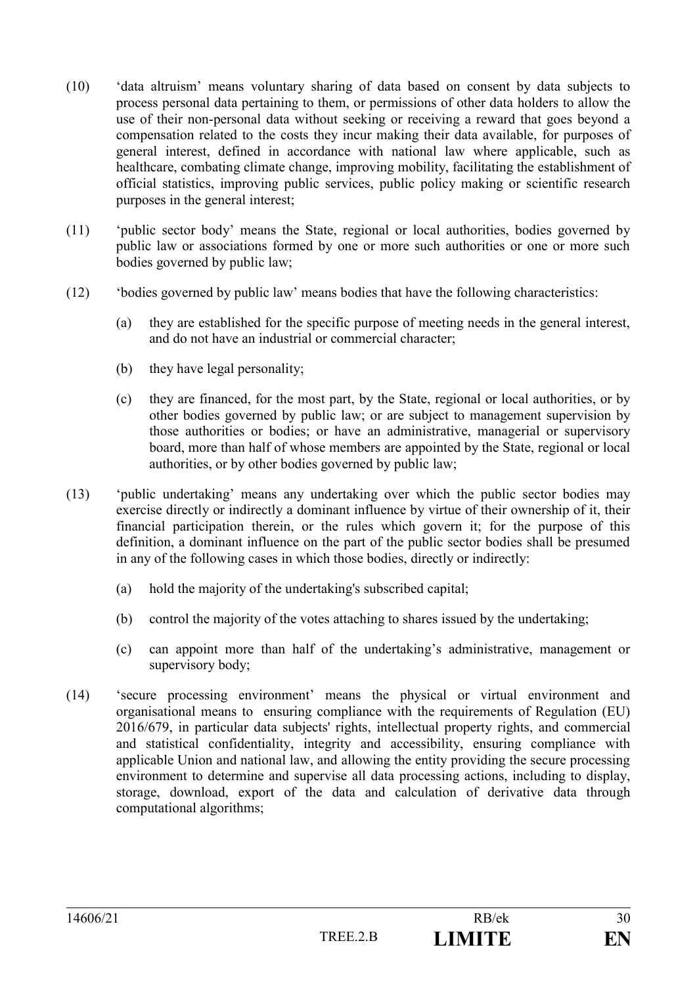- (10) 'data altruism' means voluntary sharing of data based on consent by data subjects to process personal data pertaining to them, or permissions of other data holders to allow the use of their non-personal data without seeking or receiving a reward that goes beyond a compensation related to the costs they incur making their data available, for purposes of general interest, defined in accordance with national law where applicable, such as healthcare, combating climate change, improving mobility, facilitating the establishment of official statistics, improving public services, public policy making or scientific research purposes in the general interest;
- (11) 'public sector body' means the State, regional or local authorities, bodies governed by public law or associations formed by one or more such authorities or one or more such bodies governed by public law;
- (12) 'bodies governed by public law' means bodies that have the following characteristics:
	- (a) they are established for the specific purpose of meeting needs in the general interest, and do not have an industrial or commercial character;
	- (b) they have legal personality;
	- (c) they are financed, for the most part, by the State, regional or local authorities, or by other bodies governed by public law; or are subject to management supervision by those authorities or bodies; or have an administrative, managerial or supervisory board, more than half of whose members are appointed by the State, regional or local authorities, or by other bodies governed by public law;
- (13) 'public undertaking' means any undertaking over which the public sector bodies may exercise directly or indirectly a dominant influence by virtue of their ownership of it, their financial participation therein, or the rules which govern it; for the purpose of this definition, a dominant influence on the part of the public sector bodies shall be presumed in any of the following cases in which those bodies, directly or indirectly:
	- (a) hold the majority of the undertaking's subscribed capital;
	- (b) control the majority of the votes attaching to shares issued by the undertaking;
	- (c) can appoint more than half of the undertaking's administrative, management or supervisory body;
- (14) 'secure processing environment' means the physical or virtual environment and organisational means to ensuring compliance with the requirements of Regulation (EU) 2016/679, in particular data subjects' rights, intellectual property rights, and commercial and statistical confidentiality, integrity and accessibility, ensuring compliance with applicable Union and national law, and allowing the entity providing the secure processing environment to determine and supervise all data processing actions, including to display, storage, download, export of the data and calculation of derivative data through computational algorithms;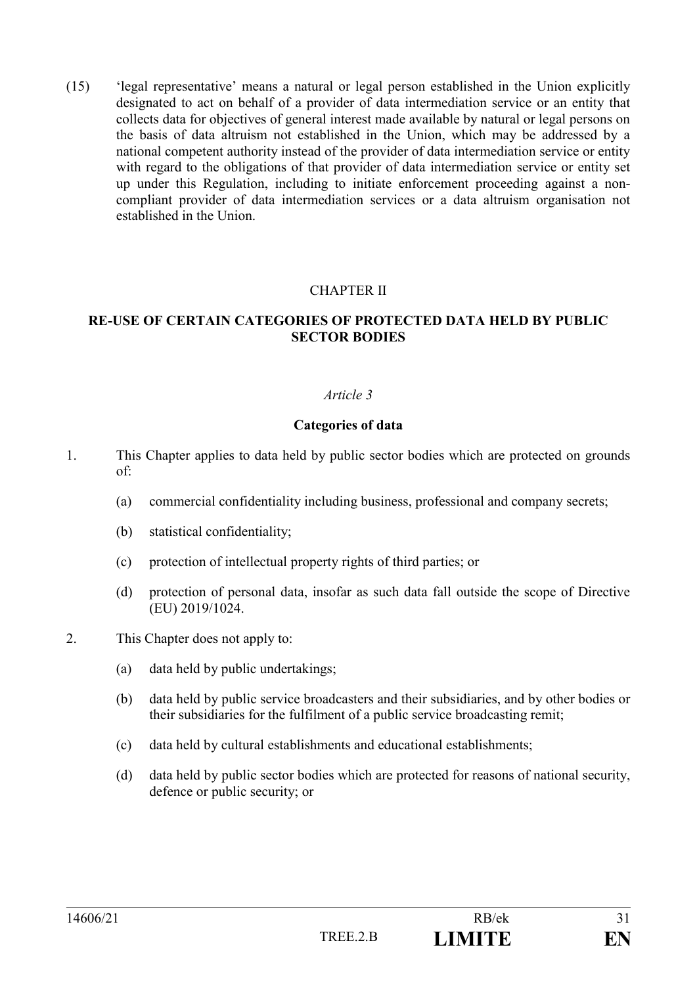(15) 'legal representative' means a natural or legal person established in the Union explicitly designated to act on behalf of a provider of data intermediation service or an entity that collects data for objectives of general interest made available by natural or legal persons on the basis of data altruism not established in the Union, which may be addressed by a national competent authority instead of the provider of data intermediation service or entity with regard to the obligations of that provider of data intermediation service or entity set up under this Regulation, including to initiate enforcement proceeding against a noncompliant provider of data intermediation services or a data altruism organisation not established in the Union.

# CHAPTER II

### **RE-USE OF CERTAIN CATEGORIES OF PROTECTED DATA HELD BY PUBLIC SECTOR BODIES**

#### *Article 3*

#### **Categories of data**

- 1. This Chapter applies to data held by public sector bodies which are protected on grounds of:
	- (a) commercial confidentiality including business, professional and company secrets;
	- (b) statistical confidentiality;
	- (c) protection of intellectual property rights of third parties; or
	- (d) protection of personal data, insofar as such data fall outside the scope of Directive (EU) 2019/1024.
- 2. This Chapter does not apply to:
	- (a) data held by public undertakings;
	- (b) data held by public service broadcasters and their subsidiaries, and by other bodies or their subsidiaries for the fulfilment of a public service broadcasting remit;
	- (c) data held by cultural establishments and educational establishments;
	- (d) data held by public sector bodies which are protected for reasons of national security, defence or public security; or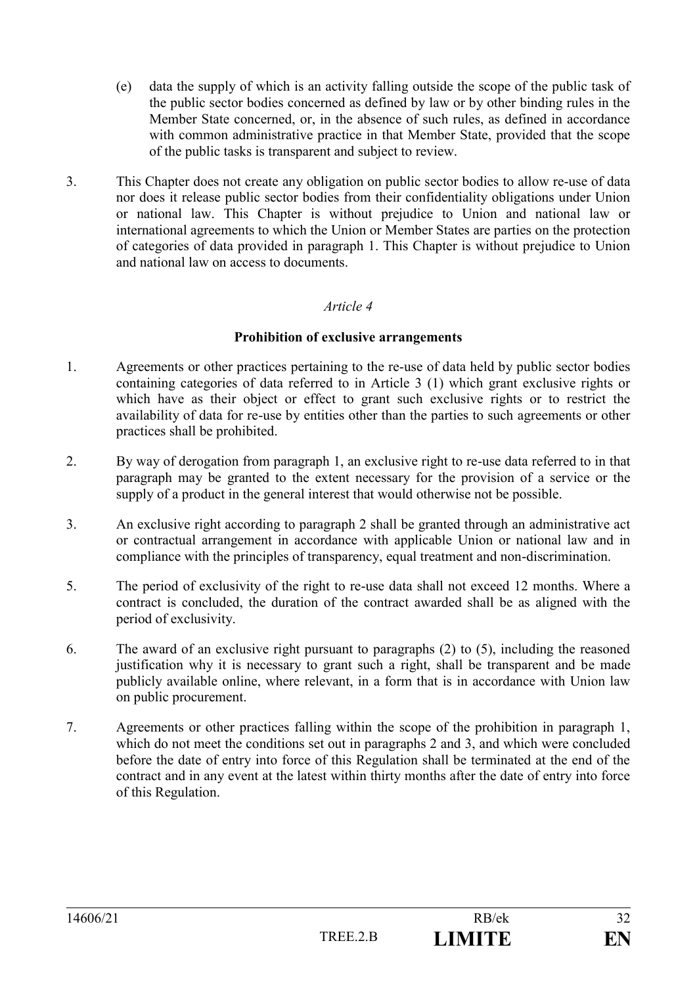- (e) data the supply of which is an activity falling outside the scope of the public task of the public sector bodies concerned as defined by law or by other binding rules in the Member State concerned, or, in the absence of such rules, as defined in accordance with common administrative practice in that Member State, provided that the scope of the public tasks is transparent and subject to review.
- 3. This Chapter does not create any obligation on public sector bodies to allow re-use of data nor does it release public sector bodies from their confidentiality obligations under Union or national law. This Chapter is without prejudice to Union and national law or international agreements to which the Union or Member States are parties on the protection of categories of data provided in paragraph 1. This Chapter is without prejudice to Union and national law on access to documents.

### **Prohibition of exclusive arrangements**

- 1. Agreements or other practices pertaining to the re-use of data held by public sector bodies containing categories of data referred to in Article 3 (1) which grant exclusive rights or which have as their object or effect to grant such exclusive rights or to restrict the availability of data for re-use by entities other than the parties to such agreements or other practices shall be prohibited.
- 2. By way of derogation from paragraph 1, an exclusive right to re-use data referred to in that paragraph may be granted to the extent necessary for the provision of a service or the supply of a product in the general interest that would otherwise not be possible.
- 3. An exclusive right according to paragraph 2 shall be granted through an administrative act or contractual arrangement in accordance with applicable Union or national law and in compliance with the principles of transparency, equal treatment and non-discrimination.
- 5. The period of exclusivity of the right to re-use data shall not exceed 12 months. Where a contract is concluded, the duration of the contract awarded shall be as aligned with the period of exclusivity.
- 6. The award of an exclusive right pursuant to paragraphs (2) to (5), including the reasoned justification why it is necessary to grant such a right, shall be transparent and be made publicly available online, where relevant, in a form that is in accordance with Union law on public procurement.
- 7. Agreements or other practices falling within the scope of the prohibition in paragraph 1, which do not meet the conditions set out in paragraphs 2 and 3, and which were concluded before the date of entry into force of this Regulation shall be terminated at the end of the contract and in any event at the latest within thirty months after the date of entry into force of this Regulation.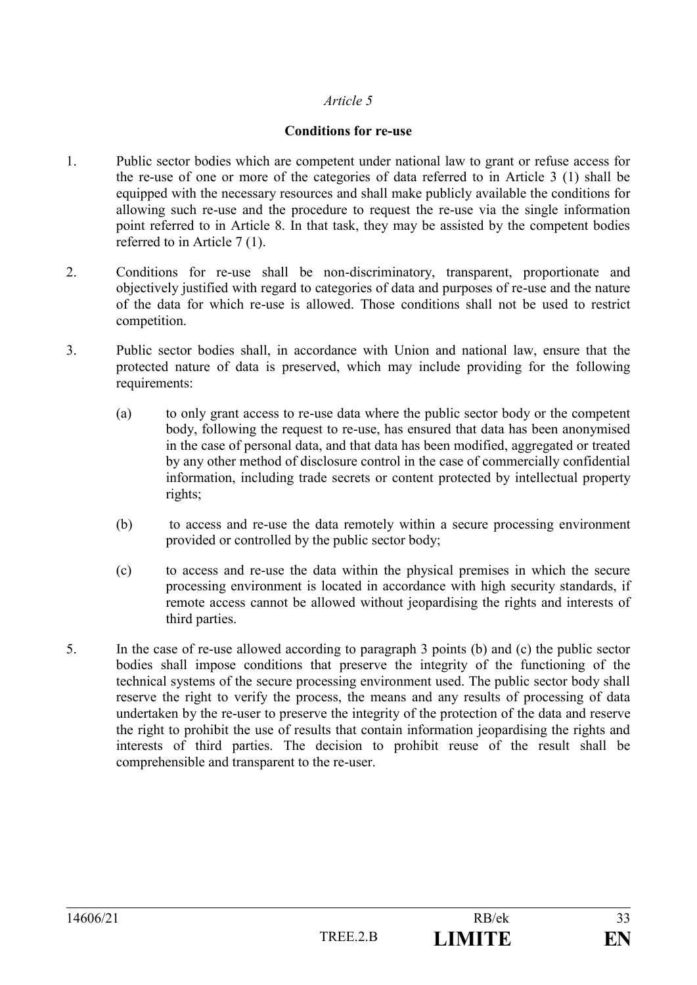#### **Conditions for re-use**

- 1. Public sector bodies which are competent under national law to grant or refuse access for the re-use of one or more of the categories of data referred to in Article 3 (1) shall be equipped with the necessary resources and shall make publicly available the conditions for allowing such re-use and the procedure to request the re-use via the single information point referred to in Article 8. In that task, they may be assisted by the competent bodies referred to in Article 7 (1).
- 2. Conditions for re-use shall be non-discriminatory, transparent, proportionate and objectively justified with regard to categories of data and purposes of re-use and the nature of the data for which re-use is allowed. Those conditions shall not be used to restrict competition.
- 3. Public sector bodies shall, in accordance with Union and national law, ensure that the protected nature of data is preserved, which may include providing for the following requirements:
	- (a) to only grant access to re-use data where the public sector body or the competent body, following the request to re-use, has ensured that data has been anonymised in the case of personal data, and that data has been modified, aggregated or treated by any other method of disclosure control in the case of commercially confidential information, including trade secrets or content protected by intellectual property rights;
	- (b) to access and re-use the data remotely within a secure processing environment provided or controlled by the public sector body;
	- (c) to access and re-use the data within the physical premises in which the secure processing environment is located in accordance with high security standards, if remote access cannot be allowed without jeopardising the rights and interests of third parties.
- 5. In the case of re-use allowed according to paragraph 3 points (b) and (c) the public sector bodies shall impose conditions that preserve the integrity of the functioning of the technical systems of the secure processing environment used. The public sector body shall reserve the right to verify the process, the means and any results of processing of data undertaken by the re-user to preserve the integrity of the protection of the data and reserve the right to prohibit the use of results that contain information jeopardising the rights and interests of third parties. The decision to prohibit reuse of the result shall be comprehensible and transparent to the re-user.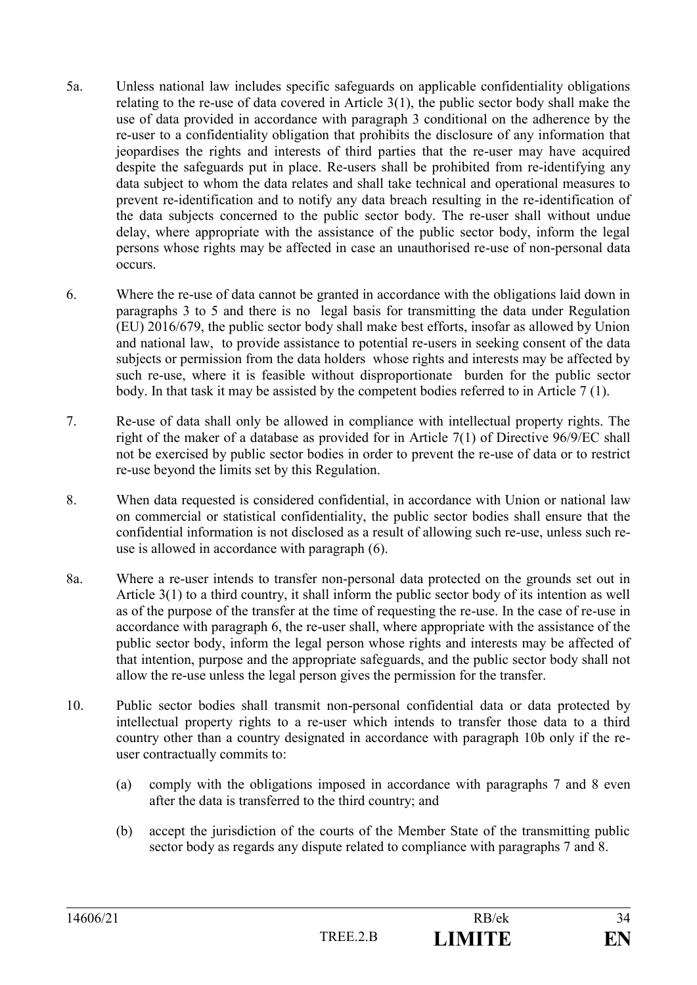- 5a. Unless national law includes specific safeguards on applicable confidentiality obligations relating to the re-use of data covered in Article 3(1), the public sector body shall make the use of data provided in accordance with paragraph 3 conditional on the adherence by the re-user to a confidentiality obligation that prohibits the disclosure of any information that jeopardises the rights and interests of third parties that the re-user may have acquired despite the safeguards put in place. Re-users shall be prohibited from re-identifying any data subject to whom the data relates and shall take technical and operational measures to prevent re-identification and to notify any data breach resulting in the re-identification of the data subjects concerned to the public sector body. The re-user shall without undue delay, where appropriate with the assistance of the public sector body, inform the legal persons whose rights may be affected in case an unauthorised re-use of non-personal data occurs.
- 6. Where the re-use of data cannot be granted in accordance with the obligations laid down in paragraphs 3 to 5 and there is no legal basis for transmitting the data under Regulation (EU) 2016/679, the public sector body shall make best efforts, insofar as allowed by Union and national law, to provide assistance to potential re-users in seeking consent of the data subjects or permission from the data holders whose rights and interests may be affected by such re-use, where it is feasible without disproportionate burden for the public sector body. In that task it may be assisted by the competent bodies referred to in Article 7 (1).
- 7. Re-use of data shall only be allowed in compliance with intellectual property rights. The right of the maker of a database as provided for in Article 7(1) of Directive 96/9/EC shall not be exercised by public sector bodies in order to prevent the re-use of data or to restrict re-use beyond the limits set by this Regulation.
- 8. When data requested is considered confidential, in accordance with Union or national law on commercial or statistical confidentiality, the public sector bodies shall ensure that the confidential information is not disclosed as a result of allowing such re-use, unless such reuse is allowed in accordance with paragraph (6).
- 8a. Where a re-user intends to transfer non-personal data protected on the grounds set out in Article 3(1) to a third country, it shall inform the public sector body of its intention as well as of the purpose of the transfer at the time of requesting the re-use. In the case of re-use in accordance with paragraph 6, the re-user shall, where appropriate with the assistance of the public sector body, inform the legal person whose rights and interests may be affected of that intention, purpose and the appropriate safeguards, and the public sector body shall not allow the re-use unless the legal person gives the permission for the transfer.
- 10. Public sector bodies shall transmit non-personal confidential data or data protected by intellectual property rights to a re-user which intends to transfer those data to a third country other than a country designated in accordance with paragraph 10b only if the reuser contractually commits to:
	- (a) comply with the obligations imposed in accordance with paragraphs 7 and 8 even after the data is transferred to the third country; and
	- (b) accept the jurisdiction of the courts of the Member State of the transmitting public sector body as regards any dispute related to compliance with paragraphs 7 and 8.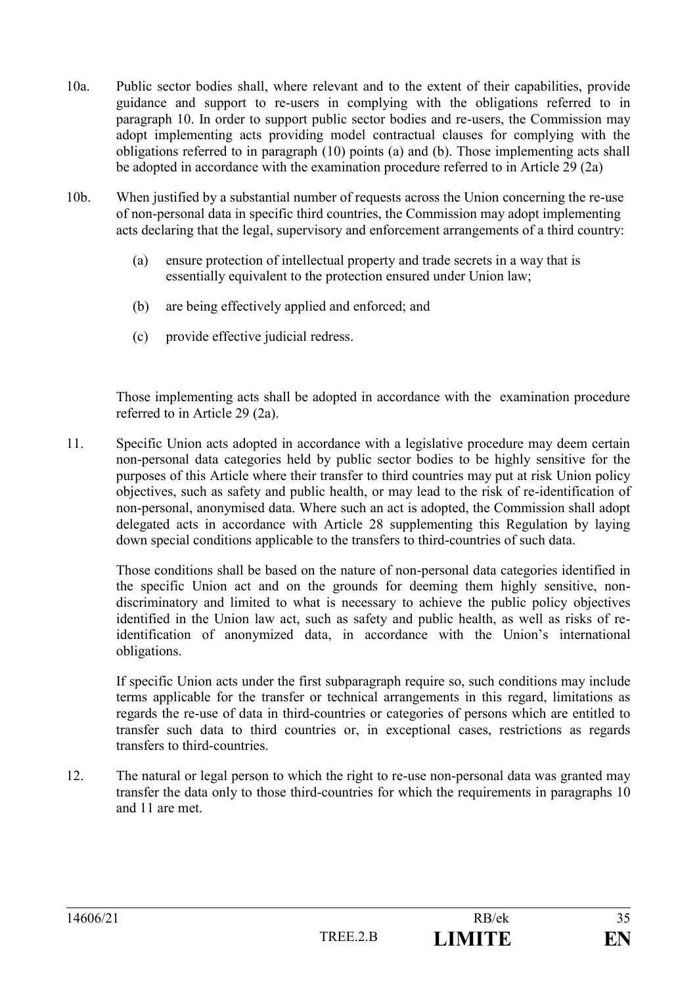- 10a. Public sector bodies shall, where relevant and to the extent of their capabilities, provide guidance and support to re-users in complying with the obligations referred to in paragraph 10. In order to support public sector bodies and re-users, the Commission may adopt implementing acts providing model contractual clauses for complying with the obligations referred to in paragraph (10) points (a) and (b). Those implementing acts shall be adopted in accordance with the examination procedure referred to in Article 29 (2a)
- 10b. When justified by a substantial number of requests across the Union concerning the re-use of non-personal data in specific third countries, the Commission may adopt implementing acts declaring that the legal, supervisory and enforcement arrangements of a third country:
	- (a) ensure protection of intellectual property and trade secrets in a way that is essentially equivalent to the protection ensured under Union law;
	- (b) are being effectively applied and enforced; and
	- (c) provide effective judicial redress.

 Those implementing acts shall be adopted in accordance with the examination procedure referred to in Article 29 (2a).

11. Specific Union acts adopted in accordance with a legislative procedure may deem certain non-personal data categories held by public sector bodies to be highly sensitive for the purposes of this Article where their transfer to third countries may put at risk Union policy objectives, such as safety and public health, or may lead to the risk of re-identification of non-personal, anonymised data. Where such an act is adopted, the Commission shall adopt delegated acts in accordance with Article 28 supplementing this Regulation by laying down special conditions applicable to the transfers to third-countries of such data.

Those conditions shall be based on the nature of non-personal data categories identified in the specific Union act and on the grounds for deeming them highly sensitive, nondiscriminatory and limited to what is necessary to achieve the public policy objectives identified in the Union law act, such as safety and public health, as well as risks of reidentification of anonymized data, in accordance with the Union's international obligations.

If specific Union acts under the first subparagraph require so, such conditions may include terms applicable for the transfer or technical arrangements in this regard, limitations as regards the re-use of data in third-countries or categories of persons which are entitled to transfer such data to third countries or, in exceptional cases, restrictions as regards transfers to third-countries.

12. The natural or legal person to which the right to re-use non-personal data was granted may transfer the data only to those third-countries for which the requirements in paragraphs 10 and 11 are met.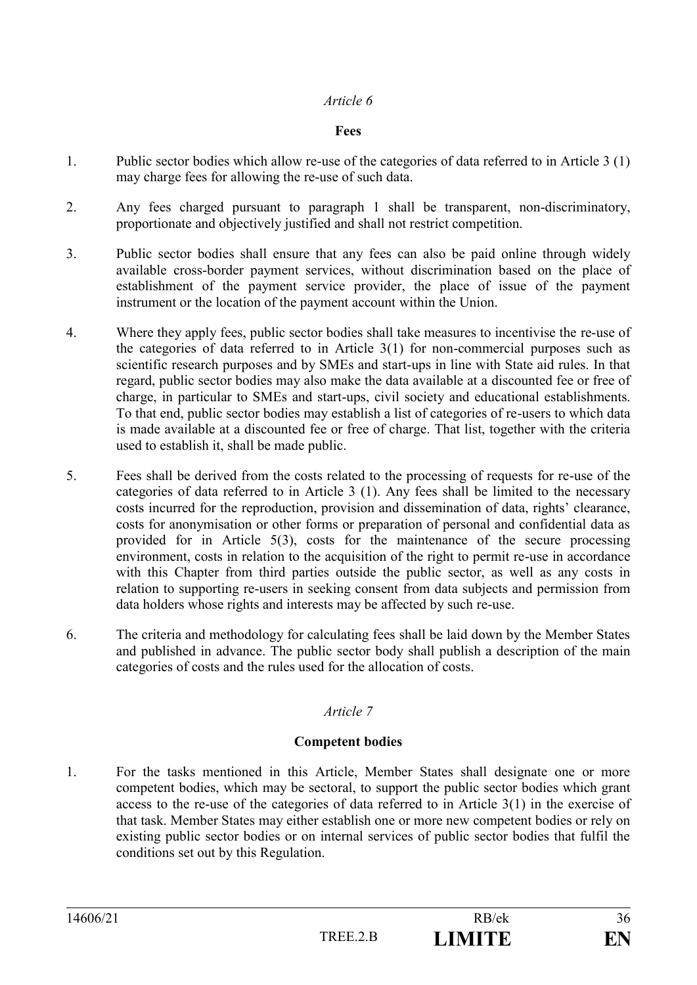#### **Fees**

- 1. Public sector bodies which allow re-use of the categories of data referred to in Article 3 (1) may charge fees for allowing the re-use of such data.
- 2. Any fees charged pursuant to paragraph 1 shall be transparent, non-discriminatory, proportionate and objectively justified and shall not restrict competition.
- 3. Public sector bodies shall ensure that any fees can also be paid online through widely available cross-border payment services, without discrimination based on the place of establishment of the payment service provider, the place of issue of the payment instrument or the location of the payment account within the Union.
- 4. Where they apply fees, public sector bodies shall take measures to incentivise the re-use of the categories of data referred to in Article  $3(1)$  for non-commercial purposes such as scientific research purposes and by SMEs and start-ups in line with State aid rules. In that regard, public sector bodies may also make the data available at a discounted fee or free of charge, in particular to SMEs and start-ups, civil society and educational establishments. To that end, public sector bodies may establish a list of categories of re-users to which data is made available at a discounted fee or free of charge. That list, together with the criteria used to establish it, shall be made public.
- 5. Fees shall be derived from the costs related to the processing of requests for re-use of the categories of data referred to in Article 3 (1). Any fees shall be limited to the necessary costs incurred for the reproduction, provision and dissemination of data, rights' clearance, costs for anonymisation or other forms or preparation of personal and confidential data as provided for in Article 5(3), costs for the maintenance of the secure processing environment, costs in relation to the acquisition of the right to permit re-use in accordance with this Chapter from third parties outside the public sector, as well as any costs in relation to supporting re-users in seeking consent from data subjects and permission from data holders whose rights and interests may be affected by such re-use.
- 6. The criteria and methodology for calculating fees shall be laid down by the Member States and published in advance. The public sector body shall publish a description of the main categories of costs and the rules used for the allocation of costs.

# *Article 7*

#### **Competent bodies**

1. For the tasks mentioned in this Article, Member States shall designate one or more competent bodies, which may be sectoral, to support the public sector bodies which grant access to the re-use of the categories of data referred to in Article 3(1) in the exercise of that task. Member States may either establish one or more new competent bodies or rely on existing public sector bodies or on internal services of public sector bodies that fulfil the conditions set out by this Regulation.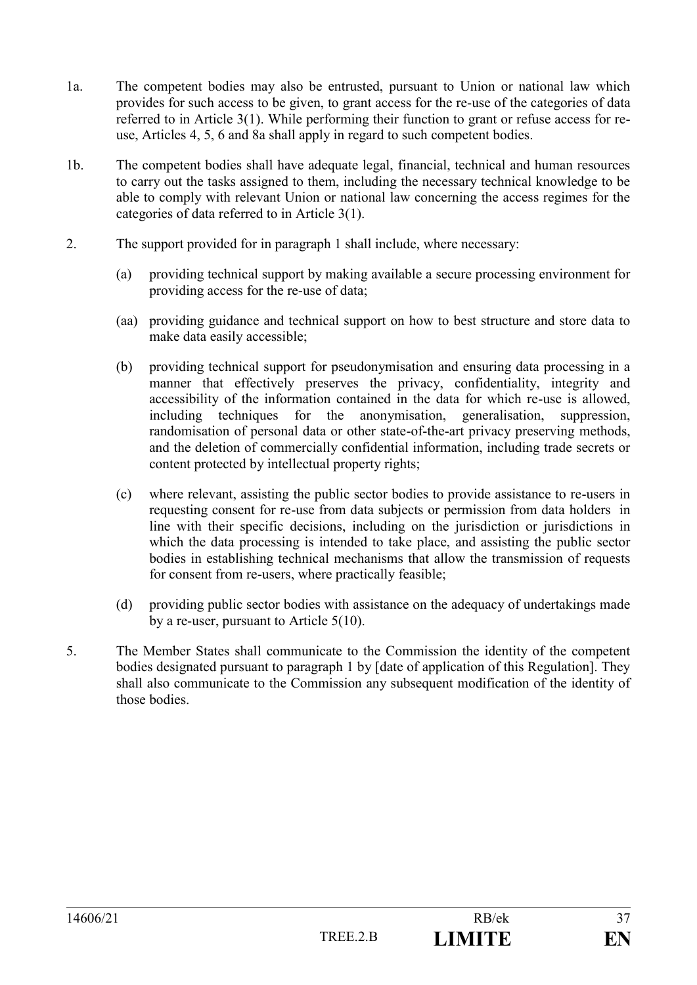- 1a. The competent bodies may also be entrusted, pursuant to Union or national law which provides for such access to be given, to grant access for the re-use of the categories of data referred to in Article 3(1). While performing their function to grant or refuse access for reuse, Articles 4, 5, 6 and 8a shall apply in regard to such competent bodies.
- 1b. The competent bodies shall have adequate legal, financial, technical and human resources to carry out the tasks assigned to them, including the necessary technical knowledge to be able to comply with relevant Union or national law concerning the access regimes for the categories of data referred to in Article 3(1).
- 2. The support provided for in paragraph 1 shall include, where necessary:
	- (a) providing technical support by making available a secure processing environment for providing access for the re-use of data;
	- (aa) providing guidance and technical support on how to best structure and store data to make data easily accessible;
	- (b) providing technical support for pseudonymisation and ensuring data processing in a manner that effectively preserves the privacy, confidentiality, integrity and accessibility of the information contained in the data for which re-use is allowed, including techniques for the anonymisation, generalisation, suppression, randomisation of personal data or other state-of-the-art privacy preserving methods, and the deletion of commercially confidential information, including trade secrets or content protected by intellectual property rights;
	- (c) where relevant, assisting the public sector bodies to provide assistance to re-users in requesting consent for re-use from data subjects or permission from data holders in line with their specific decisions, including on the jurisdiction or jurisdictions in which the data processing is intended to take place, and assisting the public sector bodies in establishing technical mechanisms that allow the transmission of requests for consent from re-users, where practically feasible;
	- (d) providing public sector bodies with assistance on the adequacy of undertakings made by a re-user, pursuant to Article 5(10).
- 5. The Member States shall communicate to the Commission the identity of the competent bodies designated pursuant to paragraph 1 by [date of application of this Regulation]. They shall also communicate to the Commission any subsequent modification of the identity of those bodies.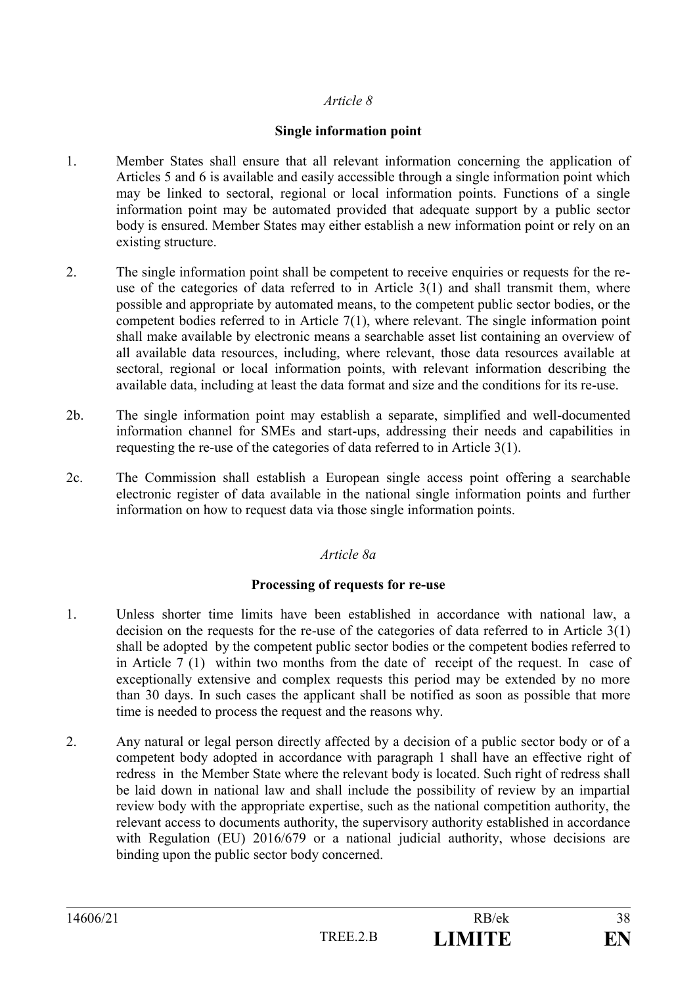### **Single information point**

- 1. Member States shall ensure that all relevant information concerning the application of Articles 5 and 6 is available and easily accessible through a single information point which may be linked to sectoral, regional or local information points. Functions of a single information point may be automated provided that adequate support by a public sector body is ensured. Member States may either establish a new information point or rely on an existing structure.
- 2. The single information point shall be competent to receive enquiries or requests for the reuse of the categories of data referred to in Article 3(1) and shall transmit them, where possible and appropriate by automated means, to the competent public sector bodies, or the competent bodies referred to in Article 7(1), where relevant. The single information point shall make available by electronic means a searchable asset list containing an overview of all available data resources, including, where relevant, those data resources available at sectoral, regional or local information points, with relevant information describing the available data, including at least the data format and size and the conditions for its re-use.
- 2b. The single information point may establish a separate, simplified and well-documented information channel for SMEs and start-ups, addressing their needs and capabilities in requesting the re-use of the categories of data referred to in Article 3(1).
- 2c. The Commission shall establish a European single access point offering a searchable electronic register of data available in the national single information points and further information on how to request data via those single information points.

# *Article 8a*

#### **Processing of requests for re-use**

- 1. Unless shorter time limits have been established in accordance with national law, a decision on the requests for the re-use of the categories of data referred to in Article 3(1) shall be adopted by the competent public sector bodies or the competent bodies referred to in Article 7 (1) within two months from the date of receipt of the request. In case of exceptionally extensive and complex requests this period may be extended by no more than 30 days. In such cases the applicant shall be notified as soon as possible that more time is needed to process the request and the reasons why.
- 2. Any natural or legal person directly affected by a decision of a public sector body or of a competent body adopted in accordance with paragraph 1 shall have an effective right of redress in the Member State where the relevant body is located. Such right of redress shall be laid down in national law and shall include the possibility of review by an impartial review body with the appropriate expertise, such as the national competition authority, the relevant access to documents authority, the supervisory authority established in accordance with Regulation (EU) 2016/679 or a national judicial authority, whose decisions are binding upon the public sector body concerned.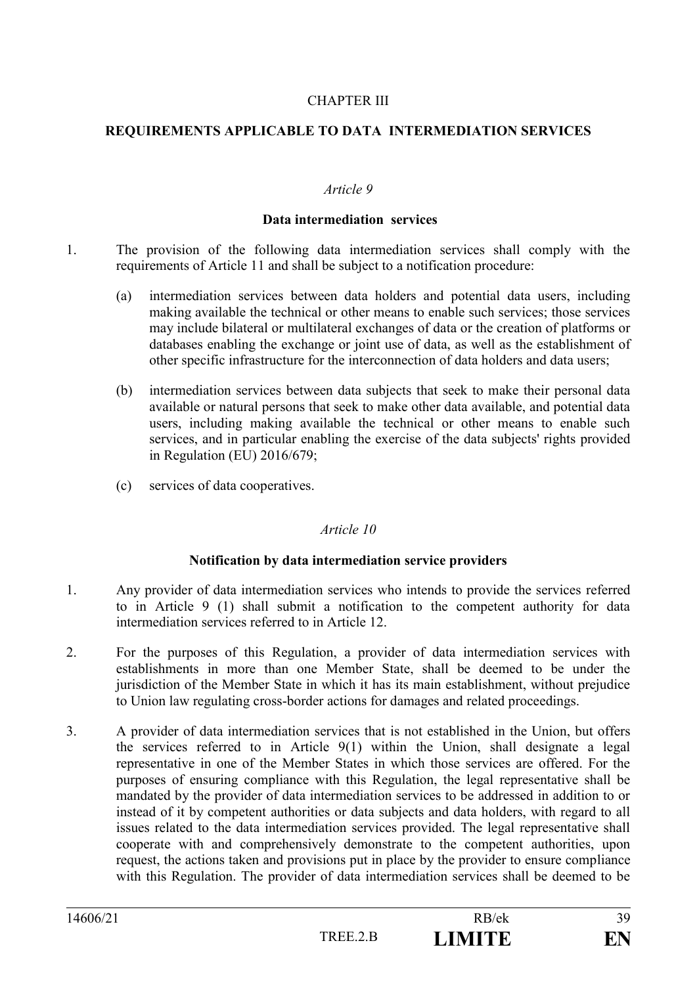#### CHAPTER III

#### **REQUIREMENTS APPLICABLE TO DATA INTERMEDIATION SERVICES**

#### *Article 9*

#### **Data intermediation services**

- 1. The provision of the following data intermediation services shall comply with the requirements of Article 11 and shall be subject to a notification procedure:
	- (a) intermediation services between data holders and potential data users, including making available the technical or other means to enable such services; those services may include bilateral or multilateral exchanges of data or the creation of platforms or databases enabling the exchange or joint use of data, as well as the establishment of other specific infrastructure for the interconnection of data holders and data users;
	- (b) intermediation services between data subjects that seek to make their personal data available or natural persons that seek to make other data available, and potential data users, including making available the technical or other means to enable such services, and in particular enabling the exercise of the data subjects' rights provided in Regulation (EU) 2016/679;
	- (c) services of data cooperatives.

#### *Article 10*

#### **Notification by data intermediation service providers**

- 1. Any provider of data intermediation services who intends to provide the services referred to in Article 9 (1) shall submit a notification to the competent authority for data intermediation services referred to in Article 12.
- 2. For the purposes of this Regulation, a provider of data intermediation services with establishments in more than one Member State, shall be deemed to be under the jurisdiction of the Member State in which it has its main establishment, without prejudice to Union law regulating cross-border actions for damages and related proceedings.
- 3. A provider of data intermediation services that is not established in the Union, but offers the services referred to in Article 9(1) within the Union, shall designate a legal representative in one of the Member States in which those services are offered. For the purposes of ensuring compliance with this Regulation, the legal representative shall be mandated by the provider of data intermediation services to be addressed in addition to or instead of it by competent authorities or data subjects and data holders, with regard to all issues related to the data intermediation services provided. The legal representative shall cooperate with and comprehensively demonstrate to the competent authorities, upon request, the actions taken and provisions put in place by the provider to ensure compliance with this Regulation. The provider of data intermediation services shall be deemed to be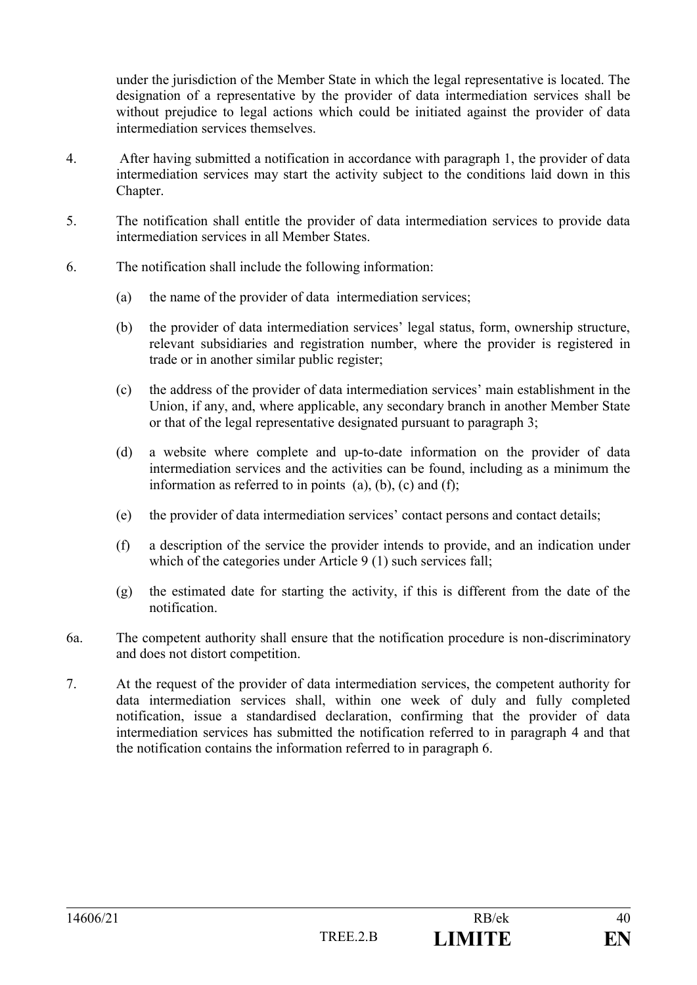under the jurisdiction of the Member State in which the legal representative is located. The designation of a representative by the provider of data intermediation services shall be without prejudice to legal actions which could be initiated against the provider of data intermediation services themselves.

- 4. After having submitted a notification in accordance with paragraph 1, the provider of data intermediation services may start the activity subject to the conditions laid down in this Chapter.
- 5. The notification shall entitle the provider of data intermediation services to provide data intermediation services in all Member States.
- 6. The notification shall include the following information:
	- (a) the name of the provider of data intermediation services;
	- (b) the provider of data intermediation services' legal status, form, ownership structure, relevant subsidiaries and registration number, where the provider is registered in trade or in another similar public register;
	- (c) the address of the provider of data intermediation services' main establishment in the Union, if any, and, where applicable, any secondary branch in another Member State or that of the legal representative designated pursuant to paragraph 3;
	- (d) a website where complete and up-to-date information on the provider of data intermediation services and the activities can be found, including as a minimum the information as referred to in points  $(a)$ ,  $(b)$ ,  $(c)$  and  $(f)$ ;
	- (e) the provider of data intermediation services' contact persons and contact details;
	- (f) a description of the service the provider intends to provide, and an indication under which of the categories under Article 9 (1) such services fall;
	- (g) the estimated date for starting the activity, if this is different from the date of the notification.
- 6a. The competent authority shall ensure that the notification procedure is non-discriminatory and does not distort competition.
- 7. At the request of the provider of data intermediation services, the competent authority for data intermediation services shall, within one week of duly and fully completed notification, issue a standardised declaration, confirming that the provider of data intermediation services has submitted the notification referred to in paragraph 4 and that the notification contains the information referred to in paragraph 6.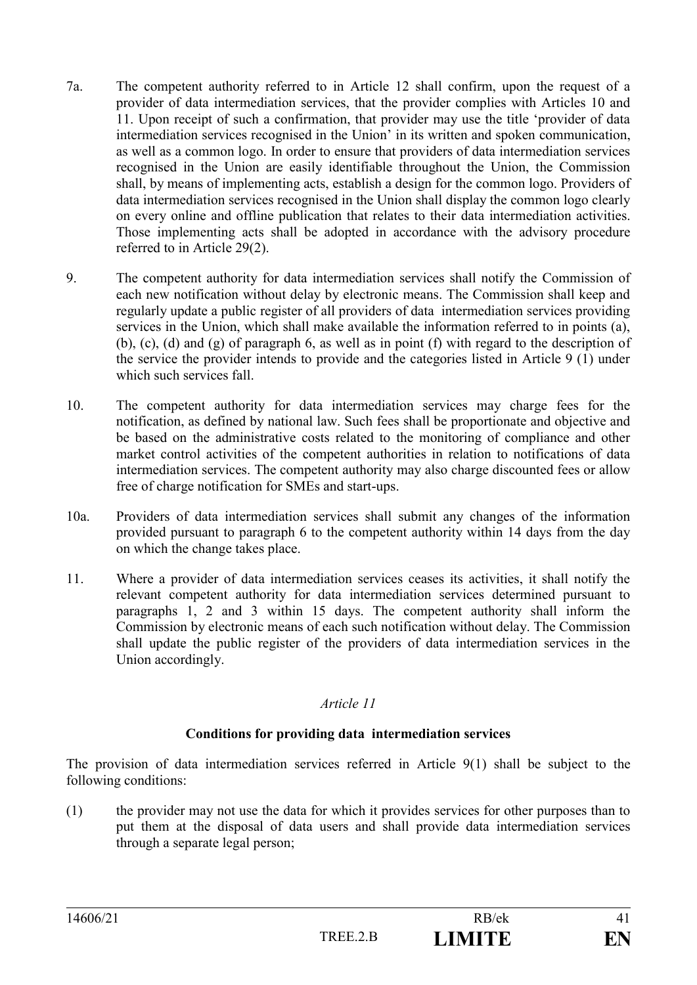- 7a. The competent authority referred to in Article 12 shall confirm, upon the request of a provider of data intermediation services, that the provider complies with Articles 10 and 11. Upon receipt of such a confirmation, that provider may use the title 'provider of data intermediation services recognised in the Union' in its written and spoken communication, as well as a common logo. In order to ensure that providers of data intermediation services recognised in the Union are easily identifiable throughout the Union, the Commission shall, by means of implementing acts, establish a design for the common logo. Providers of data intermediation services recognised in the Union shall display the common logo clearly on every online and offline publication that relates to their data intermediation activities. Those implementing acts shall be adopted in accordance with the advisory procedure referred to in Article 29(2).
- 9. The competent authority for data intermediation services shall notify the Commission of each new notification without delay by electronic means. The Commission shall keep and regularly update a public register of all providers of data intermediation services providing services in the Union, which shall make available the information referred to in points (a), (b), (c), (d) and (g) of paragraph 6, as well as in point (f) with regard to the description of the service the provider intends to provide and the categories listed in Article 9 (1) under which such services fall.
- 10. The competent authority for data intermediation services may charge fees for the notification, as defined by national law. Such fees shall be proportionate and objective and be based on the administrative costs related to the monitoring of compliance and other market control activities of the competent authorities in relation to notifications of data intermediation services. The competent authority may also charge discounted fees or allow free of charge notification for SMEs and start-ups.
- 10a. Providers of data intermediation services shall submit any changes of the information provided pursuant to paragraph 6 to the competent authority within 14 days from the day on which the change takes place.
- 11. Where a provider of data intermediation services ceases its activities, it shall notify the relevant competent authority for data intermediation services determined pursuant to paragraphs 1, 2 and 3 within 15 days. The competent authority shall inform the Commission by electronic means of each such notification without delay. The Commission shall update the public register of the providers of data intermediation services in the Union accordingly.

# **Conditions for providing data intermediation services**

The provision of data intermediation services referred in Article 9(1) shall be subject to the following conditions:

(1) the provider may not use the data for which it provides services for other purposes than to put them at the disposal of data users and shall provide data intermediation services through a separate legal person;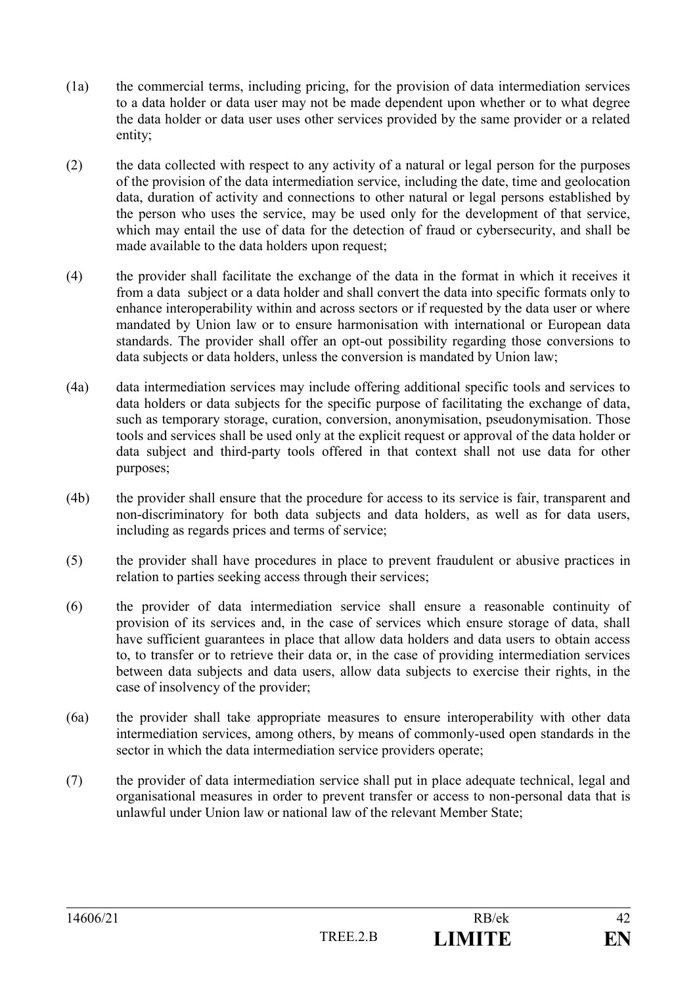- (1a) the commercial terms, including pricing, for the provision of data intermediation services to a data holder or data user may not be made dependent upon whether or to what degree the data holder or data user uses other services provided by the same provider or a related entity;
- (2) the data collected with respect to any activity of a natural or legal person for the purposes of the provision of the data intermediation service, including the date, time and geolocation data, duration of activity and connections to other natural or legal persons established by the person who uses the service, may be used only for the development of that service, which may entail the use of data for the detection of fraud or cybersecurity, and shall be made available to the data holders upon request;
- (4) the provider shall facilitate the exchange of the data in the format in which it receives it from a data subject or a data holder and shall convert the data into specific formats only to enhance interoperability within and across sectors or if requested by the data user or where mandated by Union law or to ensure harmonisation with international or European data standards. The provider shall offer an opt-out possibility regarding those conversions to data subjects or data holders, unless the conversion is mandated by Union law;
- (4a) data intermediation services may include offering additional specific tools and services to data holders or data subjects for the specific purpose of facilitating the exchange of data, such as temporary storage, curation, conversion, anonymisation, pseudonymisation. Those tools and services shall be used only at the explicit request or approval of the data holder or data subject and third-party tools offered in that context shall not use data for other purposes;
- (4b) the provider shall ensure that the procedure for access to its service is fair, transparent and non-discriminatory for both data subjects and data holders, as well as for data users, including as regards prices and terms of service;
- (5) the provider shall have procedures in place to prevent fraudulent or abusive practices in relation to parties seeking access through their services;
- (6) the provider of data intermediation service shall ensure a reasonable continuity of provision of its services and, in the case of services which ensure storage of data, shall have sufficient guarantees in place that allow data holders and data users to obtain access to, to transfer or to retrieve their data or, in the case of providing intermediation services between data subjects and data users, allow data subjects to exercise their rights, in the case of insolvency of the provider;
- (6a) the provider shall take appropriate measures to ensure interoperability with other data intermediation services, among others, by means of commonly-used open standards in the sector in which the data intermediation service providers operate;
- (7) the provider of data intermediation service shall put in place adequate technical, legal and organisational measures in order to prevent transfer or access to non-personal data that is unlawful under Union law or national law of the relevant Member State;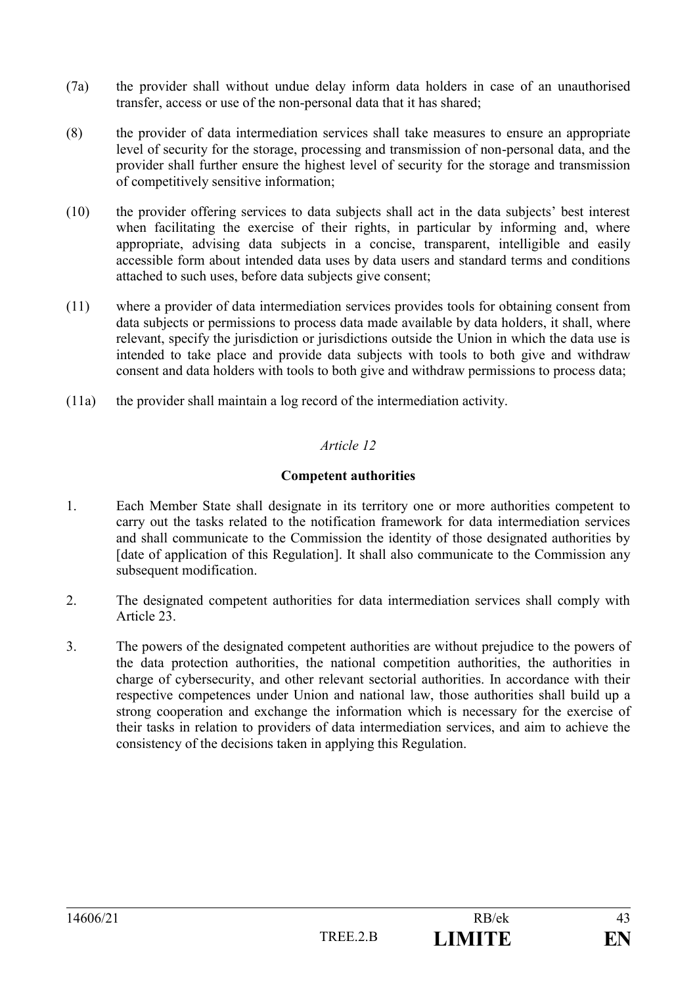- (7a) the provider shall without undue delay inform data holders in case of an unauthorised transfer, access or use of the non-personal data that it has shared;
- (8) the provider of data intermediation services shall take measures to ensure an appropriate level of security for the storage, processing and transmission of non-personal data, and the provider shall further ensure the highest level of security for the storage and transmission of competitively sensitive information;
- (10) the provider offering services to data subjects shall act in the data subjects' best interest when facilitating the exercise of their rights, in particular by informing and, where appropriate, advising data subjects in a concise, transparent, intelligible and easily accessible form about intended data uses by data users and standard terms and conditions attached to such uses, before data subjects give consent;
- (11) where a provider of data intermediation services provides tools for obtaining consent from data subjects or permissions to process data made available by data holders, it shall, where relevant, specify the jurisdiction or jurisdictions outside the Union in which the data use is intended to take place and provide data subjects with tools to both give and withdraw consent and data holders with tools to both give and withdraw permissions to process data;
- (11a) the provider shall maintain a log record of the intermediation activity.

### **Competent authorities**

- 1. Each Member State shall designate in its territory one or more authorities competent to carry out the tasks related to the notification framework for data intermediation services and shall communicate to the Commission the identity of those designated authorities by [date of application of this Regulation]. It shall also communicate to the Commission any subsequent modification.
- 2. The designated competent authorities for data intermediation services shall comply with Article 23.
- 3. The powers of the designated competent authorities are without prejudice to the powers of the data protection authorities, the national competition authorities, the authorities in charge of cybersecurity, and other relevant sectorial authorities. In accordance with their respective competences under Union and national law, those authorities shall build up a strong cooperation and exchange the information which is necessary for the exercise of their tasks in relation to providers of data intermediation services, and aim to achieve the consistency of the decisions taken in applying this Regulation.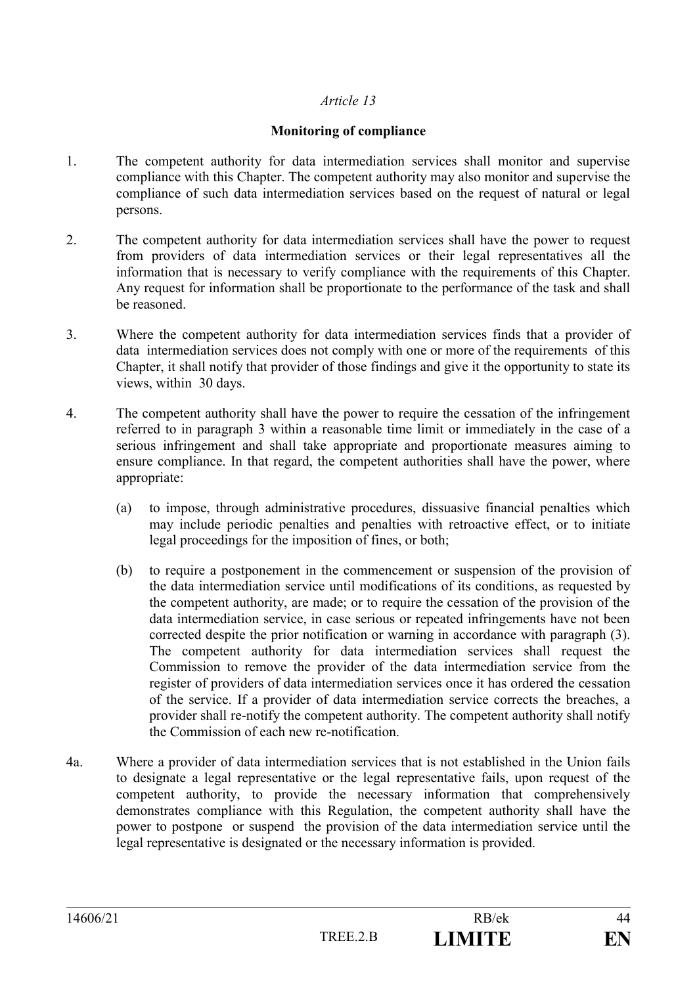#### **Monitoring of compliance**

- 1. The competent authority for data intermediation services shall monitor and supervise compliance with this Chapter. The competent authority may also monitor and supervise the compliance of such data intermediation services based on the request of natural or legal persons.
- 2. The competent authority for data intermediation services shall have the power to request from providers of data intermediation services or their legal representatives all the information that is necessary to verify compliance with the requirements of this Chapter. Any request for information shall be proportionate to the performance of the task and shall be reasoned.
- 3. Where the competent authority for data intermediation services finds that a provider of data intermediation services does not comply with one or more of the requirements of this Chapter, it shall notify that provider of those findings and give it the opportunity to state its views, within 30 days.
- 4. The competent authority shall have the power to require the cessation of the infringement referred to in paragraph 3 within a reasonable time limit or immediately in the case of a serious infringement and shall take appropriate and proportionate measures aiming to ensure compliance. In that regard, the competent authorities shall have the power, where appropriate:
	- (a) to impose, through administrative procedures, dissuasive financial penalties which may include periodic penalties and penalties with retroactive effect, or to initiate legal proceedings for the imposition of fines, or both;
	- (b) to require a postponement in the commencement or suspension of the provision of the data intermediation service until modifications of its conditions, as requested by the competent authority, are made; or to require the cessation of the provision of the data intermediation service, in case serious or repeated infringements have not been corrected despite the prior notification or warning in accordance with paragraph (3). The competent authority for data intermediation services shall request the Commission to remove the provider of the data intermediation service from the register of providers of data intermediation services once it has ordered the cessation of the service. If a provider of data intermediation service corrects the breaches, a provider shall re-notify the competent authority. The competent authority shall notify the Commission of each new re-notification.
- 4a. Where a provider of data intermediation services that is not established in the Union fails to designate a legal representative or the legal representative fails, upon request of the competent authority, to provide the necessary information that comprehensively demonstrates compliance with this Regulation, the competent authority shall have the power to postpone or suspend the provision of the data intermediation service until the legal representative is designated or the necessary information is provided.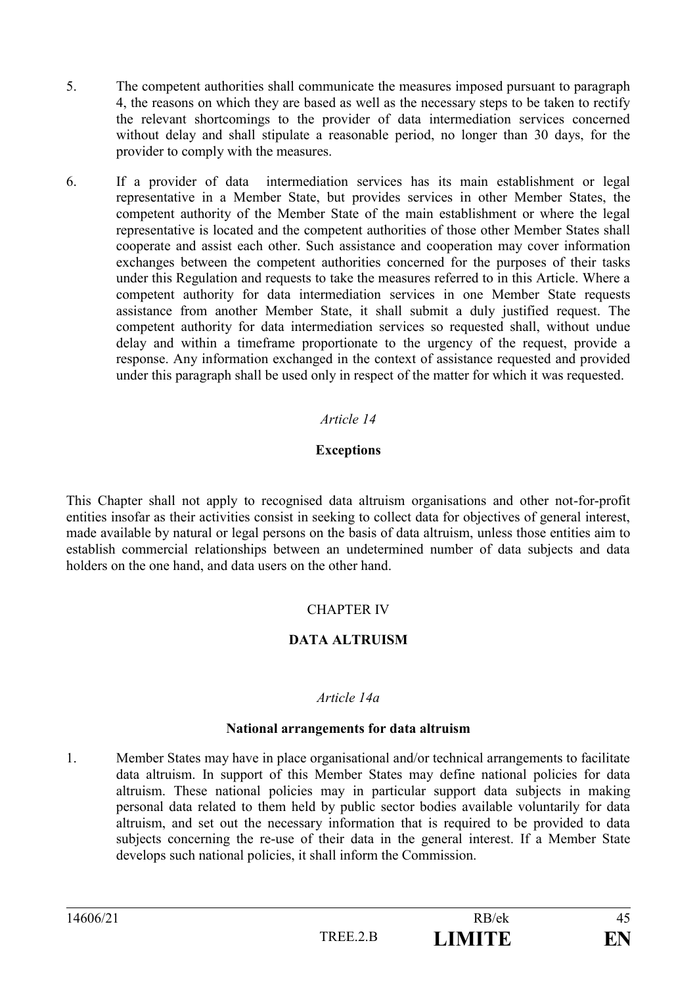- 5. The competent authorities shall communicate the measures imposed pursuant to paragraph 4, the reasons on which they are based as well as the necessary steps to be taken to rectify the relevant shortcomings to the provider of data intermediation services concerned without delay and shall stipulate a reasonable period, no longer than 30 days, for the provider to comply with the measures.
- 6. If a provider of data intermediation services has its main establishment or legal representative in a Member State, but provides services in other Member States, the competent authority of the Member State of the main establishment or where the legal representative is located and the competent authorities of those other Member States shall cooperate and assist each other. Such assistance and cooperation may cover information exchanges between the competent authorities concerned for the purposes of their tasks under this Regulation and requests to take the measures referred to in this Article. Where a competent authority for data intermediation services in one Member State requests assistance from another Member State, it shall submit a duly justified request. The competent authority for data intermediation services so requested shall, without undue delay and within a timeframe proportionate to the urgency of the request, provide a response. Any information exchanged in the context of assistance requested and provided under this paragraph shall be used only in respect of the matter for which it was requested.

#### **Exceptions**

This Chapter shall not apply to recognised data altruism organisations and other not-for-profit entities insofar as their activities consist in seeking to collect data for objectives of general interest, made available by natural or legal persons on the basis of data altruism, unless those entities aim to establish commercial relationships between an undetermined number of data subjects and data holders on the one hand, and data users on the other hand.

# CHAPTER IV

# **DATA ALTRUISM**

#### *Article 14a*

#### **National arrangements for data altruism**

1. Member States may have in place organisational and/or technical arrangements to facilitate data altruism. In support of this Member States may define national policies for data altruism. These national policies may in particular support data subjects in making personal data related to them held by public sector bodies available voluntarily for data altruism, and set out the necessary information that is required to be provided to data subjects concerning the re-use of their data in the general interest. If a Member State develops such national policies, it shall inform the Commission.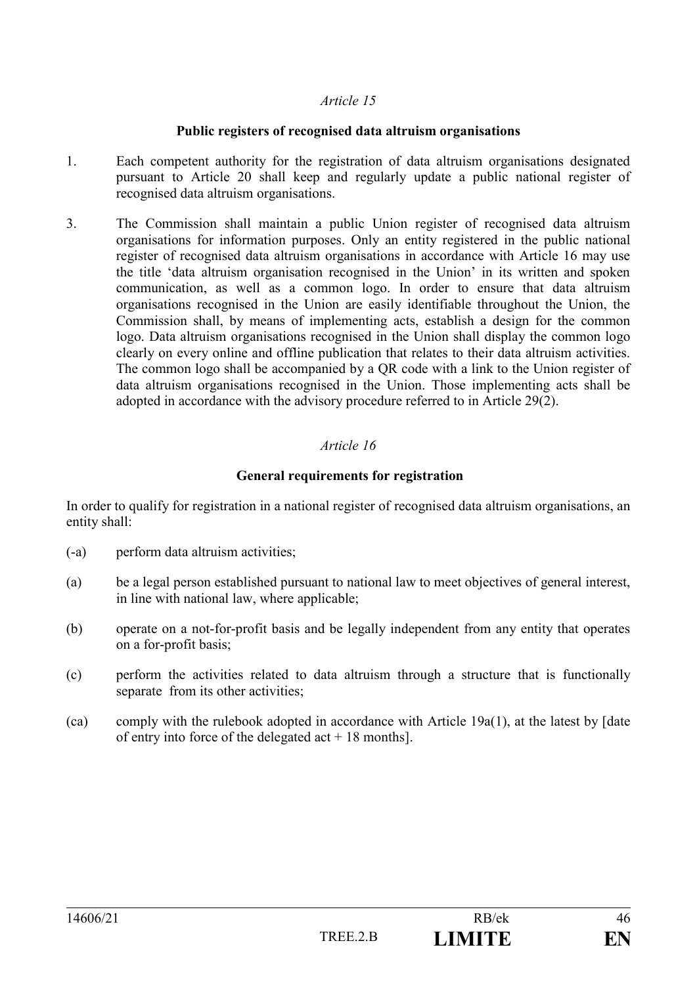#### **Public registers of recognised data altruism organisations**

- 1. Each competent authority for the registration of data altruism organisations designated pursuant to Article 20 shall keep and regularly update a public national register of recognised data altruism organisations.
- 3. The Commission shall maintain a public Union register of recognised data altruism organisations for information purposes. Only an entity registered in the public national register of recognised data altruism organisations in accordance with Article 16 may use the title 'data altruism organisation recognised in the Union' in its written and spoken communication, as well as a common logo. In order to ensure that data altruism organisations recognised in the Union are easily identifiable throughout the Union, the Commission shall, by means of implementing acts, establish a design for the common logo. Data altruism organisations recognised in the Union shall display the common logo clearly on every online and offline publication that relates to their data altruism activities. The common logo shall be accompanied by a QR code with a link to the Union register of data altruism organisations recognised in the Union. Those implementing acts shall be adopted in accordance with the advisory procedure referred to in Article 29(2).

# *Article 16*

# **General requirements for registration**

In order to qualify for registration in a national register of recognised data altruism organisations, an entity shall:

- (-a) perform data altruism activities;
- (a) be a legal person established pursuant to national law to meet objectives of general interest, in line with national law, where applicable;
- (b) operate on a not-for-profit basis and be legally independent from any entity that operates on a for-profit basis;
- (c) perform the activities related to data altruism through a structure that is functionally separate from its other activities;
- (ca) comply with the rulebook adopted in accordance with Article  $19a(1)$ , at the latest by [date of entry into force of the delegated  $act + 18$  months].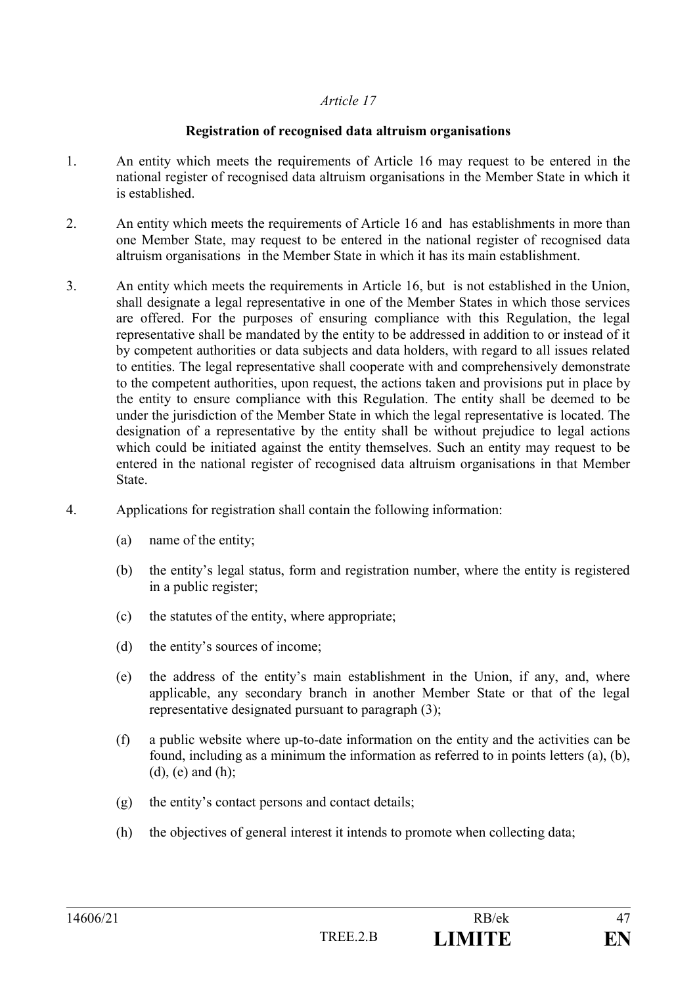### **Registration of recognised data altruism organisations**

- 1. An entity which meets the requirements of Article 16 may request to be entered in the national register of recognised data altruism organisations in the Member State in which it is established.
- 2. An entity which meets the requirements of Article 16 and has establishments in more than one Member State, may request to be entered in the national register of recognised data altruism organisations in the Member State in which it has its main establishment.
- 3. An entity which meets the requirements in Article 16, but is not established in the Union, shall designate a legal representative in one of the Member States in which those services are offered. For the purposes of ensuring compliance with this Regulation, the legal representative shall be mandated by the entity to be addressed in addition to or instead of it by competent authorities or data subjects and data holders, with regard to all issues related to entities. The legal representative shall cooperate with and comprehensively demonstrate to the competent authorities, upon request, the actions taken and provisions put in place by the entity to ensure compliance with this Regulation. The entity shall be deemed to be under the jurisdiction of the Member State in which the legal representative is located. The designation of a representative by the entity shall be without prejudice to legal actions which could be initiated against the entity themselves. Such an entity may request to be entered in the national register of recognised data altruism organisations in that Member State.
- 4. Applications for registration shall contain the following information:
	- (a) name of the entity;
	- (b) the entity's legal status, form and registration number, where the entity is registered in a public register;
	- (c) the statutes of the entity, where appropriate;
	- (d) the entity's sources of income;
	- (e) the address of the entity's main establishment in the Union, if any, and, where applicable, any secondary branch in another Member State or that of the legal representative designated pursuant to paragraph (3);
	- (f) a public website where up-to-date information on the entity and the activities can be found, including as a minimum the information as referred to in points letters (a), (b),  $(d)$ ,  $(e)$  and  $(h)$ ;
	- (g) the entity's contact persons and contact details;
	- (h) the objectives of general interest it intends to promote when collecting data;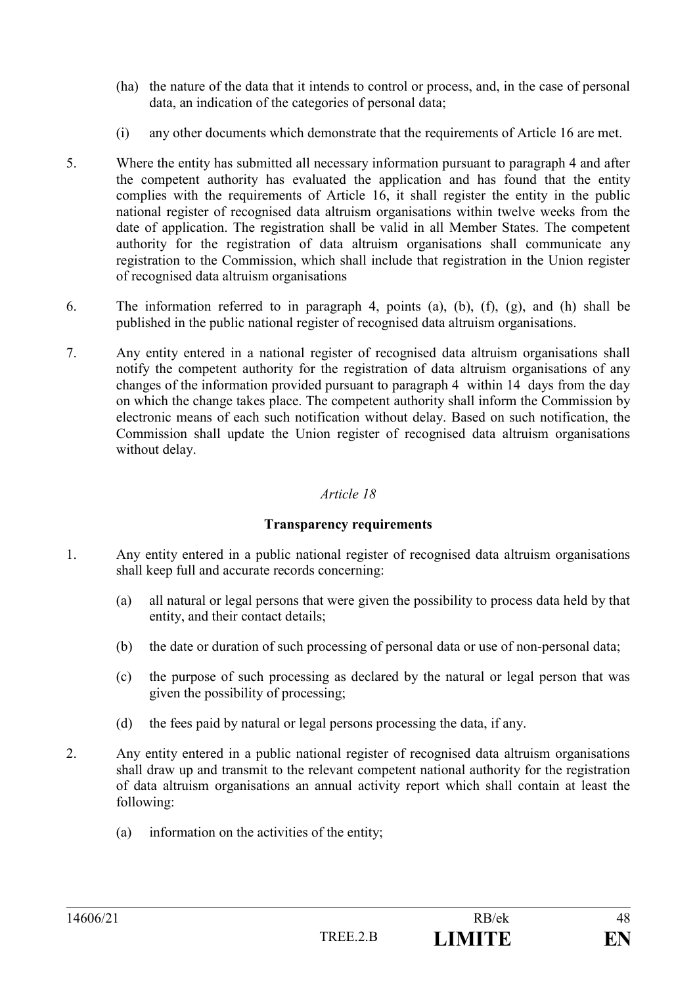- (ha) the nature of the data that it intends to control or process, and, in the case of personal data, an indication of the categories of personal data;
- (i) any other documents which demonstrate that the requirements of Article 16 are met.
- 5. Where the entity has submitted all necessary information pursuant to paragraph 4 and after the competent authority has evaluated the application and has found that the entity complies with the requirements of Article 16, it shall register the entity in the public national register of recognised data altruism organisations within twelve weeks from the date of application. The registration shall be valid in all Member States. The competent authority for the registration of data altruism organisations shall communicate any registration to the Commission, which shall include that registration in the Union register of recognised data altruism organisations
- 6. The information referred to in paragraph 4, points (a), (b), (f), (g), and (h) shall be published in the public national register of recognised data altruism organisations.
- 7. Any entity entered in a national register of recognised data altruism organisations shall notify the competent authority for the registration of data altruism organisations of any changes of the information provided pursuant to paragraph 4 within 14 days from the day on which the change takes place. The competent authority shall inform the Commission by electronic means of each such notification without delay. Based on such notification, the Commission shall update the Union register of recognised data altruism organisations without delay.

#### **Transparency requirements**

- 1. Any entity entered in a public national register of recognised data altruism organisations shall keep full and accurate records concerning:
	- (a) all natural or legal persons that were given the possibility to process data held by that entity, and their contact details;
	- (b) the date or duration of such processing of personal data or use of non-personal data;
	- (c) the purpose of such processing as declared by the natural or legal person that was given the possibility of processing;
	- (d) the fees paid by natural or legal persons processing the data, if any.
- 2. Any entity entered in a public national register of recognised data altruism organisations shall draw up and transmit to the relevant competent national authority for the registration of data altruism organisations an annual activity report which shall contain at least the following:
	- (a) information on the activities of the entity;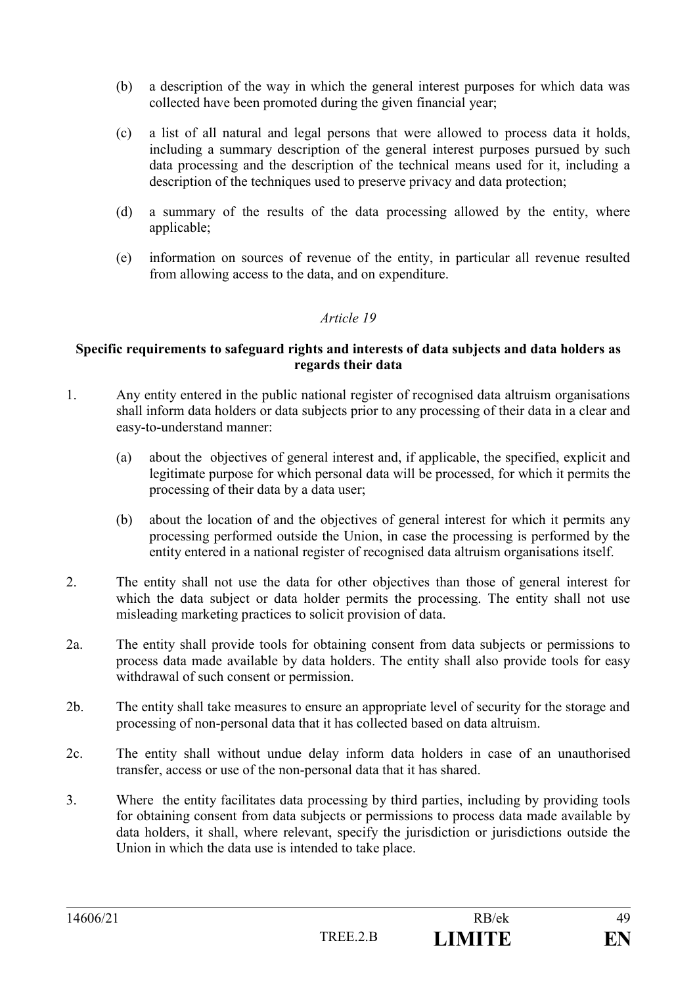- (b) a description of the way in which the general interest purposes for which data was collected have been promoted during the given financial year;
- (c) a list of all natural and legal persons that were allowed to process data it holds, including a summary description of the general interest purposes pursued by such data processing and the description of the technical means used for it, including a description of the techniques used to preserve privacy and data protection;
- (d) a summary of the results of the data processing allowed by the entity, where applicable;
- (e) information on sources of revenue of the entity, in particular all revenue resulted from allowing access to the data, and on expenditure.

#### **Specific requirements to safeguard rights and interests of data subjects and data holders as regards their data**

- 1. Any entity entered in the public national register of recognised data altruism organisations shall inform data holders or data subjects prior to any processing of their data in a clear and easy-to-understand manner:
	- (a) about the objectives of general interest and, if applicable, the specified, explicit and legitimate purpose for which personal data will be processed, for which it permits the processing of their data by a data user;
	- (b) about the location of and the objectives of general interest for which it permits any processing performed outside the Union, in case the processing is performed by the entity entered in a national register of recognised data altruism organisations itself.
- 2. The entity shall not use the data for other objectives than those of general interest for which the data subject or data holder permits the processing. The entity shall not use misleading marketing practices to solicit provision of data.
- 2a. The entity shall provide tools for obtaining consent from data subjects or permissions to process data made available by data holders. The entity shall also provide tools for easy withdrawal of such consent or permission.
- 2b. The entity shall take measures to ensure an appropriate level of security for the storage and processing of non-personal data that it has collected based on data altruism.
- 2c. The entity shall without undue delay inform data holders in case of an unauthorised transfer, access or use of the non-personal data that it has shared.
- 3. Where the entity facilitates data processing by third parties, including by providing tools for obtaining consent from data subjects or permissions to process data made available by data holders, it shall, where relevant, specify the jurisdiction or jurisdictions outside the Union in which the data use is intended to take place.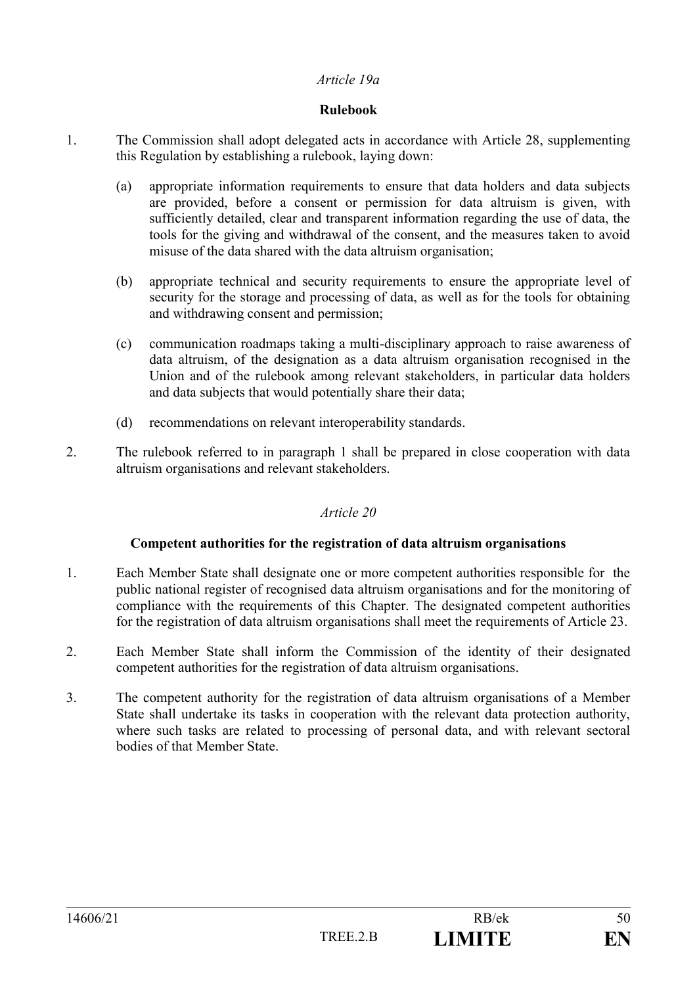#### *Article 19a*

### **Rulebook**

- 1. The Commission shall adopt delegated acts in accordance with Article 28, supplementing this Regulation by establishing a rulebook, laying down:
	- (a) appropriate information requirements to ensure that data holders and data subjects are provided, before a consent or permission for data altruism is given, with sufficiently detailed, clear and transparent information regarding the use of data, the tools for the giving and withdrawal of the consent, and the measures taken to avoid misuse of the data shared with the data altruism organisation;
	- (b) appropriate technical and security requirements to ensure the appropriate level of security for the storage and processing of data, as well as for the tools for obtaining and withdrawing consent and permission;
	- (c) communication roadmaps taking a multi-disciplinary approach to raise awareness of data altruism, of the designation as a data altruism organisation recognised in the Union and of the rulebook among relevant stakeholders, in particular data holders and data subjects that would potentially share their data;
	- (d) recommendations on relevant interoperability standards.
- 2. The rulebook referred to in paragraph 1 shall be prepared in close cooperation with data altruism organisations and relevant stakeholders.

# *Article 20*

#### **Competent authorities for the registration of data altruism organisations**

- 1. Each Member State shall designate one or more competent authorities responsible for the public national register of recognised data altruism organisations and for the monitoring of compliance with the requirements of this Chapter. The designated competent authorities for the registration of data altruism organisations shall meet the requirements of Article 23.
- 2. Each Member State shall inform the Commission of the identity of their designated competent authorities for the registration of data altruism organisations.
- 3. The competent authority for the registration of data altruism organisations of a Member State shall undertake its tasks in cooperation with the relevant data protection authority, where such tasks are related to processing of personal data, and with relevant sectoral bodies of that Member State.

| 14606/21 |          | RB/ek   | $\overline{\phantom{a}}$ |
|----------|----------|---------|--------------------------|
|          | TREE 7 R | I IMITE | ГN                       |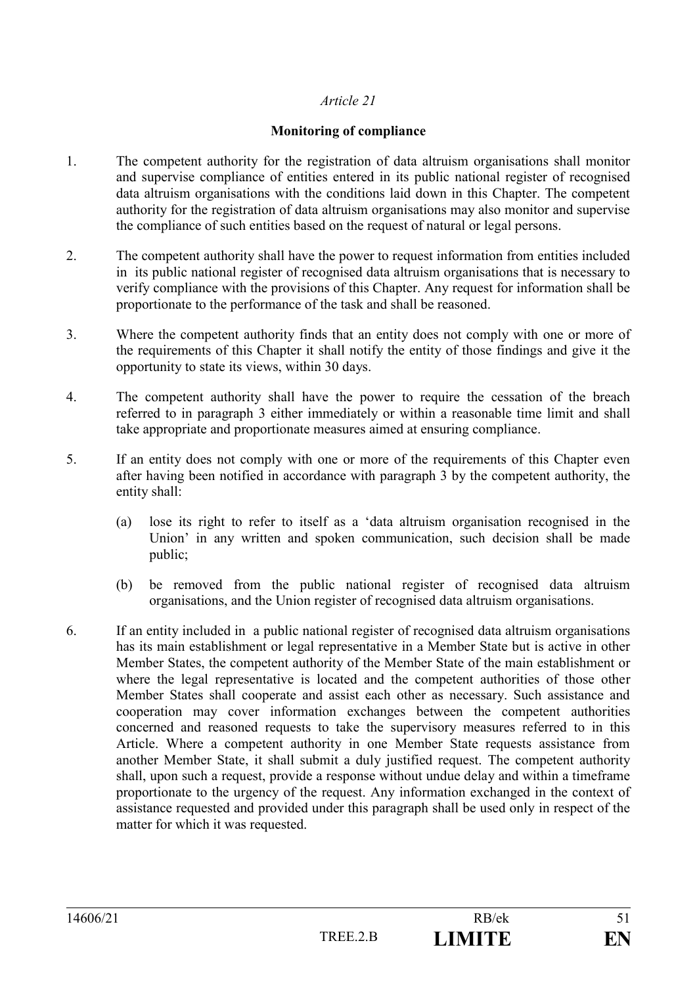#### **Monitoring of compliance**

- 1. The competent authority for the registration of data altruism organisations shall monitor and supervise compliance of entities entered in its public national register of recognised data altruism organisations with the conditions laid down in this Chapter. The competent authority for the registration of data altruism organisations may also monitor and supervise the compliance of such entities based on the request of natural or legal persons.
- 2. The competent authority shall have the power to request information from entities included in its public national register of recognised data altruism organisations that is necessary to verify compliance with the provisions of this Chapter. Any request for information shall be proportionate to the performance of the task and shall be reasoned.
- 3. Where the competent authority finds that an entity does not comply with one or more of the requirements of this Chapter it shall notify the entity of those findings and give it the opportunity to state its views, within 30 days.
- 4. The competent authority shall have the power to require the cessation of the breach referred to in paragraph 3 either immediately or within a reasonable time limit and shall take appropriate and proportionate measures aimed at ensuring compliance.
- 5. If an entity does not comply with one or more of the requirements of this Chapter even after having been notified in accordance with paragraph 3 by the competent authority, the entity shall:
	- (a) lose its right to refer to itself as a 'data altruism organisation recognised in the Union' in any written and spoken communication, such decision shall be made public;
	- (b) be removed from the public national register of recognised data altruism organisations, and the Union register of recognised data altruism organisations.
- 6. If an entity included in a public national register of recognised data altruism organisations has its main establishment or legal representative in a Member State but is active in other Member States, the competent authority of the Member State of the main establishment or where the legal representative is located and the competent authorities of those other Member States shall cooperate and assist each other as necessary. Such assistance and cooperation may cover information exchanges between the competent authorities concerned and reasoned requests to take the supervisory measures referred to in this Article. Where a competent authority in one Member State requests assistance from another Member State, it shall submit a duly justified request. The competent authority shall, upon such a request, provide a response without undue delay and within a timeframe proportionate to the urgency of the request. Any information exchanged in the context of assistance requested and provided under this paragraph shall be used only in respect of the matter for which it was requested.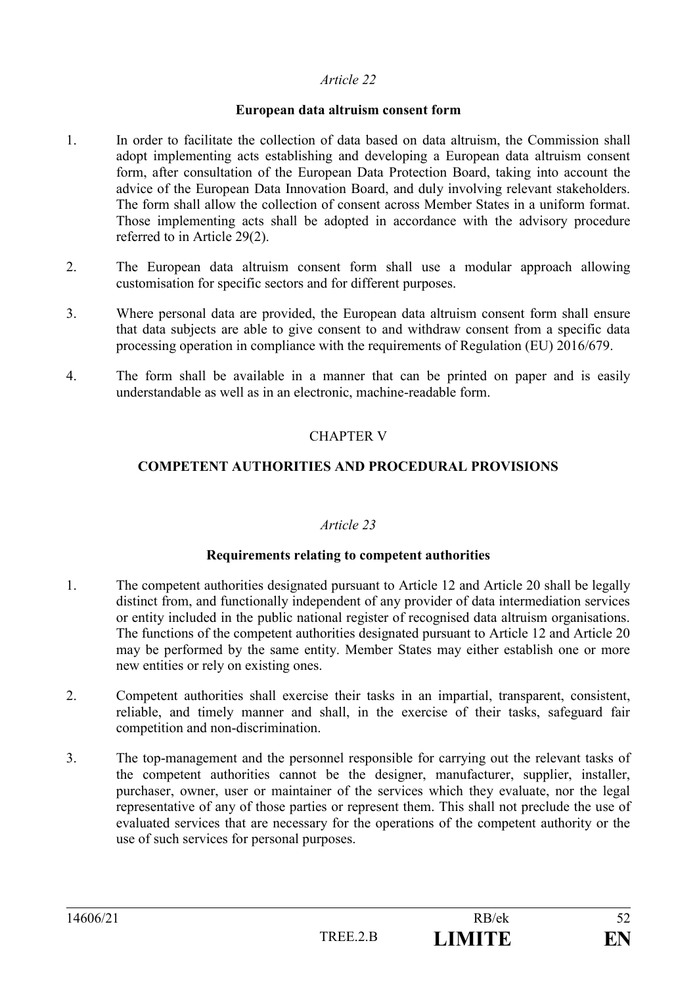#### **European data altruism consent form**

- 1. In order to facilitate the collection of data based on data altruism, the Commission shall adopt implementing acts establishing and developing a European data altruism consent form, after consultation of the European Data Protection Board, taking into account the advice of the European Data Innovation Board, and duly involving relevant stakeholders. The form shall allow the collection of consent across Member States in a uniform format. Those implementing acts shall be adopted in accordance with the advisory procedure referred to in Article 29(2).
- 2. The European data altruism consent form shall use a modular approach allowing customisation for specific sectors and for different purposes.
- 3. Where personal data are provided, the European data altruism consent form shall ensure that data subjects are able to give consent to and withdraw consent from a specific data processing operation in compliance with the requirements of Regulation (EU) 2016/679.
- 4. The form shall be available in a manner that can be printed on paper and is easily understandable as well as in an electronic, machine-readable form.

### CHAPTER V

#### **COMPETENT AUTHORITIES AND PROCEDURAL PROVISIONS**

#### *Article 23*

#### **Requirements relating to competent authorities**

- 1. The competent authorities designated pursuant to Article 12 and Article 20 shall be legally distinct from, and functionally independent of any provider of data intermediation services or entity included in the public national register of recognised data altruism organisations. The functions of the competent authorities designated pursuant to Article 12 and Article 20 may be performed by the same entity. Member States may either establish one or more new entities or rely on existing ones.
- 2. Competent authorities shall exercise their tasks in an impartial, transparent, consistent, reliable, and timely manner and shall, in the exercise of their tasks, safeguard fair competition and non-discrimination.
- 3. The top-management and the personnel responsible for carrying out the relevant tasks of the competent authorities cannot be the designer, manufacturer, supplier, installer, purchaser, owner, user or maintainer of the services which they evaluate, nor the legal representative of any of those parties or represent them. This shall not preclude the use of evaluated services that are necessary for the operations of the competent authority or the use of such services for personal purposes.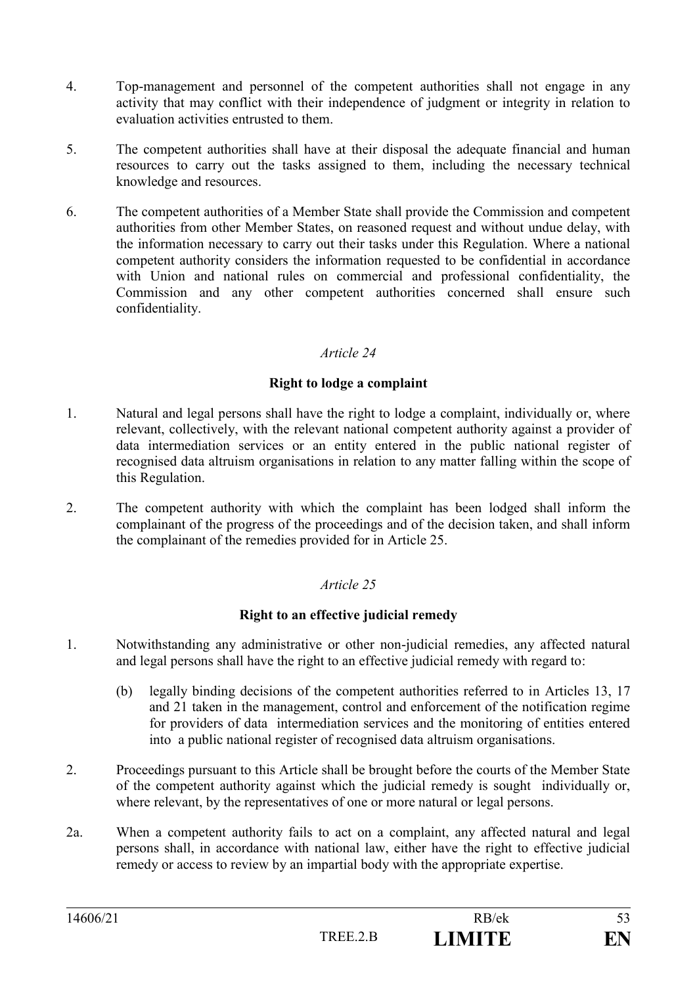- 4. Top-management and personnel of the competent authorities shall not engage in any activity that may conflict with their independence of judgment or integrity in relation to evaluation activities entrusted to them.
- 5. The competent authorities shall have at their disposal the adequate financial and human resources to carry out the tasks assigned to them, including the necessary technical knowledge and resources.
- 6. The competent authorities of a Member State shall provide the Commission and competent authorities from other Member States, on reasoned request and without undue delay, with the information necessary to carry out their tasks under this Regulation. Where a national competent authority considers the information requested to be confidential in accordance with Union and national rules on commercial and professional confidentiality, the Commission and any other competent authorities concerned shall ensure such confidentiality.

#### **Right to lodge a complaint**

- 1. Natural and legal persons shall have the right to lodge a complaint, individually or, where relevant, collectively, with the relevant national competent authority against a provider of data intermediation services or an entity entered in the public national register of recognised data altruism organisations in relation to any matter falling within the scope of this Regulation.
- 2. The competent authority with which the complaint has been lodged shall inform the complainant of the progress of the proceedings and of the decision taken, and shall inform the complainant of the remedies provided for in Article 25.

### *Article 25*

### **Right to an effective judicial remedy**

- 1. Notwithstanding any administrative or other non-judicial remedies, any affected natural and legal persons shall have the right to an effective judicial remedy with regard to:
	- (b) legally binding decisions of the competent authorities referred to in Articles 13, 17 and 21 taken in the management, control and enforcement of the notification regime for providers of data intermediation services and the monitoring of entities entered into a public national register of recognised data altruism organisations.
- 2. Proceedings pursuant to this Article shall be brought before the courts of the Member State of the competent authority against which the judicial remedy is sought individually or, where relevant, by the representatives of one or more natural or legal persons.
- 2a. When a competent authority fails to act on a complaint, any affected natural and legal persons shall, in accordance with national law, either have the right to effective judicial remedy or access to review by an impartial body with the appropriate expertise.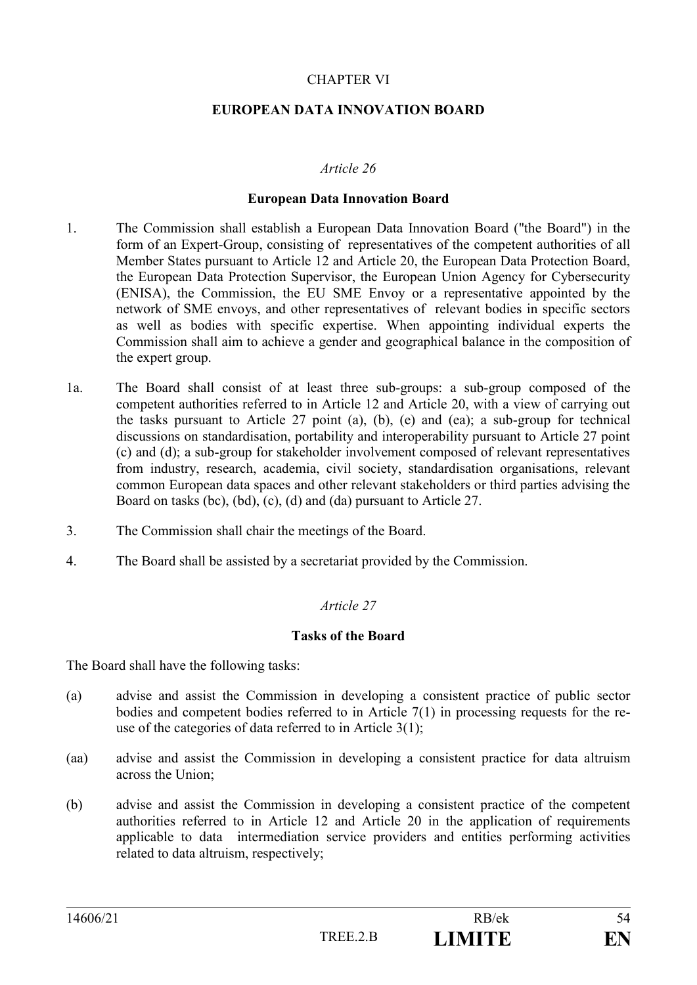### CHAPTER VI

#### **EUROPEAN DATA INNOVATION BOARD**

#### *Article 26*

#### **European Data Innovation Board**

- 1. The Commission shall establish a European Data Innovation Board ("the Board") in the form of an Expert-Group, consisting of representatives of the competent authorities of all Member States pursuant to Article 12 and Article 20, the European Data Protection Board, the European Data Protection Supervisor, the European Union Agency for Cybersecurity (ENISA), the Commission, the EU SME Envoy or a representative appointed by the network of SME envoys, and other representatives of relevant bodies in specific sectors as well as bodies with specific expertise. When appointing individual experts the Commission shall aim to achieve a gender and geographical balance in the composition of the expert group.
- 1a. The Board shall consist of at least three sub-groups: a sub-group composed of the competent authorities referred to in Article 12 and Article 20, with a view of carrying out the tasks pursuant to Article 27 point (a), (b), (e) and (ea); a sub-group for technical discussions on standardisation, portability and interoperability pursuant to Article 27 point (c) and (d); a sub-group for stakeholder involvement composed of relevant representatives from industry, research, academia, civil society, standardisation organisations, relevant common European data spaces and other relevant stakeholders or third parties advising the Board on tasks (bc), (bd), (c), (d) and (da) pursuant to Article 27.
- 3. The Commission shall chair the meetings of the Board.
- 4. The Board shall be assisted by a secretariat provided by the Commission.

# *Article 27*

#### **Tasks of the Board**

The Board shall have the following tasks:

- (a) advise and assist the Commission in developing a consistent practice of public sector bodies and competent bodies referred to in Article 7(1) in processing requests for the reuse of the categories of data referred to in Article 3(1);
- (aa) advise and assist the Commission in developing a consistent practice for data altruism across the Union;
- (b) advise and assist the Commission in developing a consistent practice of the competent authorities referred to in Article 12 and Article 20 in the application of requirements applicable to data intermediation service providers and entities performing activities related to data altruism, respectively;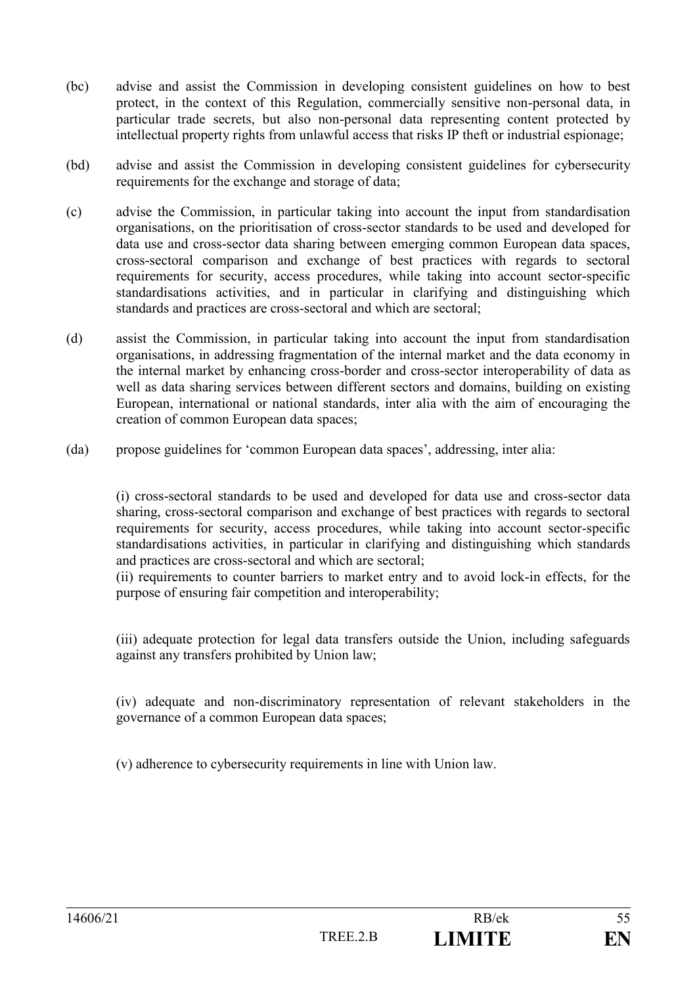- (bc) advise and assist the Commission in developing consistent guidelines on how to best protect, in the context of this Regulation, commercially sensitive non-personal data, in particular trade secrets, but also non-personal data representing content protected by intellectual property rights from unlawful access that risks IP theft or industrial espionage;
- (bd) advise and assist the Commission in developing consistent guidelines for cybersecurity requirements for the exchange and storage of data;
- (c) advise the Commission, in particular taking into account the input from standardisation organisations, on the prioritisation of cross-sector standards to be used and developed for data use and cross-sector data sharing between emerging common European data spaces, cross-sectoral comparison and exchange of best practices with regards to sectoral requirements for security, access procedures, while taking into account sector-specific standardisations activities, and in particular in clarifying and distinguishing which standards and practices are cross-sectoral and which are sectoral;
- (d) assist the Commission, in particular taking into account the input from standardisation organisations, in addressing fragmentation of the internal market and the data economy in the internal market by enhancing cross-border and cross-sector interoperability of data as well as data sharing services between different sectors and domains, building on existing European, international or national standards, inter alia with the aim of encouraging the creation of common European data spaces;
- (da) propose guidelines for 'common European data spaces', addressing, inter alia:

(i) cross-sectoral standards to be used and developed for data use and cross-sector data sharing, cross-sectoral comparison and exchange of best practices with regards to sectoral requirements for security, access procedures, while taking into account sector-specific standardisations activities, in particular in clarifying and distinguishing which standards and practices are cross-sectoral and which are sectoral;

(ii) requirements to counter barriers to market entry and to avoid lock-in effects, for the purpose of ensuring fair competition and interoperability;

(iii) adequate protection for legal data transfers outside the Union, including safeguards against any transfers prohibited by Union law;

(iv) adequate and non-discriminatory representation of relevant stakeholders in the governance of a common European data spaces;

(v) adherence to cybersecurity requirements in line with Union law.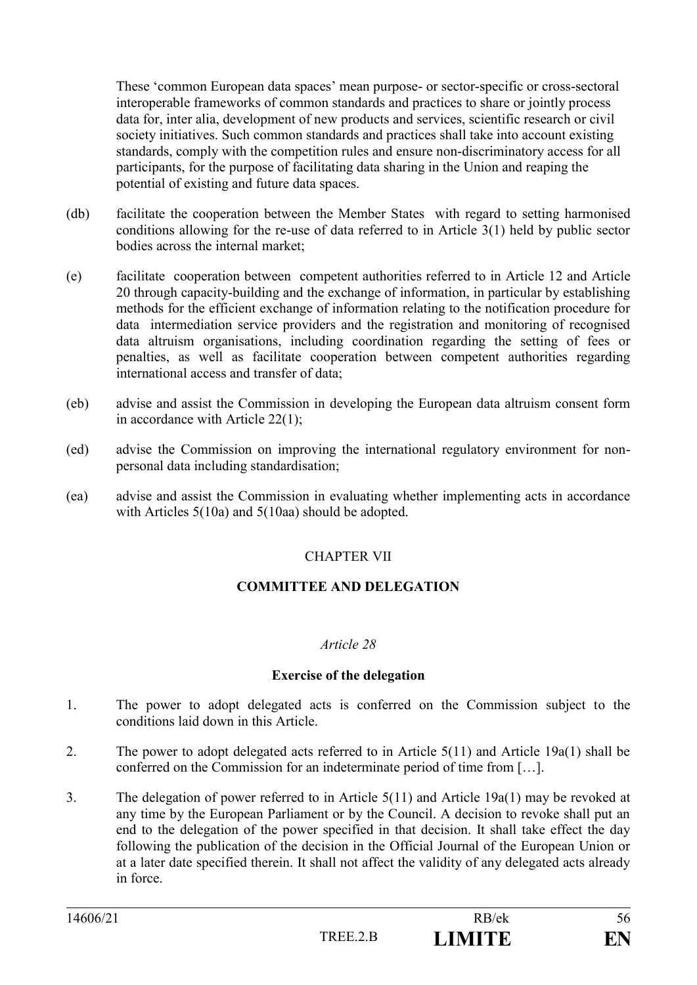These 'common European data spaces' mean purpose- or sector-specific or cross-sectoral interoperable frameworks of common standards and practices to share or jointly process data for, inter alia, development of new products and services, scientific research or civil society initiatives. Such common standards and practices shall take into account existing standards, comply with the competition rules and ensure non-discriminatory access for all participants, for the purpose of facilitating data sharing in the Union and reaping the potential of existing and future data spaces.

- (db) facilitate the cooperation between the Member States with regard to setting harmonised conditions allowing for the re-use of data referred to in Article 3(1) held by public sector bodies across the internal market;
- (e) facilitate cooperation between competent authorities referred to in Article 12 and Article 20 through capacity-building and the exchange of information, in particular by establishing methods for the efficient exchange of information relating to the notification procedure for data intermediation service providers and the registration and monitoring of recognised data altruism organisations, including coordination regarding the setting of fees or penalties, as well as facilitate cooperation between competent authorities regarding international access and transfer of data;
- (eb) advise and assist the Commission in developing the European data altruism consent form in accordance with Article 22(1);
- (ed) advise the Commission on improving the international regulatory environment for nonpersonal data including standardisation;
- (ea) advise and assist the Commission in evaluating whether implementing acts in accordance with Articles 5(10a) and 5(10aa) should be adopted.

# CHAPTER VII

# **COMMITTEE AND DELEGATION**

#### *Article 28*

#### **Exercise of the delegation**

- 1. The power to adopt delegated acts is conferred on the Commission subject to the conditions laid down in this Article.
- 2. The power to adopt delegated acts referred to in Article 5(11) and Article 19a(1) shall be conferred on the Commission for an indeterminate period of time from […].
- 3. The delegation of power referred to in Article 5(11) and Article 19a(1) may be revoked at any time by the European Parliament or by the Council. A decision to revoke shall put an end to the delegation of the power specified in that decision. It shall take effect the day following the publication of the decision in the Official Journal of the European Union or at a later date specified therein. It shall not affect the validity of any delegated acts already in force.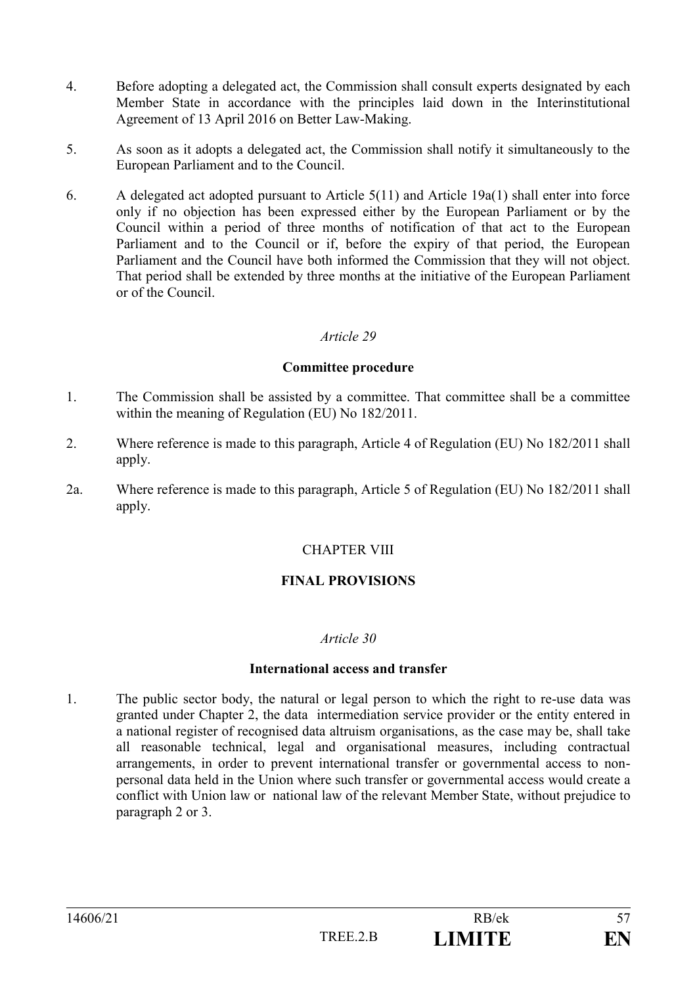- 4. Before adopting a delegated act, the Commission shall consult experts designated by each Member State in accordance with the principles laid down in the Interinstitutional Agreement of 13 April 2016 on Better Law-Making.
- 5. As soon as it adopts a delegated act, the Commission shall notify it simultaneously to the European Parliament and to the Council.
- 6. A delegated act adopted pursuant to Article 5(11) and Article 19a(1) shall enter into force only if no objection has been expressed either by the European Parliament or by the Council within a period of three months of notification of that act to the European Parliament and to the Council or if, before the expiry of that period, the European Parliament and the Council have both informed the Commission that they will not object. That period shall be extended by three months at the initiative of the European Parliament or of the Council.

#### **Committee procedure**

- 1. The Commission shall be assisted by a committee. That committee shall be a committee within the meaning of Regulation (EU) No 182/2011.
- 2. Where reference is made to this paragraph, Article 4 of Regulation (EU) No 182/2011 shall apply.
- 2a. Where reference is made to this paragraph, Article 5 of Regulation (EU) No 182/2011 shall apply.

#### CHAPTER VIII

# **FINAL PROVISIONS**

#### *Article 30*

#### **International access and transfer**

1. The public sector body, the natural or legal person to which the right to re-use data was granted under Chapter 2, the data intermediation service provider or the entity entered in a national register of recognised data altruism organisations, as the case may be, shall take all reasonable technical, legal and organisational measures, including contractual arrangements, in order to prevent international transfer or governmental access to nonpersonal data held in the Union where such transfer or governmental access would create a conflict with Union law or national law of the relevant Member State, without prejudice to paragraph 2 or 3.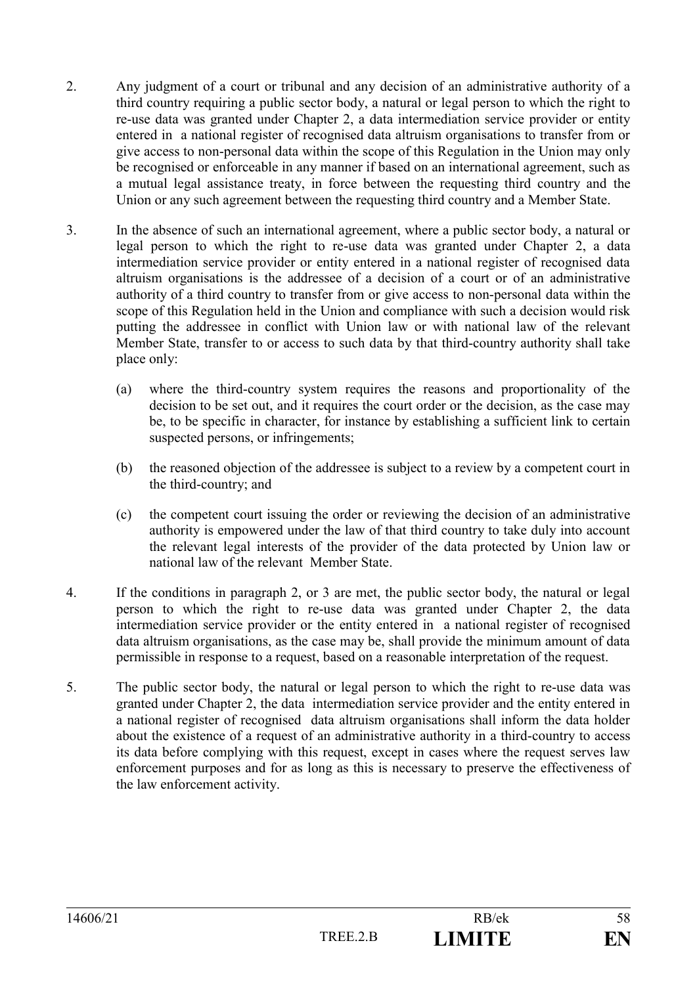- 2. Any judgment of a court or tribunal and any decision of an administrative authority of a third country requiring a public sector body, a natural or legal person to which the right to re-use data was granted under Chapter 2, a data intermediation service provider or entity entered in a national register of recognised data altruism organisations to transfer from or give access to non-personal data within the scope of this Regulation in the Union may only be recognised or enforceable in any manner if based on an international agreement, such as a mutual legal assistance treaty, in force between the requesting third country and the Union or any such agreement between the requesting third country and a Member State.
- 3. In the absence of such an international agreement, where a public sector body, a natural or legal person to which the right to re-use data was granted under Chapter 2, a data intermediation service provider or entity entered in a national register of recognised data altruism organisations is the addressee of a decision of a court or of an administrative authority of a third country to transfer from or give access to non-personal data within the scope of this Regulation held in the Union and compliance with such a decision would risk putting the addressee in conflict with Union law or with national law of the relevant Member State, transfer to or access to such data by that third-country authority shall take place only:
	- (a) where the third-country system requires the reasons and proportionality of the decision to be set out, and it requires the court order or the decision, as the case may be, to be specific in character, for instance by establishing a sufficient link to certain suspected persons, or infringements;
	- (b) the reasoned objection of the addressee is subject to a review by a competent court in the third-country; and
	- (c) the competent court issuing the order or reviewing the decision of an administrative authority is empowered under the law of that third country to take duly into account the relevant legal interests of the provider of the data protected by Union law or national law of the relevant Member State.
- 4. If the conditions in paragraph 2, or 3 are met, the public sector body, the natural or legal person to which the right to re-use data was granted under Chapter 2, the data intermediation service provider or the entity entered in a national register of recognised data altruism organisations, as the case may be, shall provide the minimum amount of data permissible in response to a request, based on a reasonable interpretation of the request.
- 5. The public sector body, the natural or legal person to which the right to re-use data was granted under Chapter 2, the data intermediation service provider and the entity entered in a national register of recognised data altruism organisations shall inform the data holder about the existence of a request of an administrative authority in a third-country to access its data before complying with this request, except in cases where the request serves law enforcement purposes and for as long as this is necessary to preserve the effectiveness of the law enforcement activity.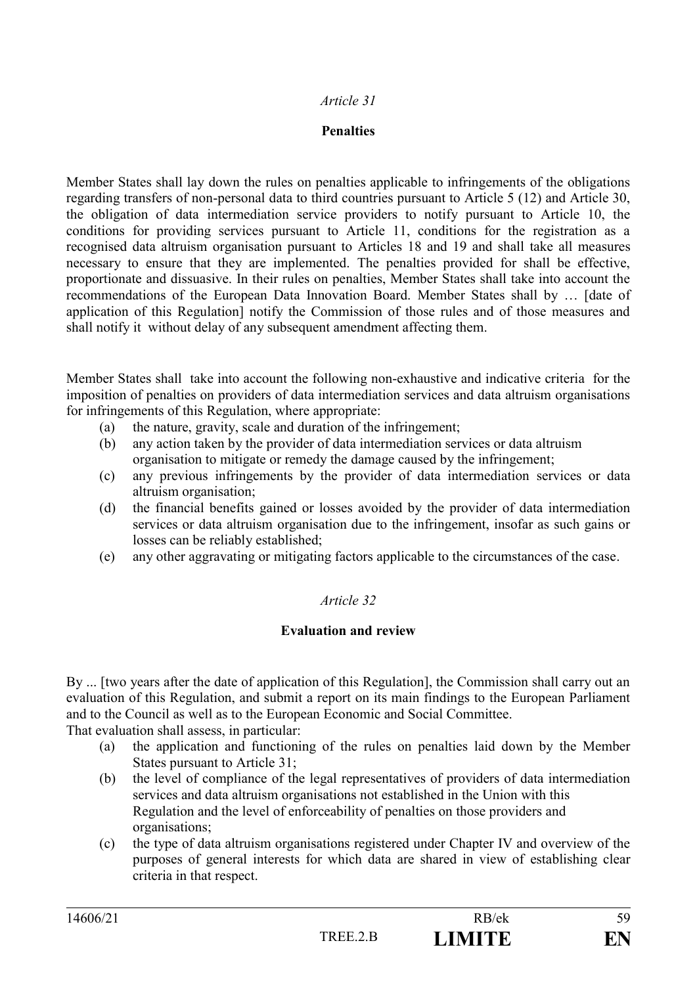#### **Penalties**

Member States shall lay down the rules on penalties applicable to infringements of the obligations regarding transfers of non-personal data to third countries pursuant to Article 5 (12) and Article 30, the obligation of data intermediation service providers to notify pursuant to Article 10, the conditions for providing services pursuant to Article 11, conditions for the registration as a recognised data altruism organisation pursuant to Articles 18 and 19 and shall take all measures necessary to ensure that they are implemented. The penalties provided for shall be effective, proportionate and dissuasive. In their rules on penalties, Member States shall take into account the recommendations of the European Data Innovation Board. Member States shall by … [date of application of this Regulation] notify the Commission of those rules and of those measures and shall notify it without delay of any subsequent amendment affecting them.

Member States shall take into account the following non-exhaustive and indicative criteria for the imposition of penalties on providers of data intermediation services and data altruism organisations for infringements of this Regulation, where appropriate:

- (a) the nature, gravity, scale and duration of the infringement;
- (b) any action taken by the provider of data intermediation services or data altruism organisation to mitigate or remedy the damage caused by the infringement;
- (c) any previous infringements by the provider of data intermediation services or data altruism organisation;
- (d) the financial benefits gained or losses avoided by the provider of data intermediation services or data altruism organisation due to the infringement, insofar as such gains or losses can be reliably established;
- (e) any other aggravating or mitigating factors applicable to the circumstances of the case.

# *Article 32*

#### **Evaluation and review**

By ... [two years after the date of application of this Regulation], the Commission shall carry out an evaluation of this Regulation, and submit a report on its main findings to the European Parliament and to the Council as well as to the European Economic and Social Committee.

That evaluation shall assess, in particular:

- (a) the application and functioning of the rules on penalties laid down by the Member States pursuant to Article 31;
- (b) the level of compliance of the legal representatives of providers of data intermediation services and data altruism organisations not established in the Union with this Regulation and the level of enforceability of penalties on those providers and organisations;
- (c) the type of data altruism organisations registered under Chapter IV and overview of the purposes of general interests for which data are shared in view of establishing clear criteria in that respect.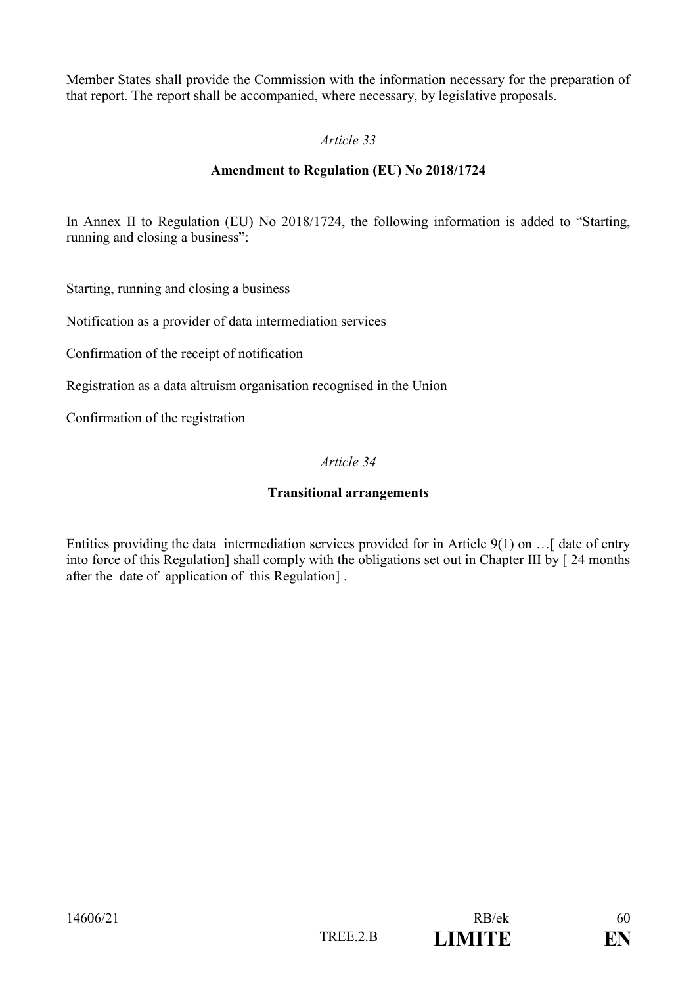Member States shall provide the Commission with the information necessary for the preparation of that report. The report shall be accompanied, where necessary, by legislative proposals.

# *Article 33*

### **Amendment to Regulation (EU) No 2018/1724**

In Annex II to Regulation (EU) No 2018/1724, the following information is added to "Starting, running and closing a business":

Starting, running and closing a business

Notification as a provider of data intermediation services

Confirmation of the receipt of notification

Registration as a data altruism organisation recognised in the Union

Confirmation of the registration

#### *Article 34*

#### **Transitional arrangements**

Entities providing the data intermediation services provided for in Article 9(1) on …[ date of entry into force of this Regulation] shall comply with the obligations set out in Chapter III by [ 24 months after the date of application of this Regulation] .